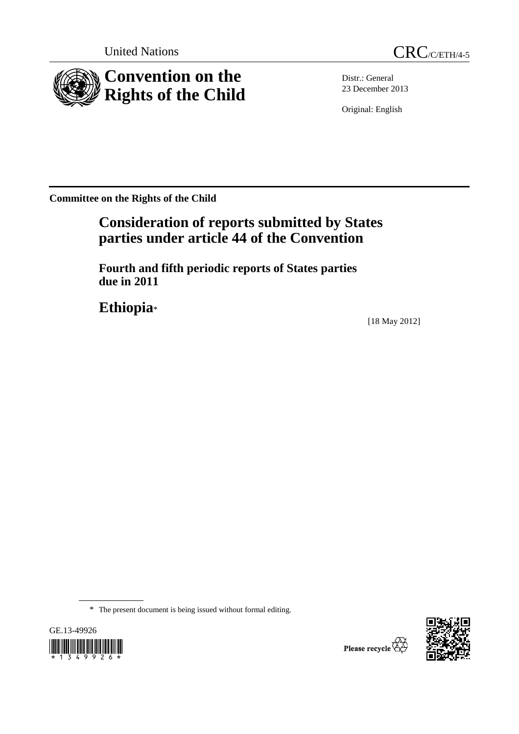



Distr.: General 23 December 2013

Original: English

**Committee on the Rights of the Child** 

# **Consideration of reports submitted by States parties under article 44 of the Convention**

 **Fourth and fifth periodic reports of States parties due in 2011** 

**Ethiopia**\*

[18 May 2012]

\* The present document is being issued without formal editing.



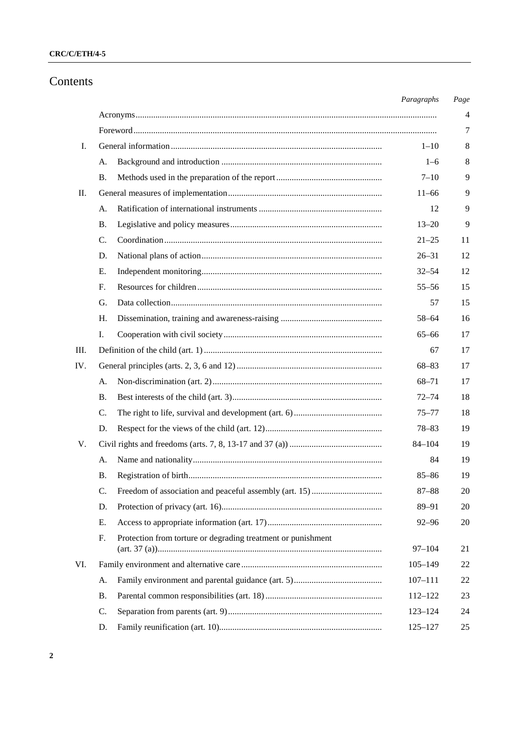## **CRC/C/ETH/4-5**

## Contents

|                 |                                                                    | Paragraphs  | Page |
|-----------------|--------------------------------------------------------------------|-------------|------|
|                 |                                                                    |             | 4    |
|                 |                                                                    |             | 7    |
| Ι.              |                                                                    | $1 - 10$    | 8    |
|                 | А.                                                                 | $1 - 6$     | 8    |
|                 | В.                                                                 | $7 - 10$    | 9    |
| $\mathbf{II}$ . |                                                                    | $11 - 66$   | 9    |
|                 | А.                                                                 | 12          | 9    |
|                 | В.                                                                 | $13 - 20$   | 9    |
|                 | C.                                                                 | $21 - 25$   | 11   |
|                 | D.                                                                 | $26 - 31$   | 12   |
|                 | Е.                                                                 | $32 - 54$   | 12   |
|                 | F.                                                                 | $55 - 56$   | 15   |
|                 | G.                                                                 | 57          | 15   |
|                 | H.                                                                 | 58-64       | 16   |
|                 | Ι.                                                                 | $65 - 66$   | 17   |
| Ш.              |                                                                    | 67          | 17   |
| IV.             |                                                                    | $68 - 83$   | 17   |
|                 | A.                                                                 | $68 - 71$   | 17   |
|                 | В.                                                                 | $72 - 74$   | 18   |
|                 | C.                                                                 | $75 - 77$   | 18   |
|                 | D.                                                                 | $78 - 83$   | 19   |
| V.              |                                                                    | $84 - 104$  | 19   |
|                 | A.                                                                 | 84          | 19   |
|                 | Β.                                                                 | $85 - 86$   | 19   |
|                 | C.                                                                 | $87 - 88$   | 20   |
|                 | D.                                                                 | 89-91       | 20   |
|                 | Е.                                                                 | $92 - 96$   | 20   |
|                 | Protection from torture or degrading treatment or punishment<br>F. | $97 - 104$  | 21   |
| VI.             |                                                                    | $105 - 149$ | 22   |
|                 |                                                                    | $107 - 111$ | 22   |
|                 | А.<br>Β.                                                           | $112 - 122$ | 23   |
|                 | C.                                                                 |             |      |
|                 |                                                                    | $123 - 124$ | 24   |
|                 | D.                                                                 | $125 - 127$ | 25   |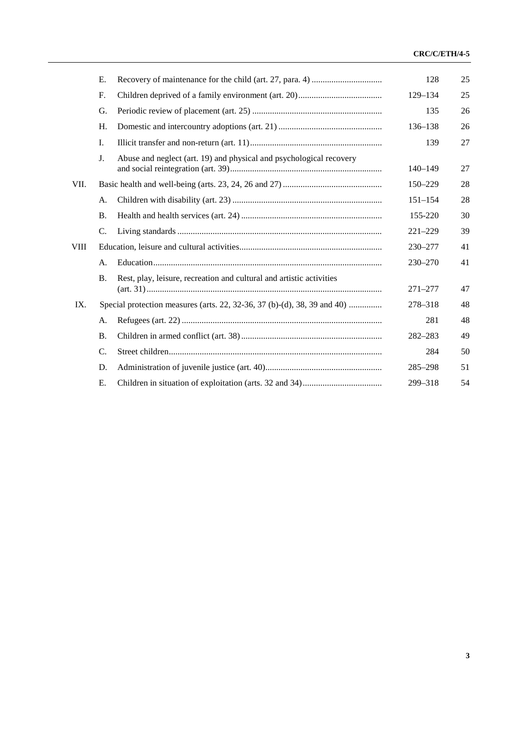### **CRC/C/ETH/4-5**

|             | E.          |                                                                          | 128         | 25 |
|-------------|-------------|--------------------------------------------------------------------------|-------------|----|
|             | $F_{\cdot}$ |                                                                          | 129-134     | 25 |
|             | G.          |                                                                          | 135         | 26 |
|             | H.          |                                                                          | 136-138     | 26 |
|             | Ι.          |                                                                          | 139         | 27 |
|             | J.          | Abuse and neglect (art. 19) and physical and psychological recovery      | $140 - 149$ | 27 |
| VII.        |             |                                                                          | 150-229     | 28 |
|             | A.          |                                                                          | $151 - 154$ | 28 |
|             | <b>B.</b>   |                                                                          | 155-220     | 30 |
|             | C.          |                                                                          | $221 - 229$ | 39 |
| <b>VIII</b> |             |                                                                          | 230-277     | 41 |
|             | А.          |                                                                          | $230 - 270$ | 41 |
|             | <b>B.</b>   | Rest, play, leisure, recreation and cultural and artistic activities     | $271 - 277$ | 47 |
| IX.         |             | Special protection measures (arts. 22, 32-36, 37 (b)-(d), 38, 39 and 40) | 278-318     | 48 |
|             | A.          |                                                                          | 281         | 48 |
|             | <b>B.</b>   |                                                                          | 282-283     | 49 |
|             | C.          |                                                                          | 284         | 50 |
|             | D.          |                                                                          | 285-298     | 51 |
|             | Е.          |                                                                          | 299-318     | 54 |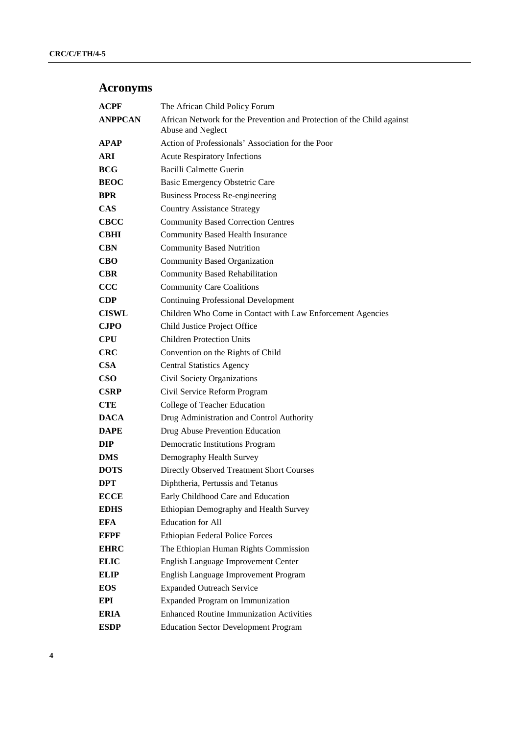# **Acronyms**

| <b>ACPF</b>    | The African Child Policy Forum                                                              |
|----------------|---------------------------------------------------------------------------------------------|
| <b>ANPPCAN</b> | African Network for the Prevention and Protection of the Child against<br>Abuse and Neglect |
| <b>APAP</b>    | Action of Professionals' Association for the Poor                                           |
| ARI            | <b>Acute Respiratory Infections</b>                                                         |
| <b>BCG</b>     | Bacilli Calmette Guerin                                                                     |
| <b>BEOC</b>    | Basic Emergency Obstetric Care                                                              |
| <b>BPR</b>     | <b>Business Process Re-engineering</b>                                                      |
| <b>CAS</b>     | <b>Country Assistance Strategy</b>                                                          |
| <b>CBCC</b>    | <b>Community Based Correction Centres</b>                                                   |
| CBHI           | <b>Community Based Health Insurance</b>                                                     |
| <b>CBN</b>     | <b>Community Based Nutrition</b>                                                            |
| CBO            | Community Based Organization                                                                |
| <b>CBR</b>     | <b>Community Based Rehabilitation</b>                                                       |
| $\bf{CCC}$     | <b>Community Care Coalitions</b>                                                            |
| <b>CDP</b>     | <b>Continuing Professional Development</b>                                                  |
| <b>CISWL</b>   | Children Who Come in Contact with Law Enforcement Agencies                                  |
| <b>CJPO</b>    | Child Justice Project Office                                                                |
| CPU            | <b>Children Protection Units</b>                                                            |
| <b>CRC</b>     | Convention on the Rights of Child                                                           |
| <b>CSA</b>     | <b>Central Statistics Agency</b>                                                            |
| <b>CSO</b>     | Civil Society Organizations                                                                 |
| <b>CSRP</b>    | Civil Service Reform Program                                                                |
| <b>CTE</b>     | College of Teacher Education                                                                |
| <b>DACA</b>    | Drug Administration and Control Authority                                                   |
| <b>DAPE</b>    | Drug Abuse Prevention Education                                                             |
| DIP            | <b>Democratic Institutions Program</b>                                                      |
| <b>DMS</b>     | Demography Health Survey                                                                    |
| <b>DOTS</b>    | Directly Observed Treatment Short Courses                                                   |
| DPT            | Diphtheria, Pertussis and Tetanus                                                           |
| <b>ECCE</b>    | Early Childhood Care and Education                                                          |
| <b>EDHS</b>    | Ethiopian Demography and Health Survey                                                      |
| EFA            | <b>Education</b> for All                                                                    |
| <b>EFPF</b>    | Ethiopian Federal Police Forces                                                             |
| <b>EHRC</b>    | The Ethiopian Human Rights Commission                                                       |
| <b>ELIC</b>    | English Language Improvement Center                                                         |
| <b>ELIP</b>    | English Language Improvement Program                                                        |
| <b>EOS</b>     | <b>Expanded Outreach Service</b>                                                            |
| EPI            | Expanded Program on Immunization                                                            |
| <b>ERIA</b>    | <b>Enhanced Routine Immunization Activities</b>                                             |
| <b>ESDP</b>    | <b>Education Sector Development Program</b>                                                 |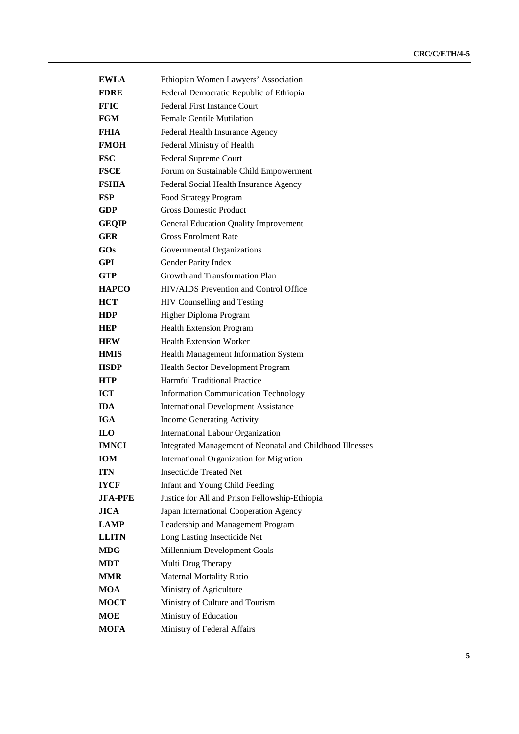| <b>EWLA</b>  | Ethiopian Women Lawyers' Association                      |
|--------------|-----------------------------------------------------------|
| <b>FDRE</b>  | Federal Democratic Republic of Ethiopia                   |
| <b>FFIC</b>  | <b>Federal First Instance Court</b>                       |
| FGM          | <b>Female Gentile Mutilation</b>                          |
| FHIA         | Federal Health Insurance Agency                           |
| <b>FMOH</b>  | Federal Ministry of Health                                |
| <b>FSC</b>   | Federal Supreme Court                                     |
| <b>FSCE</b>  | Forum on Sustainable Child Empowerment                    |
| <b>FSHIA</b> | Federal Social Health Insurance Agency                    |
| <b>FSP</b>   | Food Strategy Program                                     |
| <b>GDP</b>   | <b>Gross Domestic Product</b>                             |
| <b>GEQIP</b> | <b>General Education Quality Improvement</b>              |
| <b>GER</b>   | <b>Gross Enrolment Rate</b>                               |
| GOs          | Governmental Organizations                                |
| <b>GPI</b>   | Gender Parity Index                                       |
| <b>GTP</b>   | Growth and Transformation Plan                            |
| <b>HAPCO</b> | HIV/AIDS Prevention and Control Office                    |
| <b>HCT</b>   | HIV Counselling and Testing                               |
| <b>HDP</b>   | Higher Diploma Program                                    |
| <b>HEP</b>   | <b>Health Extension Program</b>                           |
| <b>HEW</b>   | <b>Health Extension Worker</b>                            |
| <b>HMIS</b>  | Health Management Information System                      |
| <b>HSDP</b>  | Health Sector Development Program                         |
| <b>HTP</b>   | <b>Harmful Traditional Practice</b>                       |
| <b>ICT</b>   | <b>Information Communication Technology</b>               |
| <b>IDA</b>   | <b>International Development Assistance</b>               |
| <b>IGA</b>   | Income Generating Activity                                |
| <b>ILO</b>   | International Labour Organization                         |
| <b>IMNCI</b> | Integrated Management of Neonatal and Childhood Illnesses |
| <b>IOM</b>   | International Organization for Migration                  |
| <b>ITN</b>   | <b>Insecticide Treated Net</b>                            |
| <b>IYCF</b>  | <b>Infant and Young Child Feeding</b>                     |
| JFA-PFE      | Justice for All and Prison Fellowship-Ethiopia            |
| <b>JICA</b>  | Japan International Cooperation Agency                    |
| <b>LAMP</b>  | Leadership and Management Program                         |
| <b>LLITN</b> | Long Lasting Insecticide Net                              |
| <b>MDG</b>   | Millennium Development Goals                              |
| <b>MDT</b>   | Multi Drug Therapy                                        |
| <b>MMR</b>   | Maternal Mortality Ratio                                  |
| <b>MOA</b>   | Ministry of Agriculture                                   |
| <b>MOCT</b>  | Ministry of Culture and Tourism                           |
| MOE          | Ministry of Education                                     |
| <b>MOFA</b>  | Ministry of Federal Affairs                               |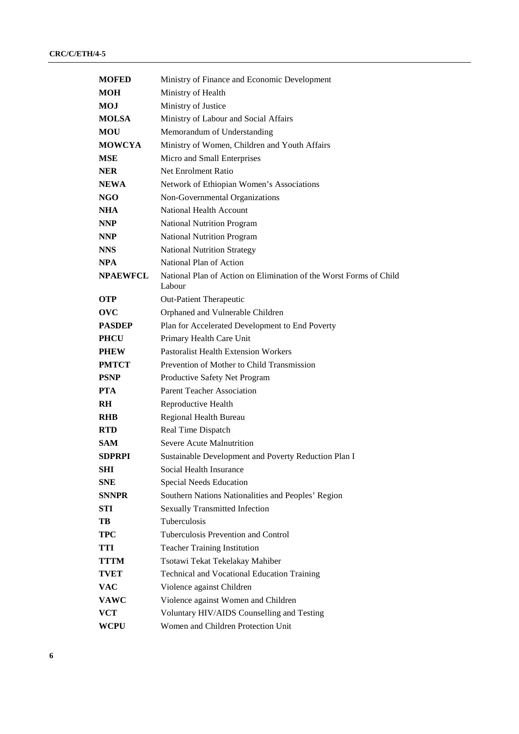| <b>MOFED</b>    | Ministry of Finance and Economic Development                                 |
|-----------------|------------------------------------------------------------------------------|
| MOH             | Ministry of Health                                                           |
| <b>MOJ</b>      | Ministry of Justice                                                          |
| <b>MOLSA</b>    | Ministry of Labour and Social Affairs                                        |
| <b>MOU</b>      | Memorandum of Understanding                                                  |
| <b>MOWCYA</b>   | Ministry of Women, Children and Youth Affairs                                |
| <b>MSE</b>      | Micro and Small Enterprises                                                  |
| <b>NER</b>      | <b>Net Enrolment Ratio</b>                                                   |
| <b>NEWA</b>     | Network of Ethiopian Women's Associations                                    |
| NGO             | Non-Governmental Organizations                                               |
| <b>NHA</b>      | National Health Account                                                      |
| <b>NNP</b>      | <b>National Nutrition Program</b>                                            |
| <b>NNP</b>      | <b>National Nutrition Program</b>                                            |
| <b>NNS</b>      | <b>National Nutrition Strategy</b>                                           |
| <b>NPA</b>      | National Plan of Action                                                      |
| <b>NPAEWFCL</b> | National Plan of Action on Elimination of the Worst Forms of Child<br>Labour |
| <b>OTP</b>      | Out-Patient Therapeutic                                                      |
| ovc             | Orphaned and Vulnerable Children                                             |
| <b>PASDEP</b>   | Plan for Accelerated Development to End Poverty                              |
| <b>PHCU</b>     | Primary Health Care Unit                                                     |
| <b>PHEW</b>     | <b>Pastoralist Health Extension Workers</b>                                  |
| <b>PMTCT</b>    | Prevention of Mother to Child Transmission                                   |
| <b>PSNP</b>     | Productive Safety Net Program                                                |
| <b>PTA</b>      | <b>Parent Teacher Association</b>                                            |
| RH.             | Reproductive Health                                                          |
| <b>RHB</b>      | Regional Health Bureau                                                       |
| <b>RTD</b>      | Real Time Dispatch                                                           |
| SAM.            | <b>Severe Acute Malnutrition</b>                                             |
| <b>SDPRPI</b>   | Sustainable Development and Poverty Reduction Plan I                         |
| SHI             | Social Health Insurance                                                      |
| SNE             | Special Needs Education                                                      |
| <b>SNNPR</b>    | Southern Nations Nationalities and Peoples' Region                           |
| STI             | <b>Sexually Transmitted Infection</b>                                        |
| TB              | Tuberculosis                                                                 |
| TPC             | Tuberculosis Prevention and Control                                          |
| TTI             | <b>Teacher Training Institution</b>                                          |
| TTTM            | Tsotawi Tekat Tekelakay Mahiber                                              |
| TVET            | <b>Technical and Vocational Education Training</b>                           |
| <b>VAC</b>      | Violence against Children                                                    |
| <b>VAWC</b>     | Violence against Women and Children                                          |
| <b>VCT</b>      | Voluntary HIV/AIDS Counselling and Testing                                   |
| WCPU            | Women and Children Protection Unit                                           |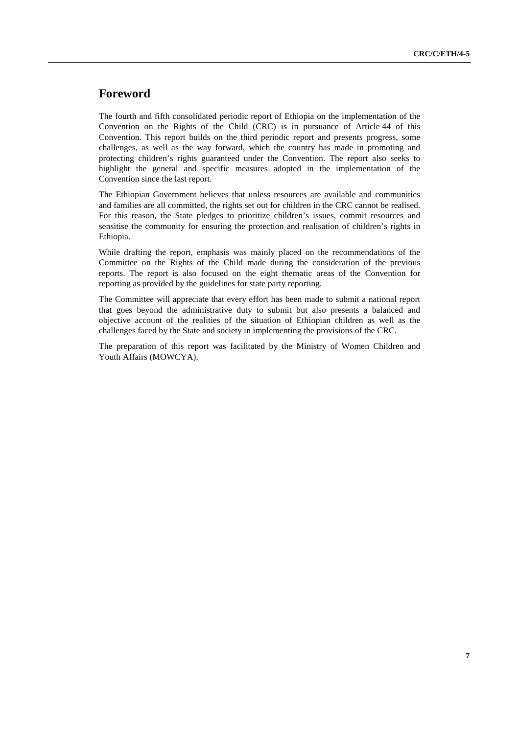## **Foreword**

The fourth and fifth consolidated periodic report of Ethiopia on the implementation of the Convention on the Rights of the Child (CRC) is in pursuance of Article 44 of this Convention. This report builds on the third periodic report and presents progress, some challenges, as well as the way forward, which the country has made in promoting and protecting children's rights guaranteed under the Convention. The report also seeks to highlight the general and specific measures adopted in the implementation of the Convention since the last report.

The Ethiopian Government believes that unless resources are available and communities and families are all committed, the rights set out for children in the CRC cannot be realised. For this reason, the State pledges to prioritize children's issues, commit resources and sensitise the community for ensuring the protection and realisation of children's rights in Ethiopia.

While drafting the report, emphasis was mainly placed on the recommendations of the Committee on the Rights of the Child made during the consideration of the previous reports. The report is also focused on the eight thematic areas of the Convention for reporting as provided by the guidelines for state party reporting.

The Committee will appreciate that every effort has been made to submit a national report that goes beyond the administrative duty to submit but also presents a balanced and objective account of the realities of the situation of Ethiopian children as well as the challenges faced by the State and society in implementing the provisions of the CRC.

The preparation of this report was facilitated by the Ministry of Women Children and Youth Affairs (MOWCYA).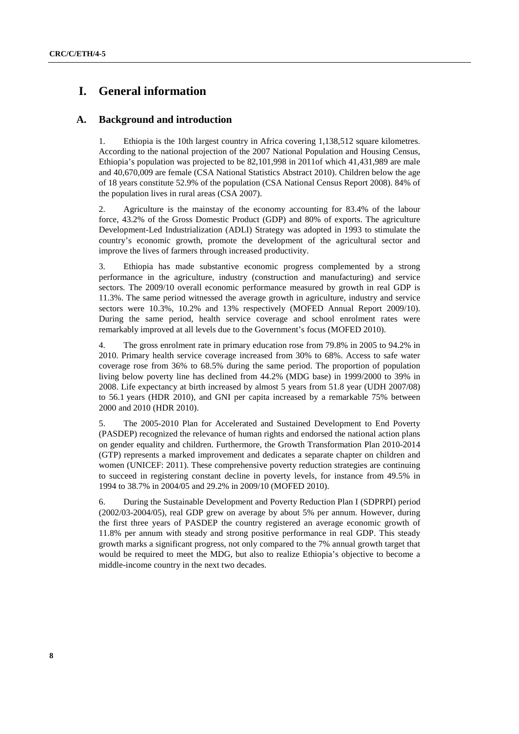## **I. General information**

### **A. Background and introduction**

1. Ethiopia is the 10th largest country in Africa covering 1,138,512 square kilometres. According to the national projection of the 2007 National Population and Housing Census, Ethiopia's population was projected to be 82,101,998 in 2011of which 41,431,989 are male and 40,670,009 are female (CSA National Statistics Abstract 2010). Children below the age of 18 years constitute 52.9% of the population (CSA National Census Report 2008). 84% of the population lives in rural areas (CSA 2007).

2. Agriculture is the mainstay of the economy accounting for 83.4% of the labour force, 43.2% of the Gross Domestic Product (GDP) and 80% of exports. The agriculture Development-Led Industrialization (ADLI) Strategy was adopted in 1993 to stimulate the country's economic growth, promote the development of the agricultural sector and improve the lives of farmers through increased productivity.

3. Ethiopia has made substantive economic progress complemented by a strong performance in the agriculture, industry (construction and manufacturing) and service sectors. The 2009/10 overall economic performance measured by growth in real GDP is 11.3%. The same period witnessed the average growth in agriculture, industry and service sectors were 10.3%, 10.2% and 13% respectively (MOFED Annual Report 2009/10). During the same period, health service coverage and school enrolment rates were remarkably improved at all levels due to the Government's focus (MOFED 2010).

4. The gross enrolment rate in primary education rose from 79.8% in 2005 to 94.2% in 2010. Primary health service coverage increased from 30% to 68%. Access to safe water coverage rose from 36% to 68.5% during the same period. The proportion of population living below poverty line has declined from 44.2% (MDG base) in 1999/2000 to 39% in 2008. Life expectancy at birth increased by almost 5 years from 51.8 year (UDH 2007/08) to 56.1 years (HDR 2010), and GNI per capita increased by a remarkable 75% between 2000 and 2010 (HDR 2010).

5. The 2005-2010 Plan for Accelerated and Sustained Development to End Poverty (PASDEP) recognized the relevance of human rights and endorsed the national action plans on gender equality and children. Furthermore, the Growth Transformation Plan 2010-2014 (GTP) represents a marked improvement and dedicates a separate chapter on children and women (UNICEF: 2011). These comprehensive poverty reduction strategies are continuing to succeed in registering constant decline in poverty levels, for instance from 49.5% in 1994 to 38.7% in 2004/05 and 29.2% in 2009/10 (MOFED 2010).

6. During the Sustainable Development and Poverty Reduction Plan I (SDPRPI) period (2002/03-2004/05), real GDP grew on average by about 5% per annum. However, during the first three years of PASDEP the country registered an average economic growth of 11.8% per annum with steady and strong positive performance in real GDP. This steady growth marks a significant progress, not only compared to the 7% annual growth target that would be required to meet the MDG, but also to realize Ethiopia's objective to become a middle-income country in the next two decades.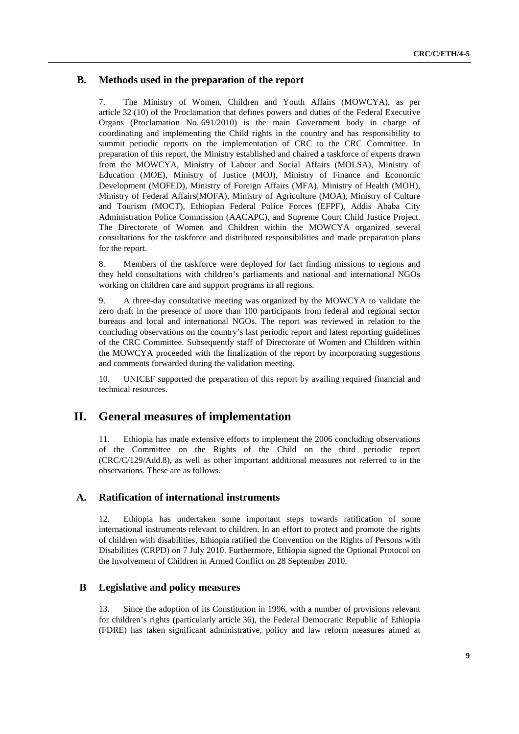### **B. Methods used in the preparation of the report**

7. The Ministry of Women, Children and Youth Affairs (MOWCYA), as per article 32 (10) of the Proclamation that defines powers and duties of the Federal Executive Organs (Proclamation No. 691/2010) is the main Government body in charge of coordinating and implementing the Child rights in the country and has responsibility to summit periodic reports on the implementation of CRC to the CRC Committee. In preparation of this report, the Ministry established and chaired a taskforce of experts drawn from the MOWCYA, Ministry of Labour and Social Affairs (MOLSA), Ministry of Education (MOE), Ministry of Justice (MOJ), Ministry of Finance and Economic Development (MOFED), Ministry of Foreign Affairs (MFA), Ministry of Health (MOH), Ministry of Federal Affairs(MOFA), Ministry of Agriculture (MOA), Ministry of Culture and Tourism (MOCT), Ethiopian Federal Police Forces (EFPF), Addis Ababa City Administration Police Commission (AACAPC), and Supreme Court Child Justice Project. The Directorate of Women and Children within the MOWCYA organized several consultations for the taskforce and distributed responsibilities and made preparation plans for the report.

8. Members of the taskforce were deployed for fact finding missions to regions and they held consultations with children's parliaments and national and international NGOs working on children care and support programs in all regions.

9. A three-day consultative meeting was organized by the MOWCYA to validate the zero draft in the presence of more than 100 participants from federal and regional sector bureaus and local and international NGOs. The report was reviewed in relation to the concluding observations on the country's last periodic report and latest reporting guidelines of the CRC Committee. Subsequently staff of Directorate of Women and Children within the MOWCYA proceeded with the finalization of the report by incorporating suggestions and comments forwarded during the validation meeting.

10. UNICEF supported the preparation of this report by availing required financial and technical resources.

## **II. General measures of implementation**

11. Ethiopia has made extensive efforts to implement the 2006 concluding observations of the Committee on the Rights of the Child on the third periodic report (CRC/C/129/Add.8), as well as other important additional measures not referred to in the observations. These are as follows.

### **A. Ratification of international instruments**

12. Ethiopia has undertaken some important steps towards ratification of some international instruments relevant to children. In an effort to protect and promote the rights of children with disabilities, Ethiopia ratified the Convention on the Rights of Persons with Disabilities (CRPD) on 7 July 2010. Furthermore, Ethiopia signed the Optional Protocol on the Involvement of Children in Armed Conflict on 28 September 2010.

### **B Legislative and policy measures**

13. Since the adoption of its Constitution in 1996, with a number of provisions relevant for children's rights (particularly article 36), the Federal Democratic Republic of Ethiopia (FDRE) has taken significant administrative, policy and law reform measures aimed at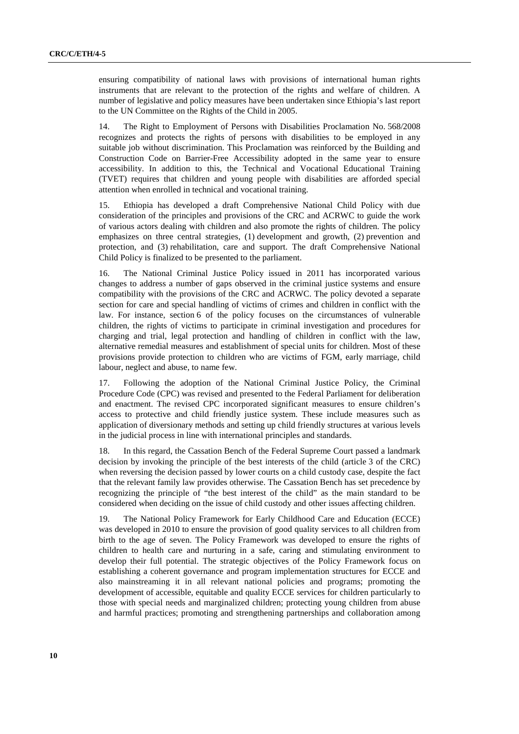ensuring compatibility of national laws with provisions of international human rights instruments that are relevant to the protection of the rights and welfare of children. A number of legislative and policy measures have been undertaken since Ethiopia's last report to the UN Committee on the Rights of the Child in 2005.

14. The Right to Employment of Persons with Disabilities Proclamation No. 568/2008 recognizes and protects the rights of persons with disabilities to be employed in any suitable job without discrimination. This Proclamation was reinforced by the Building and Construction Code on Barrier-Free Accessibility adopted in the same year to ensure accessibility. In addition to this, the Technical and Vocational Educational Training (TVET) requires that children and young people with disabilities are afforded special attention when enrolled in technical and vocational training.

15. Ethiopia has developed a draft Comprehensive National Child Policy with due consideration of the principles and provisions of the CRC and ACRWC to guide the work of various actors dealing with children and also promote the rights of children. The policy emphasizes on three central strategies, (1) development and growth, (2) prevention and protection, and (3) rehabilitation, care and support. The draft Comprehensive National Child Policy is finalized to be presented to the parliament.

16. The National Criminal Justice Policy issued in 2011 has incorporated various changes to address a number of gaps observed in the criminal justice systems and ensure compatibility with the provisions of the CRC and ACRWC. The policy devoted a separate section for care and special handling of victims of crimes and children in conflict with the law. For instance, section 6 of the policy focuses on the circumstances of vulnerable children, the rights of victims to participate in criminal investigation and procedures for charging and trial, legal protection and handling of children in conflict with the law, alternative remedial measures and establishment of special units for children. Most of these provisions provide protection to children who are victims of FGM, early marriage, child labour, neglect and abuse, to name few.

17. Following the adoption of the National Criminal Justice Policy, the Criminal Procedure Code (CPC) was revised and presented to the Federal Parliament for deliberation and enactment. The revised CPC incorporated significant measures to ensure children's access to protective and child friendly justice system. These include measures such as application of diversionary methods and setting up child friendly structures at various levels in the judicial process in line with international principles and standards.

18. In this regard, the Cassation Bench of the Federal Supreme Court passed a landmark decision by invoking the principle of the best interests of the child (article 3 of the CRC) when reversing the decision passed by lower courts on a child custody case, despite the fact that the relevant family law provides otherwise. The Cassation Bench has set precedence by recognizing the principle of "the best interest of the child" as the main standard to be considered when deciding on the issue of child custody and other issues affecting children.

19. The National Policy Framework for Early Childhood Care and Education (ECCE) was developed in 2010 to ensure the provision of good quality services to all children from birth to the age of seven. The Policy Framework was developed to ensure the rights of children to health care and nurturing in a safe, caring and stimulating environment to develop their full potential. The strategic objectives of the Policy Framework focus on establishing a coherent governance and program implementation structures for ECCE and also mainstreaming it in all relevant national policies and programs; promoting the development of accessible, equitable and quality ECCE services for children particularly to those with special needs and marginalized children; protecting young children from abuse and harmful practices; promoting and strengthening partnerships and collaboration among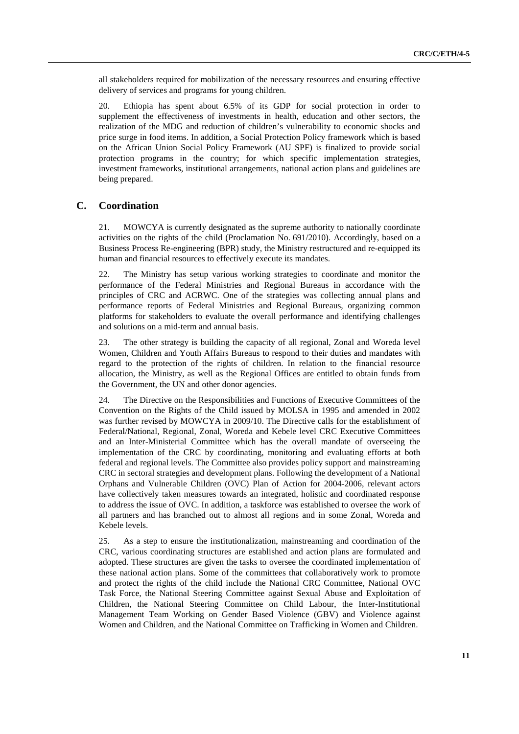all stakeholders required for mobilization of the necessary resources and ensuring effective delivery of services and programs for young children.

20. Ethiopia has spent about 6.5% of its GDP for social protection in order to supplement the effectiveness of investments in health, education and other sectors, the realization of the MDG and reduction of children's vulnerability to economic shocks and price surge in food items. In addition, a Social Protection Policy framework which is based on the African Union Social Policy Framework (AU SPF) is finalized to provide social protection programs in the country; for which specific implementation strategies, investment frameworks, institutional arrangements, national action plans and guidelines are being prepared.

### **C. Coordination**

21. MOWCYA is currently designated as the supreme authority to nationally coordinate activities on the rights of the child (Proclamation No. 691/2010). Accordingly, based on a Business Process Re-engineering (BPR) study, the Ministry restructured and re-equipped its human and financial resources to effectively execute its mandates.

22. The Ministry has setup various working strategies to coordinate and monitor the performance of the Federal Ministries and Regional Bureaus in accordance with the principles of CRC and ACRWC. One of the strategies was collecting annual plans and performance reports of Federal Ministries and Regional Bureaus, organizing common platforms for stakeholders to evaluate the overall performance and identifying challenges and solutions on a mid-term and annual basis.

23. The other strategy is building the capacity of all regional, Zonal and Woreda level Women, Children and Youth Affairs Bureaus to respond to their duties and mandates with regard to the protection of the rights of children. In relation to the financial resource allocation, the Ministry, as well as the Regional Offices are entitled to obtain funds from the Government, the UN and other donor agencies.

24. The Directive on the Responsibilities and Functions of Executive Committees of the Convention on the Rights of the Child issued by MOLSA in 1995 and amended in 2002 was further revised by MOWCYA in 2009/10. The Directive calls for the establishment of Federal/National, Regional, Zonal, Woreda and Kebele level CRC Executive Committees and an Inter-Ministerial Committee which has the overall mandate of overseeing the implementation of the CRC by coordinating, monitoring and evaluating efforts at both federal and regional levels. The Committee also provides policy support and mainstreaming CRC in sectoral strategies and development plans. Following the development of a National Orphans and Vulnerable Children (OVC) Plan of Action for 2004-2006, relevant actors have collectively taken measures towards an integrated, holistic and coordinated response to address the issue of OVC. In addition, a taskforce was established to oversee the work of all partners and has branched out to almost all regions and in some Zonal, Woreda and Kebele levels.

25. As a step to ensure the institutionalization, mainstreaming and coordination of the CRC, various coordinating structures are established and action plans are formulated and adopted. These structures are given the tasks to oversee the coordinated implementation of these national action plans. Some of the committees that collaboratively work to promote and protect the rights of the child include the National CRC Committee, National OVC Task Force, the National Steering Committee against Sexual Abuse and Exploitation of Children, the National Steering Committee on Child Labour, the Inter-Institutional Management Team Working on Gender Based Violence (GBV) and Violence against Women and Children, and the National Committee on Trafficking in Women and Children.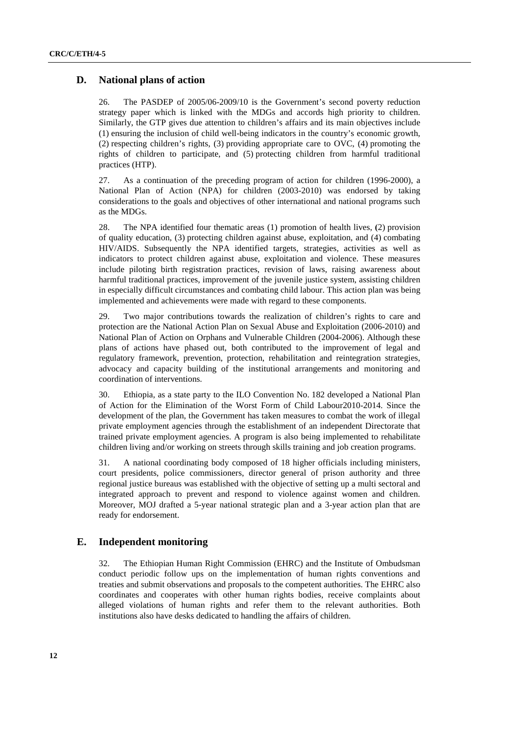### **D. National plans of action**

26. The PASDEP of 2005/06-2009/10 is the Government's second poverty reduction strategy paper which is linked with the MDGs and accords high priority to children. Similarly, the GTP gives due attention to children's affairs and its main objectives include (1) ensuring the inclusion of child well-being indicators in the country's economic growth, (2) respecting children's rights, (3) providing appropriate care to OVC, (4) promoting the rights of children to participate, and (5) protecting children from harmful traditional practices (HTP).

27. As a continuation of the preceding program of action for children (1996-2000), a National Plan of Action (NPA) for children (2003-2010) was endorsed by taking considerations to the goals and objectives of other international and national programs such as the MDGs.

28. The NPA identified four thematic areas (1) promotion of health lives, **(**2) provision of quality education, (3) protecting children against abuse, exploitation, and (4) combating HIV/AIDS. Subsequently the NPA identified targets, strategies, activities as well as indicators to protect children against abuse, exploitation and violence. These measures include piloting birth registration practices, revision of laws, raising awareness about harmful traditional practices, improvement of the juvenile justice system, assisting children in especially difficult circumstances and combating child labour. This action plan was being implemented and achievements were made with regard to these components.

29. Two major contributions towards the realization of children's rights to care and protection are the National Action Plan on Sexual Abuse and Exploitation (2006-2010) and National Plan of Action on Orphans and Vulnerable Children (2004-2006). Although these plans of actions have phased out, both contributed to the improvement of legal and regulatory framework, prevention, protection, rehabilitation and reintegration strategies, advocacy and capacity building of the institutional arrangements and monitoring and coordination of interventions.

30. Ethiopia, as a state party to the ILO Convention No. 182 developed a National Plan of Action for the Elimination of the Worst Form of Child Labour2010-2014. Since the development of the plan, the Government has taken measures to combat the work of illegal private employment agencies through the establishment of an independent Directorate that trained private employment agencies. A program is also being implemented to rehabilitate children living and/or working on streets through skills training and job creation programs.

31. A national coordinating body composed of 18 higher officials including ministers, court presidents, police commissioners, director general of prison authority and three regional justice bureaus was established with the objective of setting up a multi sectoral and integrated approach to prevent and respond to violence against women and children. Moreover, MOJ drafted a 5-year national strategic plan and a 3-year action plan that are ready for endorsement.

### **E. Independent monitoring**

32. The Ethiopian Human Right Commission (EHRC) and the Institute of Ombudsman conduct periodic follow ups on the implementation of human rights conventions and treaties and submit observations and proposals to the competent authorities. The EHRC also coordinates and cooperates with other human rights bodies, receive complaints about alleged violations of human rights and refer them to the relevant authorities. Both institutions also have desks dedicated to handling the affairs of children.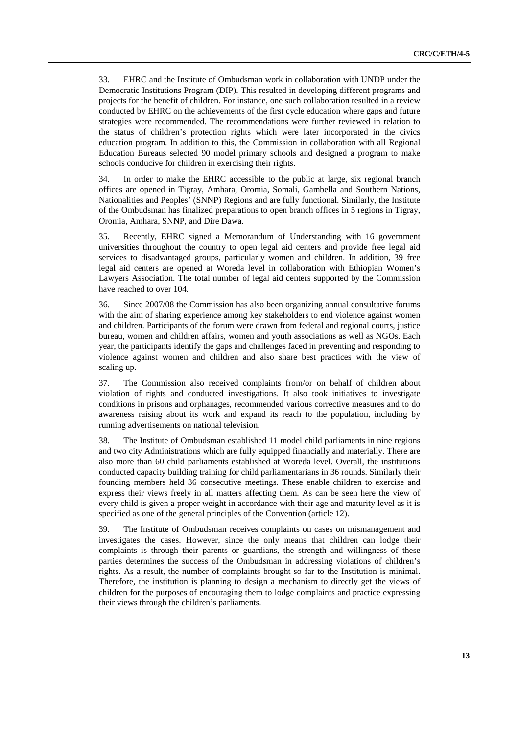33. EHRC and the Institute of Ombudsman work in collaboration with UNDP under the Democratic Institutions Program (DIP). This resulted in developing different programs and projects for the benefit of children. For instance, one such collaboration resulted in a review conducted by EHRC on the achievements of the first cycle education where gaps and future strategies were recommended. The recommendations were further reviewed in relation to the status of children's protection rights which were later incorporated in the civics education program. In addition to this, the Commission in collaboration with all Regional Education Bureaus selected 90 model primary schools and designed a program to make schools conducive for children in exercising their rights.

34. In order to make the EHRC accessible to the public at large, six regional branch offices are opened in Tigray, Amhara, Oromia, Somali, Gambella and Southern Nations, Nationalities and Peoples' (SNNP) Regions and are fully functional. Similarly, the Institute of the Ombudsman has finalized preparations to open branch offices in 5 regions in Tigray, Oromia, Amhara, SNNP, and Dire Dawa.

35. Recently, EHRC signed a Memorandum of Understanding with 16 government universities throughout the country to open legal aid centers and provide free legal aid services to disadvantaged groups, particularly women and children. In addition, 39 free legal aid centers are opened at Woreda level in collaboration with Ethiopian Women's Lawyers Association. The total number of legal aid centers supported by the Commission have reached to over 104.

36. Since 2007/08 the Commission has also been organizing annual consultative forums with the aim of sharing experience among key stakeholders to end violence against women and children. Participants of the forum were drawn from federal and regional courts, justice bureau, women and children affairs, women and youth associations as well as NGOs. Each year, the participants identify the gaps and challenges faced in preventing and responding to violence against women and children and also share best practices with the view of scaling up.

37. The Commission also received complaints from/or on behalf of children about violation of rights and conducted investigations. It also took initiatives to investigate conditions in prisons and orphanages, recommended various corrective measures and to do awareness raising about its work and expand its reach to the population, including by running advertisements on national television.

38. The Institute of Ombudsman established 11 model child parliaments in nine regions and two city Administrations which are fully equipped financially and materially. There are also more than 60 child parliaments established at Woreda level. Overall, the institutions conducted capacity building training for child parliamentarians in 36 rounds. Similarly their founding members held 36 consecutive meetings. These enable children to exercise and express their views freely in all matters affecting them. As can be seen here the view of every child is given a proper weight in accordance with their age and maturity level as it is specified as one of the general principles of the Convention (article 12).

39. The Institute of Ombudsman receives complaints on cases on mismanagement and investigates the cases. However, since the only means that children can lodge their complaints is through their parents or guardians, the strength and willingness of these parties determines the success of the Ombudsman in addressing violations of children's rights. As a result, the number of complaints brought so far to the Institution is minimal. Therefore, the institution is planning to design a mechanism to directly get the views of children for the purposes of encouraging them to lodge complaints and practice expressing their views through the children's parliaments.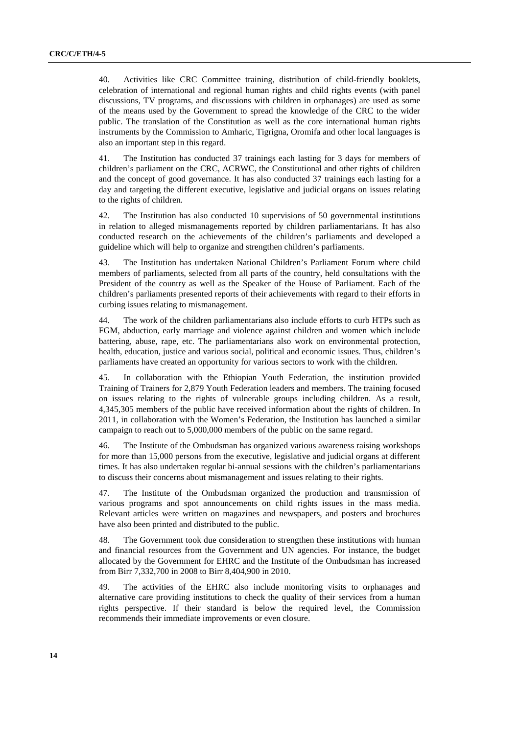40. Activities like CRC Committee training, distribution of child-friendly booklets, celebration of international and regional human rights and child rights events (with panel discussions, TV programs, and discussions with children in orphanages) are used as some of the means used by the Government to spread the knowledge of the CRC to the wider public. The translation of the Constitution as well as the core international human rights instruments by the Commission to Amharic, Tigrigna, Oromifa and other local languages is also an important step in this regard.

41. The Institution has conducted 37 trainings each lasting for 3 days for members of children's parliament on the CRC, ACRWC, the Constitutional and other rights of children and the concept of good governance. It has also conducted 37 trainings each lasting for a day and targeting the different executive, legislative and judicial organs on issues relating to the rights of children.

42. The Institution has also conducted 10 supervisions of 50 governmental institutions in relation to alleged mismanagements reported by children parliamentarians. It has also conducted research on the achievements of the children's parliaments and developed a guideline which will help to organize and strengthen children's parliaments.

43. The Institution has undertaken National Children's Parliament Forum where child members of parliaments, selected from all parts of the country, held consultations with the President of the country as well as the Speaker of the House of Parliament. Each of the children's parliaments presented reports of their achievements with regard to their efforts in curbing issues relating to mismanagement.

44. The work of the children parliamentarians also include efforts to curb HTPs such as FGM, abduction, early marriage and violence against children and women which include battering, abuse, rape, etc. The parliamentarians also work on environmental protection, health, education, justice and various social, political and economic issues. Thus, children's parliaments have created an opportunity for various sectors to work with the children.

45. In collaboration with the Ethiopian Youth Federation, the institution provided Training of Trainers for 2,879 Youth Federation leaders and members. The training focused on issues relating to the rights of vulnerable groups including children. As a result, 4,345,305 members of the public have received information about the rights of children. In 2011, in collaboration with the Women's Federation, the Institution has launched a similar campaign to reach out to 5,000,000 members of the public on the same regard.

46. The Institute of the Ombudsman has organized various awareness raising workshops for more than 15,000 persons from the executive, legislative and judicial organs at different times. It has also undertaken regular bi-annual sessions with the children's parliamentarians to discuss their concerns about mismanagement and issues relating to their rights.

47. The Institute of the Ombudsman organized the production and transmission of various programs and spot announcements on child rights issues in the mass media. Relevant articles were written on magazines and newspapers, and posters and brochures have also been printed and distributed to the public.

48. The Government took due consideration to strengthen these institutions with human and financial resources from the Government and UN agencies. For instance, the budget allocated by the Government for EHRC and the Institute of the Ombudsman has increased from Birr 7,332,700 in 2008 to Birr 8,404,900 in 2010.

49. The activities of the EHRC also include monitoring visits to orphanages and alternative care providing institutions to check the quality of their services from a human rights perspective. If their standard is below the required level, the Commission recommends their immediate improvements or even closure.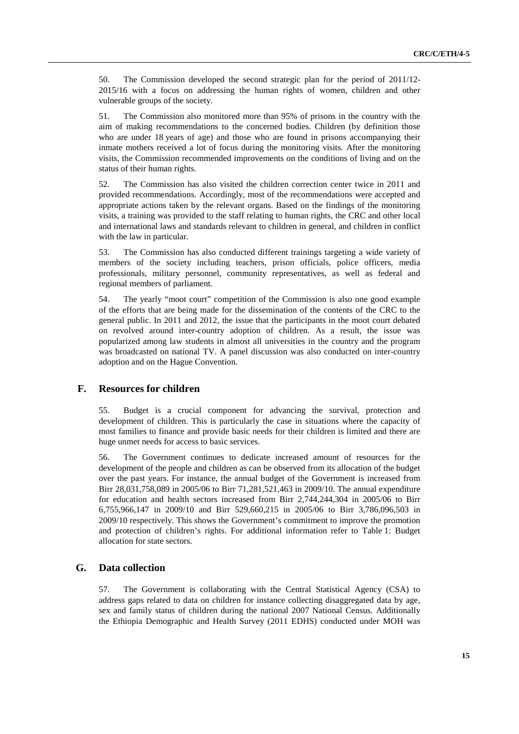50. The Commission developed the second strategic plan for the period of 2011/12- 2015/16 with a focus on addressing the human rights of women, children and other vulnerable groups of the society.

51. The Commission also monitored more than 95% of prisons in the country with the aim of making recommendations to the concerned bodies. Children (by definition those who are under 18 years of age) and those who are found in prisons accompanying their inmate mothers received a lot of focus during the monitoring visits. After the monitoring visits, the Commission recommended improvements on the conditions of living and on the status of their human rights.

52. The Commission has also visited the children correction center twice in 2011 and provided recommendations. Accordingly, most of the recommendations were accepted and appropriate actions taken by the relevant organs. Based on the findings of the monitoring visits, a training was provided to the staff relating to human rights, the CRC and other local and international laws and standards relevant to children in general, and children in conflict with the law in particular.

53. The Commission has also conducted different trainings targeting a wide variety of members of the society including teachers, prison officials, police officers, media professionals, military personnel, community representatives, as well as federal and regional members of parliament.

54. The yearly "moot court" competition of the Commission is also one good example of the efforts that are being made for the dissemination of the contents of the CRC to the general public. In 2011 and 2012, the issue that the participants in the moot court debated on revolved around inter-country adoption of children. As a result, the issue was popularized among law students in almost all universities in the country and the program was broadcasted on national TV. A panel discussion was also conducted on inter-country adoption and on the Hague Convention.

### **F. Resources for children**

55. Budget is a crucial component for advancing the survival, protection and development of children. This is particularly the case in situations where the capacity of most families to finance and provide basic needs for their children is limited and there are huge unmet needs for access to basic services.

56. The Government continues to dedicate increased amount of resources for the development of the people and children as can be observed from its allocation of the budget over the past years. For instance, the annual budget of the Government is increased from Birr 28,031,758,089 in 2005/06 to Birr 71,281,521,463 in 2009/10. The annual expenditure for education and health sectors increased from Birr 2,744,244,304 in 2005/06 to Birr 6,755,966,147 in 2009/10 and Birr 529,660,215 in 2005/06 to Birr 3,786,096,503 in 2009/10 respectively. This shows the Government's commitment to improve the promotion and protection of children's rights. For additional information refer to Table 1: Budget allocation for state sectors.

### **G. Data collection**

57. The Government is collaborating with the Central Statistical Agency (CSA) to address gaps related to data on children for instance collecting disaggregated data by age, sex and family status of children during the national 2007 National Census. Additionally the Ethiopia Demographic and Health Survey (2011 EDHS) conducted under MOH was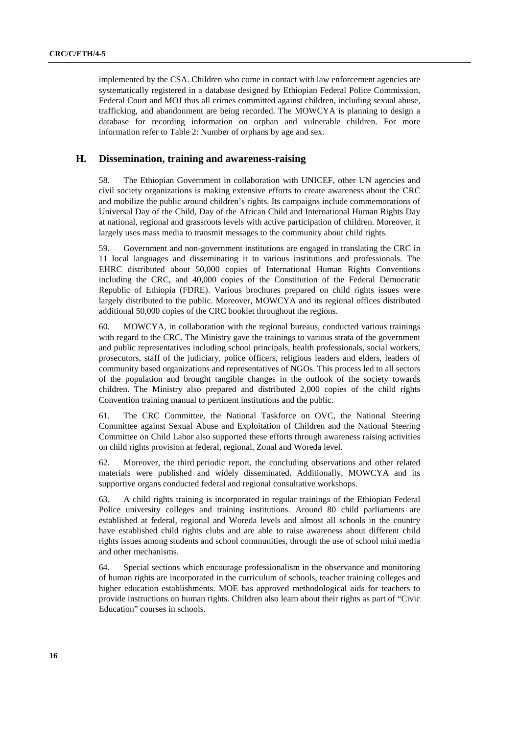implemented by the CSA. Children who come in contact with law enforcement agencies are systematically registered in a database designed by Ethiopian Federal Police Commission, Federal Court and MOJ thus all crimes committed against children, including sexual abuse, trafficking, and abandonment are being recorded. The MOWCYA is planning to design a database for recording information on orphan and vulnerable children. For more information refer to Table 2: Number of orphans by age and sex.

### **H. Dissemination, training and awareness-raising**

58. The Ethiopian Government in collaboration with UNICEF, other UN agencies and civil society organizations is making extensive efforts to create awareness about the CRC and mobilize the public around children's rights. Its campaigns include commemorations of Universal Day of the Child, Day of the African Child and International Human Rights Day at national, regional and grassroots levels with active participation of children. Moreover, it largely uses mass media to transmit messages to the community about child rights.

59. Government and non-government institutions are engaged in translating the CRC in 11 local languages and disseminating it to various institutions and professionals. The EHRC distributed about 50,000 copies of International Human Rights Conventions including the CRC, and 40,000 copies of the Constitution of the Federal Democratic Republic of Ethiopia (FDRE). Various brochures prepared on child rights issues were largely distributed to the public. Moreover, MOWCYA and its regional offices distributed additional 50,000 copies of the CRC booklet throughout the regions.

60. MOWCYA, in collaboration with the regional bureaus, conducted various trainings with regard to the CRC. The Ministry gave the trainings to various strata of the government and public representatives including school principals, health professionals, social workers, prosecutors, staff of the judiciary, police officers, religious leaders and elders, leaders of community based organizations and representatives of NGOs. This process led to all sectors of the population and brought tangible changes in the outlook of the society towards children. The Ministry also prepared and distributed 2,000 copies of the child rights Convention training manual to pertinent institutions and the public.

61. The CRC Committee, the National Taskforce on OVC, the National Steering Committee against Sexual Abuse and Exploitation of Children and the National Steering Committee on Child Labor also supported these efforts through awareness raising activities on child rights provision at federal, regional, Zonal and Woreda level.

62. Moreover, the third periodic report, the concluding observations and other related materials were published and widely disseminated. Additionally, MOWCYA and its supportive organs conducted federal and regional consultative workshops.

63. A child rights training is incorporated in regular trainings of the Ethiopian Federal Police university colleges and training institutions. Around 80 child parliaments are established at federal, regional and Woreda levels and almost all schools in the country have established child rights clubs and are able to raise awareness about different child rights issues among students and school communities, through the use of school mini media and other mechanisms.

64. Special sections which encourage professionalism in the observance and monitoring of human rights are incorporated in the curriculum of schools, teacher training colleges and higher education establishments. MOE has approved methodological aids for teachers to provide instructions on human rights. Children also learn about their rights as part of "Civic Education" courses in schools.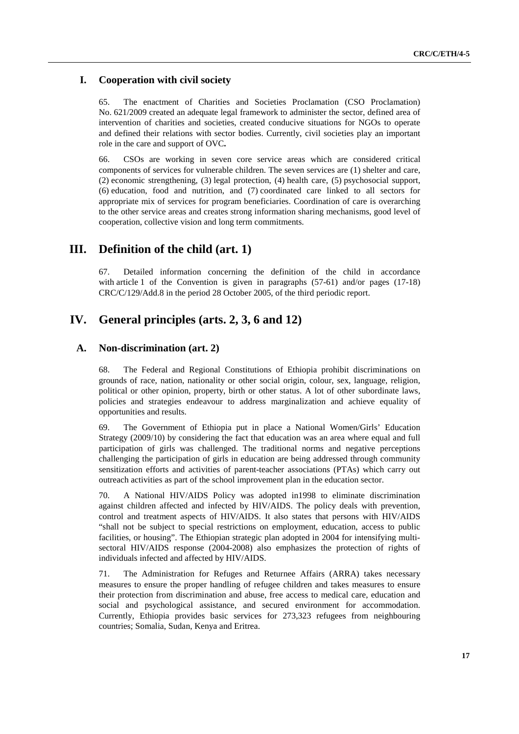### **I. Cooperation with civil society**

65. The enactment of Charities and Societies Proclamation (CSO Proclamation) No. 621/2009 created an adequate legal framework to administer the sector, defined area of intervention of charities and societies, created conducive situations for NGOs to operate and defined their relations with sector bodies. Currently, civil societies play an important role in the care and support of OVC**.** 

66. CSOs are working in seven core service areas which are considered critical components of services for vulnerable children. The seven services are (1) shelter and care, (2) economic strengthening, (3) legal protection, (4) health care, (5) psychosocial support, (6) education, food and nutrition, and (7) coordinated care linked to all sectors for appropriate mix of services for program beneficiaries. Coordination of care is overarching to the other service areas and creates strong information sharing mechanisms, good level of cooperation, collective vision and long term commitments.

## **III. Definition of the child (art. 1)**

67. Detailed information concerning the definition of the child in accordance with article 1 of the Convention is given in paragraphs (57-61) and/or pages (17-18) CRC/C/129/Add.8 in the period 28 October 2005, of the third periodic report.

## **IV. General principles (arts. 2, 3, 6 and 12)**

### **A. Non-discrimination (art. 2)**

68. The Federal and Regional Constitutions of Ethiopia prohibit discriminations on grounds of race, nation, nationality or other social origin, colour, sex, language, religion, political or other opinion, property, birth or other status. A lot of other subordinate laws, policies and strategies endeavour to address marginalization and achieve equality of opportunities and results.

69. The Government of Ethiopia put in place a National Women/Girls' Education Strategy (2009/10) by considering the fact that education was an area where equal and full participation of girls was challenged. The traditional norms and negative perceptions challenging the participation of girls in education are being addressed through community sensitization efforts and activities of parent-teacher associations (PTAs) which carry out outreach activities as part of the school improvement plan in the education sector.

70. A National HIV/AIDS Policy was adopted in1998 to eliminate discrimination against children affected and infected by HIV/AIDS. The policy deals with prevention, control and treatment aspects of HIV/AIDS. It also states that persons with HIV/AIDS "shall not be subject to special restrictions on employment, education, access to public facilities, or housing". The Ethiopian strategic plan adopted in 2004 for intensifying multisectoral HIV/AIDS response (2004-2008) also emphasizes the protection of rights of individuals infected and affected by HIV/AIDS.

71. The Administration for Refuges and Returnee Affairs (ARRA) takes necessary measures to ensure the proper handling of refugee children and takes measures to ensure their protection from discrimination and abuse, free access to medical care, education and social and psychological assistance, and secured environment for accommodation. Currently, Ethiopia provides basic services for 273,323 refugees from neighbouring countries; Somalia, Sudan, Kenya and Eritrea.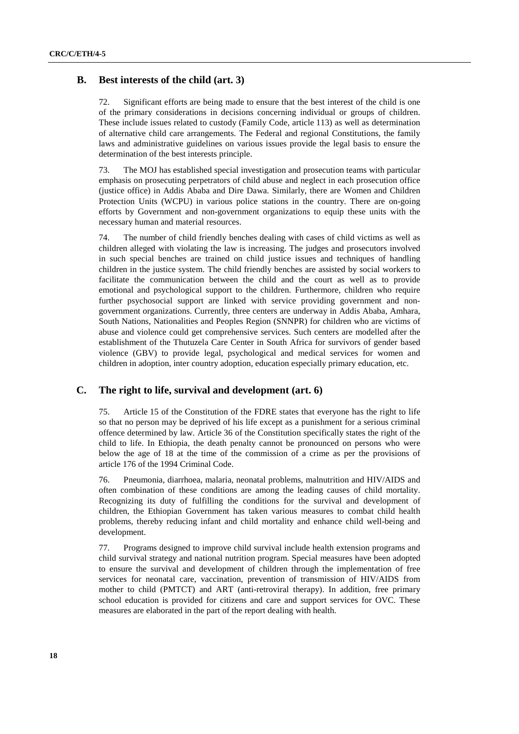### **B. Best interests of the child (art. 3)**

72. Significant efforts are being made to ensure that the best interest of the child is one of the primary considerations in decisions concerning individual or groups of children. These include issues related to custody (Family Code, article 113) as well as determination of alternative child care arrangements. The Federal and regional Constitutions, the family laws and administrative guidelines on various issues provide the legal basis to ensure the determination of the best interests principle.

73. The MOJ has established special investigation and prosecution teams with particular emphasis on prosecuting perpetrators of child abuse and neglect in each prosecution office (justice office) in Addis Ababa and Dire Dawa. Similarly, there are Women and Children Protection Units (WCPU) in various police stations in the country. There are on-going efforts by Government and non-government organizations to equip these units with the necessary human and material resources.

74. The number of child friendly benches dealing with cases of child victims as well as children alleged with violating the law is increasing. The judges and prosecutors involved in such special benches are trained on child justice issues and techniques of handling children in the justice system. The child friendly benches are assisted by social workers to facilitate the communication between the child and the court as well as to provide emotional and psychological support to the children. Furthermore, children who require further psychosocial support are linked with service providing government and nongovernment organizations. Currently, three centers are underway in Addis Ababa, Amhara, South Nations, Nationalities and Peoples Region (SNNPR) for children who are victims of abuse and violence could get comprehensive services. Such centers are modelled after the establishment of the Thutuzela Care Center in South Africa for survivors of gender based violence (GBV) to provide legal, psychological and medical services for women and children in adoption, inter country adoption, education especially primary education, etc.

### **C. The right to life, survival and development (art. 6)**

75. Article 15 of the Constitution of the FDRE states that everyone has the right to life so that no person may be deprived of his life except as a punishment for a serious criminal offence determined by law. Article 36 of the Constitution specifically states the right of the child to life. In Ethiopia, the death penalty cannot be pronounced on persons who were below the age of 18 at the time of the commission of a crime as per the provisions of article 176 of the 1994 Criminal Code.

76. Pneumonia, diarrhoea, malaria, neonatal problems, malnutrition and HIV/AIDS and often combination of these conditions are among the leading causes of child mortality. Recognizing its duty of fulfilling the conditions for the survival and development of children, the Ethiopian Government has taken various measures to combat child health problems, thereby reducing infant and child mortality and enhance child well-being and development.

77. Programs designed to improve child survival include health extension programs and child survival strategy and national nutrition program. Special measures have been adopted to ensure the survival and development of children through the implementation of free services for neonatal care, vaccination, prevention of transmission of HIV/AIDS from mother to child (PMTCT) and ART (anti-retroviral therapy). In addition, free primary school education is provided for citizens and care and support services for OVC. These measures are elaborated in the part of the report dealing with health.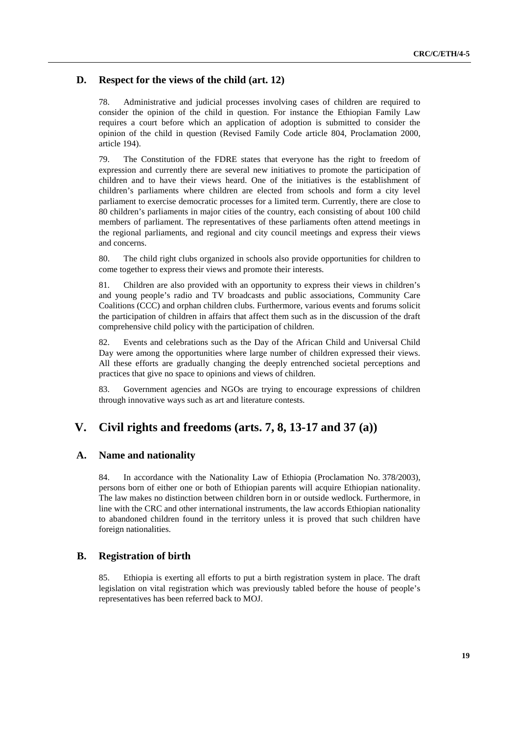### **D. Respect for the views of the child (art. 12)**

78. Administrative and judicial processes involving cases of children are required to consider the opinion of the child in question. For instance the Ethiopian Family Law requires a court before which an application of adoption is submitted to consider the opinion of the child in question (Revised Family Code article 804, Proclamation 2000, article 194).

79. The Constitution of the FDRE states that everyone has the right to freedom of expression and currently there are several new initiatives to promote the participation of children and to have their views heard. One of the initiatives is the establishment of children's parliaments where children are elected from schools and form a city level parliament to exercise democratic processes for a limited term. Currently, there are close to 80 children's parliaments in major cities of the country, each consisting of about 100 child members of parliament. The representatives of these parliaments often attend meetings in the regional parliaments, and regional and city council meetings and express their views and concerns.

80. The child right clubs organized in schools also provide opportunities for children to come together to express their views and promote their interests.

81. Children are also provided with an opportunity to express their views in children's and young people's radio and TV broadcasts and public associations, Community Care Coalitions (CCC) and orphan children clubs. Furthermore, various events and forums solicit the participation of children in affairs that affect them such as in the discussion of the draft comprehensive child policy with the participation of children.

82. Events and celebrations such as the Day of the African Child and Universal Child Day were among the opportunities where large number of children expressed their views. All these efforts are gradually changing the deeply entrenched societal perceptions and practices that give no space to opinions and views of children.

83. Government agencies and NGOs are trying to encourage expressions of children through innovative ways such as art and literature contests.

## **V. Civil rights and freedoms (arts. 7, 8, 13-17 and 37 (a))**

### **A. Name and nationality**

84. In accordance with the Nationality Law of Ethiopia (Proclamation No. 378/2003), persons born of either one or both of Ethiopian parents will acquire Ethiopian nationality. The law makes no distinction between children born in or outside wedlock. Furthermore, in line with the CRC and other international instruments, the law accords Ethiopian nationality to abandoned children found in the territory unless it is proved that such children have foreign nationalities.

#### **B. Registration of birth**

85. Ethiopia is exerting all efforts to put a birth registration system in place. The draft legislation on vital registration which was previously tabled before the house of people's representatives has been referred back to MOJ.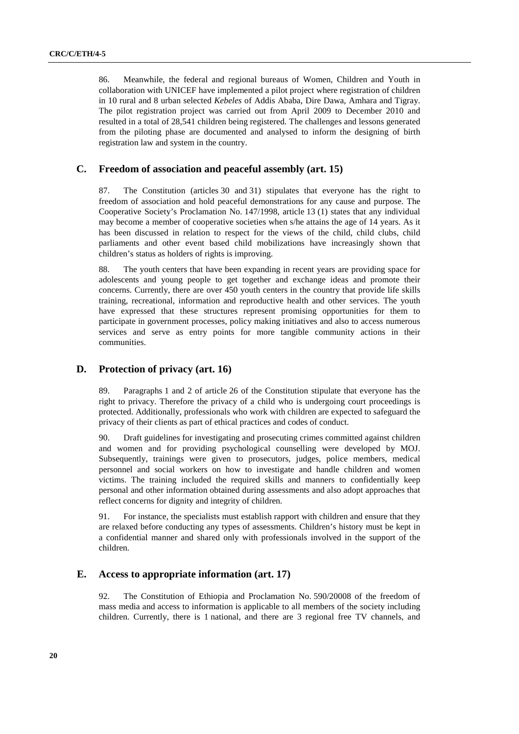86. Meanwhile, the federal and regional bureaus of Women, Children and Youth in collaboration with UNICEF have implemented a pilot project where registration of children in 10 rural and 8 urban selected *Kebeles* of Addis Ababa, Dire Dawa, Amhara and Tigray. The pilot registration project was carried out from April 2009 to December 2010 and resulted in a total of 28,541 children being registered. The challenges and lessons generated from the piloting phase are documented and analysed to inform the designing of birth registration law and system in the country.

### **C. Freedom of association and peaceful assembly (art. 15)**

87. The Constitution (articles 30 and 31) stipulates that everyone has the right to freedom of association and hold peaceful demonstrations for any cause and purpose. The Cooperative Society's Proclamation No. 147/1998, article 13 (1) states that any individual may become a member of cooperative societies when s/he attains the age of 14 years. As it has been discussed in relation to respect for the views of the child, child clubs, child parliaments and other event based child mobilizations have increasingly shown that children's status as holders of rights is improving.

88. The youth centers that have been expanding in recent years are providing space for adolescents and young people to get together and exchange ideas and promote their concerns. Currently, there are over 450 youth centers in the country that provide life skills training, recreational, information and reproductive health and other services. The youth have expressed that these structures represent promising opportunities for them to participate in government processes, policy making initiatives and also to access numerous services and serve as entry points for more tangible community actions in their communities.

### **D. Protection of privacy (art. 16)**

89. Paragraphs 1 and 2 of article 26 of the Constitution stipulate that everyone has the right to privacy. Therefore the privacy of a child who is undergoing court proceedings is protected. Additionally, professionals who work with children are expected to safeguard the privacy of their clients as part of ethical practices and codes of conduct.

90. Draft guidelines for investigating and prosecuting crimes committed against children and women and for providing psychological counselling were developed by MOJ. Subsequently, trainings were given to prosecutors, judges, police members, medical personnel and social workers on how to investigate and handle children and women victims. The training included the required skills and manners to confidentially keep personal and other information obtained during assessments and also adopt approaches that reflect concerns for dignity and integrity of children.

91. For instance, the specialists must establish rapport with children and ensure that they are relaxed before conducting any types of assessments. Children's history must be kept in a confidential manner and shared only with professionals involved in the support of the children.

### **E. Access to appropriate information (art. 17)**

92. The Constitution of Ethiopia and Proclamation No. 590/20008 of the freedom of mass media and access to information is applicable to all members of the society including children. Currently, there is 1 national, and there are 3 regional free TV channels, and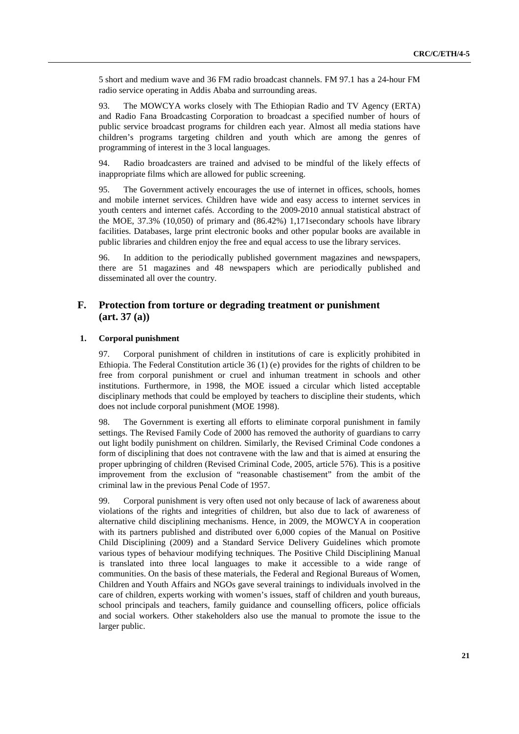5 short and medium wave and 36 FM radio broadcast channels. FM 97.1 has a 24-hour FM radio service operating in Addis Ababa and surrounding areas.

93. The MOWCYA works closely with The Ethiopian Radio and TV Agency (ERTA) and Radio Fana Broadcasting Corporation to broadcast a specified number of hours of public service broadcast programs for children each year. Almost all media stations have children's programs targeting children and youth which are among the genres of programming of interest in the 3 local languages.

94. Radio broadcasters are trained and advised to be mindful of the likely effects of inappropriate films which are allowed for public screening.

95. The Government actively encourages the use of internet in offices, schools, homes and mobile internet services. Children have wide and easy access to internet services in youth centers and internet cafés. According to the 2009-2010 annual statistical abstract of the MOE, 37.3% (10,050) of primary and (86.42%) 1,171secondary schools have library facilities. Databases, large print electronic books and other popular books are available in public libraries and children enjoy the free and equal access to use the library services.

96. In addition to the periodically published government magazines and newspapers, there are 51 magazines and 48 newspapers which are periodically published and disseminated all over the country.

## **F. Protection from torture or degrading treatment or punishment (art. 37 (a))**

#### **1. Corporal punishment**

97. Corporal punishment of children in institutions of care is explicitly prohibited in Ethiopia. The Federal Constitution article 36 (1) (e) provides for the rights of children to be free from corporal punishment or cruel and inhuman treatment in schools and other institutions. Furthermore, in 1998, the MOE issued a circular which listed acceptable disciplinary methods that could be employed by teachers to discipline their students, which does not include corporal punishment (MOE 1998).

98. The Government is exerting all efforts to eliminate corporal punishment in family settings. The Revised Family Code of 2000 has removed the authority of guardians to carry out light bodily punishment on children. Similarly, the Revised Criminal Code condones a form of disciplining that does not contravene with the law and that is aimed at ensuring the proper upbringing of children (Revised Criminal Code, 2005, article 576). This is a positive improvement from the exclusion of "reasonable chastisement" from the ambit of the criminal law in the previous Penal Code of 1957.

99. Corporal punishment is very often used not only because of lack of awareness about violations of the rights and integrities of children, but also due to lack of awareness of alternative child disciplining mechanisms. Hence, in 2009, the MOWCYA in cooperation with its partners published and distributed over 6,000 copies of the Manual on Positive Child Disciplining (2009) and a Standard Service Delivery Guidelines which promote various types of behaviour modifying techniques. The Positive Child Disciplining Manual is translated into three local languages to make it accessible to a wide range of communities. On the basis of these materials, the Federal and Regional Bureaus of Women, Children and Youth Affairs and NGOs gave several trainings to individuals involved in the care of children, experts working with women's issues, staff of children and youth bureaus, school principals and teachers, family guidance and counselling officers, police officials and social workers. Other stakeholders also use the manual to promote the issue to the larger public.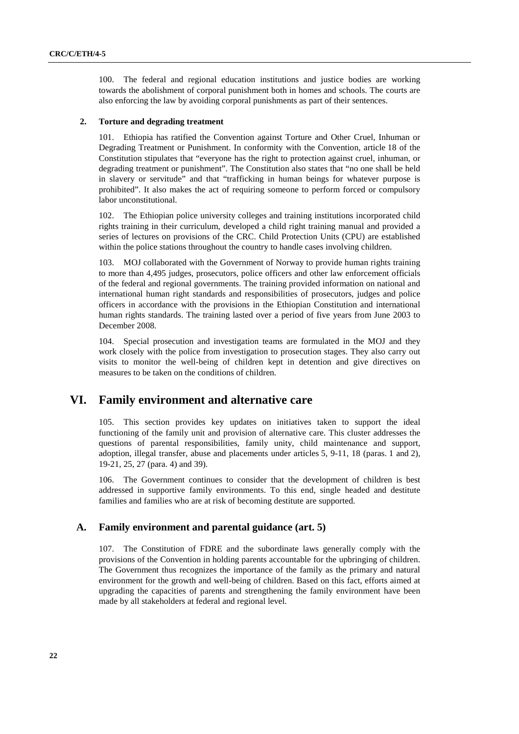100. The federal and regional education institutions and justice bodies are working towards the abolishment of corporal punishment both in homes and schools. The courts are also enforcing the law by avoiding corporal punishments as part of their sentences.

#### **2. Torture and degrading treatment**

101. Ethiopia has ratified the Convention against Torture and Other Cruel, Inhuman or Degrading Treatment or Punishment. In conformity with the Convention, article 18 of the Constitution stipulates that "everyone has the right to protection against cruel, inhuman, or degrading treatment or punishment". The Constitution also states that "no one shall be held in slavery or servitude" and that "trafficking in human beings for whatever purpose is prohibited". It also makes the act of requiring someone to perform forced or compulsory labor unconstitutional.

102. The Ethiopian police university colleges and training institutions incorporated child rights training in their curriculum, developed a child right training manual and provided a series of lectures on provisions of the CRC. Child Protection Units (CPU) are established within the police stations throughout the country to handle cases involving children.

103. MOJ collaborated with the Government of Norway to provide human rights training to more than 4,495 judges, prosecutors, police officers and other law enforcement officials of the federal and regional governments. The training provided information on national and international human right standards and responsibilities of prosecutors, judges and police officers in accordance with the provisions in the Ethiopian Constitution and international human rights standards. The training lasted over a period of five years from June 2003 to December 2008.

104. Special prosecution and investigation teams are formulated in the MOJ and they work closely with the police from investigation to prosecution stages. They also carry out visits to monitor the well-being of children kept in detention and give directives on measures to be taken on the conditions of children.

## **VI. Family environment and alternative care**

105. This section provides key updates on initiatives taken to support the ideal functioning of the family unit and provision of alternative care. This cluster addresses the questions of parental responsibilities, family unity, child maintenance and support, adoption, illegal transfer, abuse and placements under articles 5, 9-11, 18 (paras. 1 and 2), 19-21, 25, 27 (para. 4) and 39).

106. The Government continues to consider that the development of children is best addressed in supportive family environments. To this end, single headed and destitute families and families who are at risk of becoming destitute are supported.

#### **A. Family environment and parental guidance (art. 5)**

107. The Constitution of FDRE and the subordinate laws generally comply with the provisions of the Convention in holding parents accountable for the upbringing of children. The Government thus recognizes the importance of the family as the primary and natural environment for the growth and well-being of children. Based on this fact, efforts aimed at upgrading the capacities of parents and strengthening the family environment have been made by all stakeholders at federal and regional level.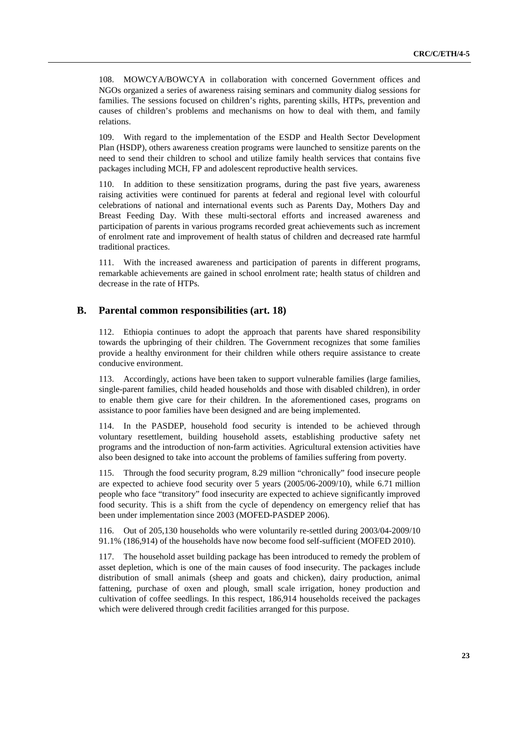108. MOWCYA/BOWCYA in collaboration with concerned Government offices and NGOs organized a series of awareness raising seminars and community dialog sessions for families. The sessions focused on children's rights, parenting skills, HTPs, prevention and causes of children's problems and mechanisms on how to deal with them, and family relations.

109. With regard to the implementation of the ESDP and Health Sector Development Plan (HSDP), others awareness creation programs were launched to sensitize parents on the need to send their children to school and utilize family health services that contains five packages including MCH, FP and adolescent reproductive health services.

110. In addition to these sensitization programs, during the past five years, awareness raising activities were continued for parents at federal and regional level with colourful celebrations of national and international events such as Parents Day, Mothers Day and Breast Feeding Day. With these multi-sectoral efforts and increased awareness and participation of parents in various programs recorded great achievements such as increment of enrolment rate and improvement of health status of children and decreased rate harmful traditional practices.

111. With the increased awareness and participation of parents in different programs, remarkable achievements are gained in school enrolment rate; health status of children and decrease in the rate of HTPs.

#### **B. Parental common responsibilities (art. 18)**

112. Ethiopia continues to adopt the approach that parents have shared responsibility towards the upbringing of their children. The Government recognizes that some families provide a healthy environment for their children while others require assistance to create conducive environment.

113. Accordingly, actions have been taken to support vulnerable families (large families, single-parent families, child headed households and those with disabled children), in order to enable them give care for their children. In the aforementioned cases, programs on assistance to poor families have been designed and are being implemented.

114. In the PASDEP, household food security is intended to be achieved through voluntary resettlement, building household assets, establishing productive safety net programs and the introduction of non-farm activities. Agricultural extension activities have also been designed to take into account the problems of families suffering from poverty.

115. Through the food security program, 8.29 million "chronically" food insecure people are expected to achieve food security over 5 years (2005/06-2009/10), while 6.71 million people who face "transitory" food insecurity are expected to achieve significantly improved food security. This is a shift from the cycle of dependency on emergency relief that has been under implementation since 2003 (MOFED-PASDEP 2006).

116. Out of 205,130 households who were voluntarily re-settled during 2003/04-2009/10 91.1% (186,914) of the households have now become food self-sufficient (MOFED 2010).

117. The household asset building package has been introduced to remedy the problem of asset depletion, which is one of the main causes of food insecurity. The packages include distribution of small animals (sheep and goats and chicken), dairy production, animal fattening, purchase of oxen and plough, small scale irrigation, honey production and cultivation of coffee seedlings. In this respect, 186,914 households received the packages which were delivered through credit facilities arranged for this purpose.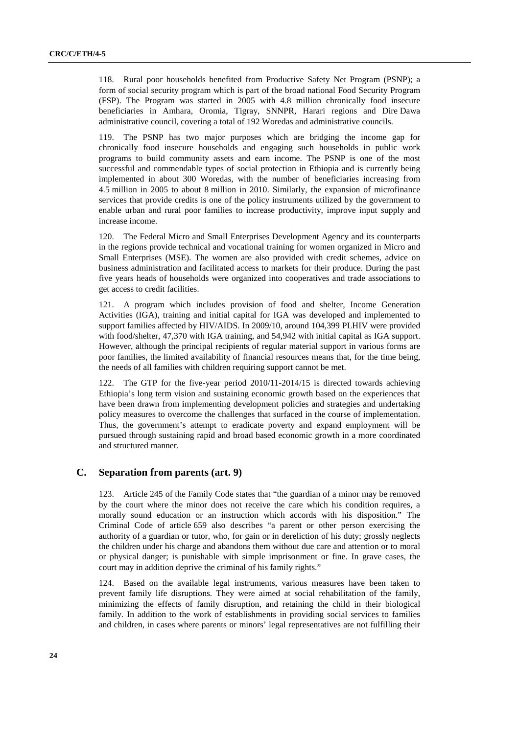118. Rural poor households benefited from Productive Safety Net Program (PSNP); a form of social security program which is part of the broad national Food Security Program (FSP). The Program was started in 2005 with 4.8 million chronically food insecure beneficiaries in Amhara, Oromia, Tigray, SNNPR, Harari regions and Dire Dawa administrative council, covering a total of 192 Woredas and administrative councils.

119. The PSNP has two major purposes which are bridging the income gap for chronically food insecure households and engaging such households in public work programs to build community assets and earn income. The PSNP is one of the most successful and commendable types of social protection in Ethiopia and is currently being implemented in about 300 Woredas, with the number of beneficiaries increasing from 4.5 million in 2005 to about 8 million in 2010. Similarly, the expansion of microfinance services that provide credits is one of the policy instruments utilized by the government to enable urban and rural poor families to increase productivity, improve input supply and increase income.

120. The Federal Micro and Small Enterprises Development Agency and its counterparts in the regions provide technical and vocational training for women organized in Micro and Small Enterprises (MSE). The women are also provided with credit schemes, advice on business administration and facilitated access to markets for their produce. During the past five years heads of households were organized into cooperatives and trade associations to get access to credit facilities.

121. A program which includes provision of food and shelter, Income Generation Activities (IGA), training and initial capital for IGA was developed and implemented to support families affected by HIV/AIDS. In 2009/10, around 104,399 PLHIV were provided with food/shelter, 47,370 with IGA training, and 54,942 with initial capital as IGA support. However, although the principal recipients of regular material support in various forms are poor families, the limited availability of financial resources means that, for the time being, the needs of all families with children requiring support cannot be met.

122. The GTP for the five-year period 2010/11-2014/15 is directed towards achieving Ethiopia's long term vision and sustaining economic growth based on the experiences that have been drawn from implementing development policies and strategies and undertaking policy measures to overcome the challenges that surfaced in the course of implementation. Thus, the government's attempt to eradicate poverty and expand employment will be pursued through sustaining rapid and broad based economic growth in a more coordinated and structured manner.

### **C. Separation from parents (art. 9)**

123. Article 245 of the Family Code states that "the guardian of a minor may be removed by the court where the minor does not receive the care which his condition requires, a morally sound education or an instruction which accords with his disposition." The Criminal Code of article 659 also describes "a parent or other person exercising the authority of a guardian or tutor, who, for gain or in dereliction of his duty; grossly neglects the children under his charge and abandons them without due care and attention or to moral or physical danger; is punishable with simple imprisonment or fine. In grave cases, the court may in addition deprive the criminal of his family rights."

124. Based on the available legal instruments, various measures have been taken to prevent family life disruptions. They were aimed at social rehabilitation of the family, minimizing the effects of family disruption, and retaining the child in their biological family. In addition to the work of establishments in providing social services to families and children, in cases where parents or minors' legal representatives are not fulfilling their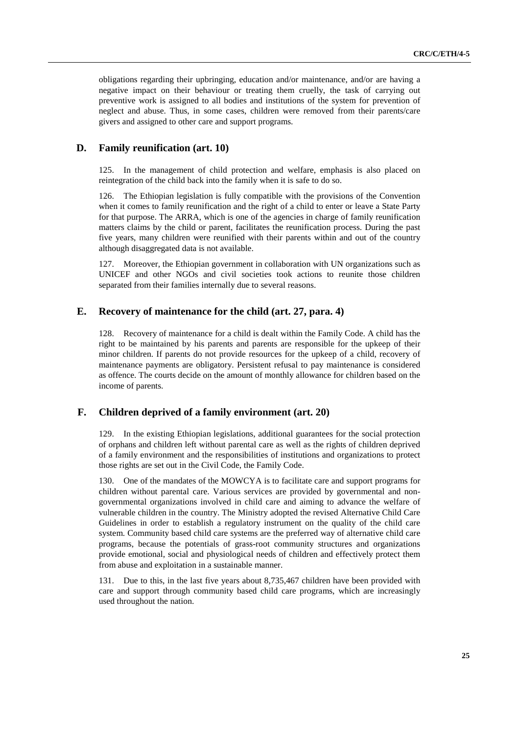obligations regarding their upbringing, education and/or maintenance, and/or are having a negative impact on their behaviour or treating them cruelly, the task of carrying out preventive work is assigned to all bodies and institutions of the system for prevention of neglect and abuse. Thus, in some cases, children were removed from their parents/care givers and assigned to other care and support programs.

### **D. Family reunification (art. 10)**

125. In the management of child protection and welfare, emphasis is also placed on reintegration of the child back into the family when it is safe to do so.

126. The Ethiopian legislation is fully compatible with the provisions of the Convention when it comes to family reunification and the right of a child to enter or leave a State Party for that purpose. The ARRA, which is one of the agencies in charge of family reunification matters claims by the child or parent, facilitates the reunification process. During the past five years, many children were reunified with their parents within and out of the country although disaggregated data is not available.

127. Moreover, the Ethiopian government in collaboration with UN organizations such as UNICEF and other NGOs and civil societies took actions to reunite those children separated from their families internally due to several reasons.

### **E. Recovery of maintenance for the child (art. 27, para. 4)**

128. Recovery of maintenance for a child is dealt within the Family Code. A child has the right to be maintained by his parents and parents are responsible for the upkeep of their minor children. If parents do not provide resources for the upkeep of a child, recovery of maintenance payments are obligatory. Persistent refusal to pay maintenance is considered as offence. The courts decide on the amount of monthly allowance for children based on the income of parents.

## **F. Children deprived of a family environment (art. 20)**

129. In the existing Ethiopian legislations, additional guarantees for the social protection of orphans and children left without parental care as well as the rights of children deprived of a family environment and the responsibilities of institutions and organizations to protect those rights are set out in the Civil Code, the Family Code.

130. One of the mandates of the MOWCYA is to facilitate care and support programs for children without parental care. Various services are provided by governmental and nongovernmental organizations involved in child care and aiming to advance the welfare of vulnerable children in the country. The Ministry adopted the revised Alternative Child Care Guidelines in order to establish a regulatory instrument on the quality of the child care system. Community based child care systems are the preferred way of alternative child care programs, because the potentials of grass-root community structures and organizations provide emotional, social and physiological needs of children and effectively protect them from abuse and exploitation in a sustainable manner.

131. Due to this, in the last five years about 8,735,467 children have been provided with care and support through community based child care programs, which are increasingly used throughout the nation.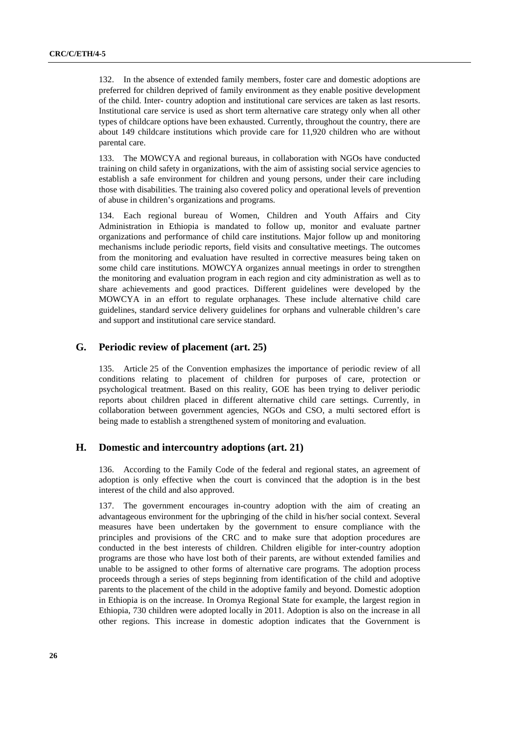132. In the absence of extended family members, foster care and domestic adoptions are preferred for children deprived of family environment as they enable positive development of the child. Inter- country adoption and institutional care services are taken as last resorts. Institutional care service is used as short term alternative care strategy only when all other types of childcare options have been exhausted. Currently, throughout the country, there are about 149 childcare institutions which provide care for 11,920 children who are without parental care.

133. The MOWCYA and regional bureaus, in collaboration with NGOs have conducted training on child safety in organizations, with the aim of assisting social service agencies to establish a safe environment for children and young persons, under their care including those with disabilities. The training also covered policy and operational levels of prevention of abuse in children's organizations and programs.

134. Each regional bureau of Women, Children and Youth Affairs and City Administration in Ethiopia is mandated to follow up, monitor and evaluate partner organizations and performance of child care institutions. Major follow up and monitoring mechanisms include periodic reports, field visits and consultative meetings. The outcomes from the monitoring and evaluation have resulted in corrective measures being taken on some child care institutions. MOWCYA organizes annual meetings in order to strengthen the monitoring and evaluation program in each region and city administration as well as to share achievements and good practices. Different guidelines were developed by the MOWCYA in an effort to regulate orphanages. These include alternative child care guidelines, standard service delivery guidelines for orphans and vulnerable children's care and support and institutional care service standard.

#### **G. Periodic review of placement (art. 25)**

135. Article 25 of the Convention emphasizes the importance of periodic review of all conditions relating to placement of children for purposes of care, protection or psychological treatment. Based on this reality, GOE has been trying to deliver periodic reports about children placed in different alternative child care settings. Currently, in collaboration between government agencies, NGOs and CSO, a multi sectored effort is being made to establish a strengthened system of monitoring and evaluation.

### **H. Domestic and intercountry adoptions (art. 21)**

136. According to the Family Code of the federal and regional states, an agreement of adoption is only effective when the court is convinced that the adoption is in the best interest of the child and also approved.

137. The government encourages in-country adoption with the aim of creating an advantageous environment for the upbringing of the child in his/her social context. Several measures have been undertaken by the government to ensure compliance with the principles and provisions of the CRC and to make sure that adoption procedures are conducted in the best interests of children. Children eligible for inter-country adoption programs are those who have lost both of their parents, are without extended families and unable to be assigned to other forms of alternative care programs. The adoption process proceeds through a series of steps beginning from identification of the child and adoptive parents to the placement of the child in the adoptive family and beyond. Domestic adoption in Ethiopia is on the increase. In Oromya Regional State for example, the largest region in Ethiopia, 730 children were adopted locally in 2011. Adoption is also on the increase in all other regions. This increase in domestic adoption indicates that the Government is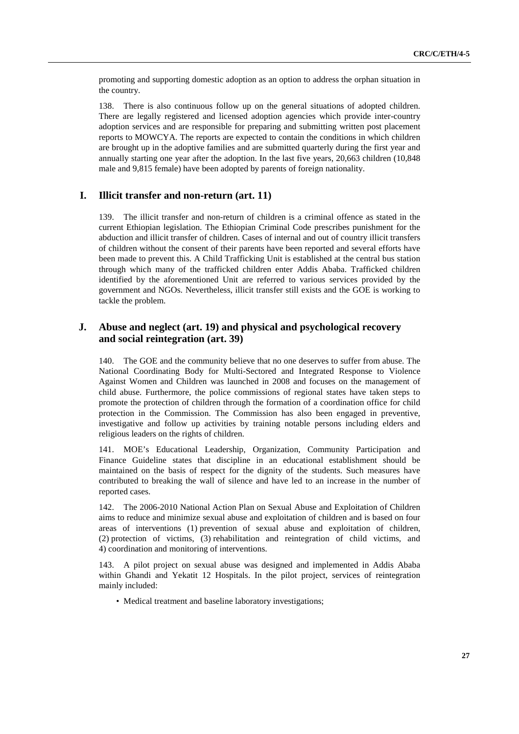promoting and supporting domestic adoption as an option to address the orphan situation in the country.

138. There is also continuous follow up on the general situations of adopted children. There are legally registered and licensed adoption agencies which provide inter-country adoption services and are responsible for preparing and submitting written post placement reports to MOWCYA. The reports are expected to contain the conditions in which children are brought up in the adoptive families and are submitted quarterly during the first year and annually starting one year after the adoption. In the last five years, 20,663 children (10,848 male and 9,815 female) have been adopted by parents of foreign nationality.

### **I. Illicit transfer and non-return (art. 11)**

139. The illicit transfer and non-return of children is a criminal offence as stated in the current Ethiopian legislation. The Ethiopian Criminal Code prescribes punishment for the abduction and illicit transfer of children. Cases of internal and out of country illicit transfers of children without the consent of their parents have been reported and several efforts have been made to prevent this. A Child Trafficking Unit is established at the central bus station through which many of the trafficked children enter Addis Ababa. Trafficked children identified by the aforementioned Unit are referred to various services provided by the government and NGOs. Nevertheless, illicit transfer still exists and the GOE is working to tackle the problem.

### **J. Abuse and neglect (art. 19) and physical and psychological recovery and social reintegration (art. 39)**

140. The GOE and the community believe that no one deserves to suffer from abuse. The National Coordinating Body for Multi-Sectored and Integrated Response to Violence Against Women and Children was launched in 2008 and focuses on the management of child abuse. Furthermore, the police commissions of regional states have taken steps to promote the protection of children through the formation of a coordination office for child protection in the Commission. The Commission has also been engaged in preventive, investigative and follow up activities by training notable persons including elders and religious leaders on the rights of children.

141. MOE's Educational Leadership, Organization, Community Participation and Finance Guideline states that discipline in an educational establishment should be maintained on the basis of respect for the dignity of the students. Such measures have contributed to breaking the wall of silence and have led to an increase in the number of reported cases.

142. The 2006-2010 National Action Plan on Sexual Abuse and Exploitation of Children aims to reduce and minimize sexual abuse and exploitation of children and is based on four areas of interventions (1) prevention of sexual abuse and exploitation of children, (2) protection of victims, (3) rehabilitation and reintegration of child victims, and 4) coordination and monitoring of interventions.

143. A pilot project on sexual abuse was designed and implemented in Addis Ababa within Ghandi and Yekatit 12 Hospitals. In the pilot project, services of reintegration mainly included:

• Medical treatment and baseline laboratory investigations;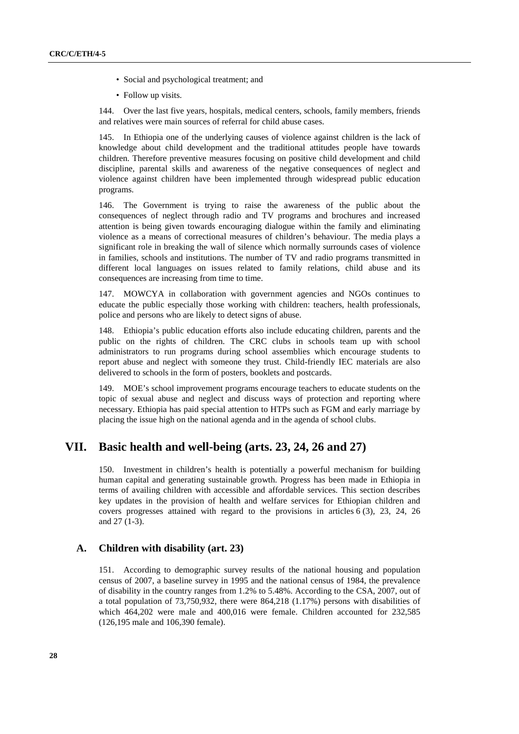- Social and psychological treatment; and
- Follow up visits.

144. Over the last five years, hospitals, medical centers, schools, family members, friends and relatives were main sources of referral for child abuse cases.

145. In Ethiopia one of the underlying causes of violence against children is the lack of knowledge about child development and the traditional attitudes people have towards children. Therefore preventive measures focusing on positive child development and child discipline, parental skills and awareness of the negative consequences of neglect and violence against children have been implemented through widespread public education programs.

146. The Government is trying to raise the awareness of the public about the consequences of neglect through radio and TV programs and brochures and increased attention is being given towards encouraging dialogue within the family and eliminating violence as a means of correctional measures of children's behaviour. The media plays a significant role in breaking the wall of silence which normally surrounds cases of violence in families, schools and institutions. The number of TV and radio programs transmitted in different local languages on issues related to family relations, child abuse and its consequences are increasing from time to time.

147. MOWCYA in collaboration with government agencies and NGOs continues to educate the public especially those working with children: teachers, health professionals, police and persons who are likely to detect signs of abuse.

148. Ethiopia's public education efforts also include educating children, parents and the public on the rights of children. The CRC clubs in schools team up with school administrators to run programs during school assemblies which encourage students to report abuse and neglect with someone they trust. Child-friendly IEC materials are also delivered to schools in the form of posters, booklets and postcards.

149. MOE's school improvement programs encourage teachers to educate students on the topic of sexual abuse and neglect and discuss ways of protection and reporting where necessary. Ethiopia has paid special attention to HTPs such as FGM and early marriage by placing the issue high on the national agenda and in the agenda of school clubs.

## **VII. Basic health and well-being (arts. 23, 24, 26 and 27)**

150. Investment in children's health is potentially a powerful mechanism for building human capital and generating sustainable growth. Progress has been made in Ethiopia in terms of availing children with accessible and affordable services. This section describes key updates in the provision of health and welfare services for Ethiopian children and covers progresses attained with regard to the provisions in articles 6 (3), 23, 24, 26 and 27 (1-3).

### **A. Children with disability (art. 23)**

151. According to demographic survey results of the national housing and population census of 2007, a baseline survey in 1995 and the national census of 1984, the prevalence of disability in the country ranges from 1.2% to 5.48%. According to the CSA, 2007, out of a total population of 73,750,932, there were 864,218 (1.17%) persons with disabilities of which 464,202 were male and 400,016 were female. Children accounted for 232,585 (126,195 male and 106,390 female).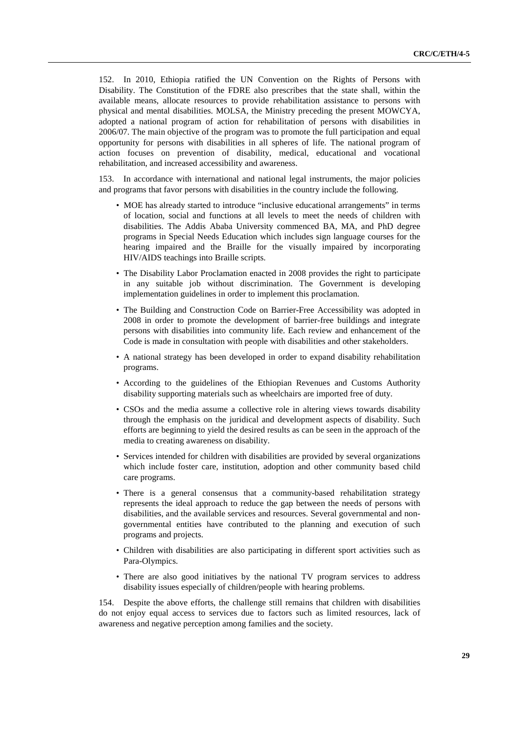152. In 2010, Ethiopia ratified the UN Convention on the Rights of Persons with Disability. The Constitution of the FDRE also prescribes that the state shall, within the available means, allocate resources to provide rehabilitation assistance to persons with physical and mental disabilities. MOLSA, the Ministry preceding the present MOWCYA, adopted a national program of action for rehabilitation of persons with disabilities in 2006/07. The main objective of the program was to promote the full participation and equal opportunity for persons with disabilities in all spheres of life. The national program of action focuses on prevention of disability, medical, educational and vocational rehabilitation, and increased accessibility and awareness.

153. In accordance with international and national legal instruments, the major policies and programs that favor persons with disabilities in the country include the following.

- MOE has already started to introduce "inclusive educational arrangements" in terms of location, social and functions at all levels to meet the needs of children with disabilities. The Addis Ababa University commenced BA, MA, and PhD degree programs in Special Needs Education which includes sign language courses for the hearing impaired and the Braille for the visually impaired by incorporating HIV/AIDS teachings into Braille scripts.
- The Disability Labor Proclamation enacted in 2008 provides the right to participate in any suitable job without discrimination. The Government is developing implementation guidelines in order to implement this proclamation.
- The Building and Construction Code on Barrier-Free Accessibility was adopted in 2008 in order to promote the development of barrier-free buildings and integrate persons with disabilities into community life. Each review and enhancement of the Code is made in consultation with people with disabilities and other stakeholders.
- A national strategy has been developed in order to expand disability rehabilitation programs.
- According to the guidelines of the Ethiopian Revenues and Customs Authority disability supporting materials such as wheelchairs are imported free of duty.
- CSOs and the media assume a collective role in altering views towards disability through the emphasis on the juridical and development aspects of disability. Such efforts are beginning to yield the desired results as can be seen in the approach of the media to creating awareness on disability.
- Services intended for children with disabilities are provided by several organizations which include foster care, institution, adoption and other community based child care programs.
- There is a general consensus that a community-based rehabilitation strategy represents the ideal approach to reduce the gap between the needs of persons with disabilities, and the available services and resources. Several governmental and nongovernmental entities have contributed to the planning and execution of such programs and projects.
- Children with disabilities are also participating in different sport activities such as Para-Olympics.
- There are also good initiatives by the national TV program services to address disability issues especially of children/people with hearing problems.

154. Despite the above efforts, the challenge still remains that children with disabilities do not enjoy equal access to services due to factors such as limited resources, lack of awareness and negative perception among families and the society.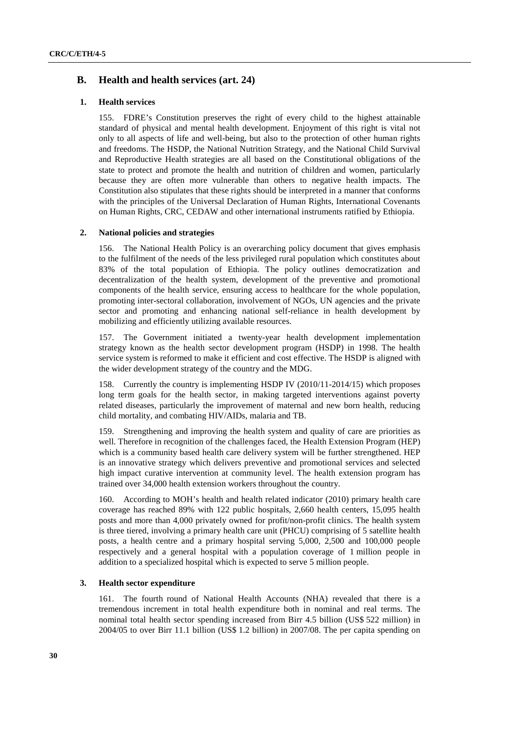### **B. Health and health services (art. 24)**

#### **1. Health services**

155. FDRE's Constitution preserves the right of every child to the highest attainable standard of physical and mental health development. Enjoyment of this right is vital not only to all aspects of life and well-being, but also to the protection of other human rights and freedoms. The HSDP, the National Nutrition Strategy, and the National Child Survival and Reproductive Health strategies are all based on the Constitutional obligations of the state to protect and promote the health and nutrition of children and women, particularly because they are often more vulnerable than others to negative health impacts. The Constitution also stipulates that these rights should be interpreted in a manner that conforms with the principles of the Universal Declaration of Human Rights, International Covenants on Human Rights, CRC, CEDAW and other international instruments ratified by Ethiopia.

#### **2. National policies and strategies**

156. The National Health Policy is an overarching policy document that gives emphasis to the fulfilment of the needs of the less privileged rural population which constitutes about 83% of the total population of Ethiopia. The policy outlines democratization and decentralization of the health system, development of the preventive and promotional components of the health service, ensuring access to healthcare for the whole population, promoting inter-sectoral collaboration, involvement of NGOs, UN agencies and the private sector and promoting and enhancing national self-reliance in health development by mobilizing and efficiently utilizing available resources.

157. The Government initiated a twenty-year health development implementation strategy known as the health sector development program (HSDP) in 1998. The health service system is reformed to make it efficient and cost effective. The HSDP is aligned with the wider development strategy of the country and the MDG.

158. Currently the country is implementing HSDP IV (2010/11-2014/15) which proposes long term goals for the health sector, in making targeted interventions against poverty related diseases, particularly the improvement of maternal and new born health, reducing child mortality, and combating HIV/AIDs, malaria and TB.

159. Strengthening and improving the health system and quality of care are priorities as well. Therefore in recognition of the challenges faced, the Health Extension Program (HEP) which is a community based health care delivery system will be further strengthened. HEP is an innovative strategy which delivers preventive and promotional services and selected high impact curative intervention at community level. The health extension program has trained over 34,000 health extension workers throughout the country.

160. According to MOH's health and health related indicator (2010) primary health care coverage has reached 89% with 122 public hospitals, 2,660 health centers, 15,095 health posts and more than 4,000 privately owned for profit/non-profit clinics. The health system is three tiered, involving a primary health care unit (PHCU) comprising of 5 satellite health posts, a health centre and a primary hospital serving 5,000, 2,500 and 100,000 people respectively and a general hospital with a population coverage of 1 million people in addition to a specialized hospital which is expected to serve 5 million people.

#### **3. Health sector expenditure**

161. The fourth round of National Health Accounts (NHA) revealed that there is a tremendous increment in total health expenditure both in nominal and real terms. The nominal total health sector spending increased from Birr 4.5 billion (US\$ 522 million) in 2004/05 to over Birr 11.1 billion (US\$ 1.2 billion) in 2007/08. The per capita spending on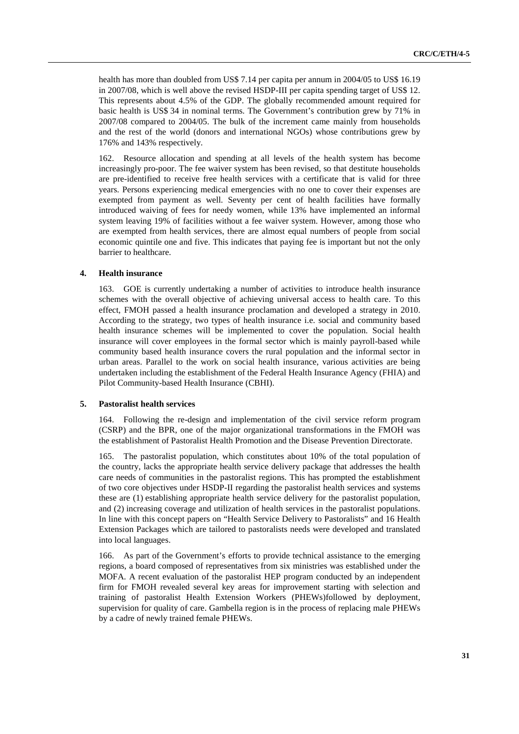health has more than doubled from US\$ 7.14 per capita per annum in 2004/05 to US\$ 16.19 in 2007/08, which is well above the revised HSDP-III per capita spending target of US\$ 12. This represents about 4.5% of the GDP. The globally recommended amount required for basic health is US\$ 34 in nominal terms. The Government's contribution grew by 71% in 2007/08 compared to 2004/05. The bulk of the increment came mainly from households and the rest of the world (donors and international NGOs) whose contributions grew by 176% and 143% respectively.

162. Resource allocation and spending at all levels of the health system has become increasingly pro-poor. The fee waiver system has been revised, so that destitute households are pre-identified to receive free health services with a certificate that is valid for three years. Persons experiencing medical emergencies with no one to cover their expenses are exempted from payment as well. Seventy per cent of health facilities have formally introduced waiving of fees for needy women, while 13% have implemented an informal system leaving 19% of facilities without a fee waiver system. However, among those who are exempted from health services, there are almost equal numbers of people from social economic quintile one and five. This indicates that paying fee is important but not the only barrier to healthcare.

#### **4. Health insurance**

163. GOE is currently undertaking a number of activities to introduce health insurance schemes with the overall objective of achieving universal access to health care. To this effect, FMOH passed a health insurance proclamation and developed a strategy in 2010. According to the strategy, two types of health insurance i.e. social and community based health insurance schemes will be implemented to cover the population. Social health insurance will cover employees in the formal sector which is mainly payroll-based while community based health insurance covers the rural population and the informal sector in urban areas. Parallel to the work on social health insurance, various activities are being undertaken including the establishment of the Federal Health Insurance Agency (FHIA) and Pilot Community-based Health Insurance (CBHI).

#### **5. Pastoralist health services**

164. Following the re-design and implementation of the civil service reform program (CSRP) and the BPR, one of the major organizational transformations in the FMOH was the establishment of Pastoralist Health Promotion and the Disease Prevention Directorate.

165. The pastoralist population, which constitutes about 10% of the total population of the country, lacks the appropriate health service delivery package that addresses the health care needs of communities in the pastoralist regions. This has prompted the establishment of two core objectives under HSDP-II regarding the pastoralist health services and systems these are (1) establishing appropriate health service delivery for the pastoralist population, and (2) increasing coverage and utilization of health services in the pastoralist populations. In line with this concept papers on "Health Service Delivery to Pastoralists" and 16 Health Extension Packages which are tailored to pastoralists needs were developed and translated into local languages.

166. As part of the Government's efforts to provide technical assistance to the emerging regions, a board composed of representatives from six ministries was established under the MOFA. A recent evaluation of the pastoralist HEP program conducted by an independent firm for FMOH revealed several key areas for improvement starting with selection and training of pastoralist Health Extension Workers (PHEWs)followed by deployment, supervision for quality of care. Gambella region is in the process of replacing male PHEWs by a cadre of newly trained female PHEWs.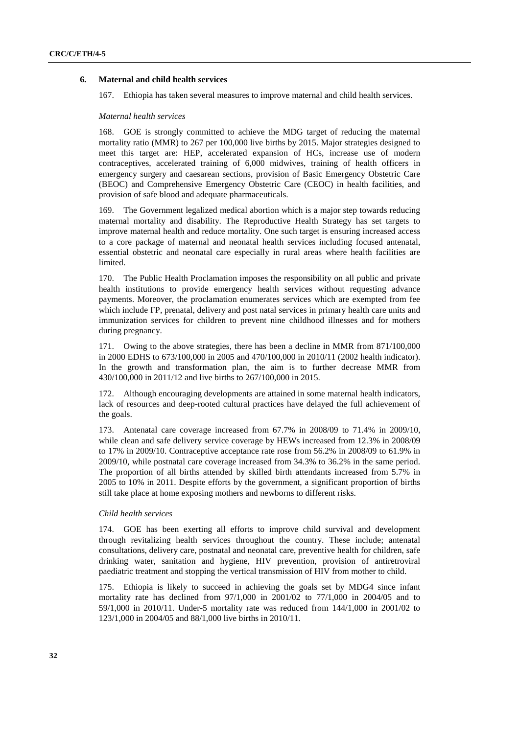### **6. Maternal and child health services**

167. Ethiopia has taken several measures to improve maternal and child health services.

#### *Maternal health services*

168. GOE is strongly committed to achieve the MDG target of reducing the maternal mortality ratio (MMR) to 267 per 100,000 live births by 2015. Major strategies designed to meet this target are: HEP, accelerated expansion of HCs, increase use of modern contraceptives, accelerated training of 6,000 midwives, training of health officers in emergency surgery and caesarean sections, provision of Basic Emergency Obstetric Care (BEOC) and Comprehensive Emergency Obstetric Care (CEOC) in health facilities, and provision of safe blood and adequate pharmaceuticals.

169. The Government legalized medical abortion which is a major step towards reducing maternal mortality and disability. The Reproductive Health Strategy has set targets to improve maternal health and reduce mortality. One such target is ensuring increased access to a core package of maternal and neonatal health services including focused antenatal, essential obstetric and neonatal care especially in rural areas where health facilities are limited.

170. The Public Health Proclamation imposes the responsibility on all public and private health institutions to provide emergency health services without requesting advance payments. Moreover, the proclamation enumerates services which are exempted from fee which include FP, prenatal, delivery and post natal services in primary health care units and immunization services for children to prevent nine childhood illnesses and for mothers during pregnancy.

171. Owing to the above strategies, there has been a decline in MMR from 871/100,000 in 2000 EDHS to 673/100,000 in 2005 and 470/100,000 in 2010/11 (2002 health indicator). In the growth and transformation plan, the aim is to further decrease MMR from 430/100,000 in 2011/12 and live births to 267/100,000 in 2015.

172. Although encouraging developments are attained in some maternal health indicators, lack of resources and deep-rooted cultural practices have delayed the full achievement of the goals.

173. Antenatal care coverage increased from 67.7% in 2008/09 to 71.4% in 2009/10, while clean and safe delivery service coverage by HEWs increased from 12.3% in 2008/09 to 17% in 2009/10. Contraceptive acceptance rate rose from 56.2% in 2008/09 to 61.9% in 2009/10, while postnatal care coverage increased from 34.3% to 36.2% in the same period. The proportion of all births attended by skilled birth attendants increased from 5.7% in 2005 to 10% in 2011. Despite efforts by the government, a significant proportion of births still take place at home exposing mothers and newborns to different risks.

#### *Child health services*

174. GOE has been exerting all efforts to improve child survival and development through revitalizing health services throughout the country. These include; antenatal consultations, delivery care, postnatal and neonatal care, preventive health for children, safe drinking water, sanitation and hygiene, HIV prevention, provision of antiretroviral paediatric treatment and stopping the vertical transmission of HIV from mother to child.

175. Ethiopia is likely to succeed in achieving the goals set by MDG4 since infant mortality rate has declined from 97/1,000 in 2001/02 to 77/1,000 in 2004/05 and to 59/1,000 in 2010/11. Under-5 mortality rate was reduced from 144/1,000 in 2001/02 to 123/1,000 in 2004/05 and 88/1,000 live births in 2010/11.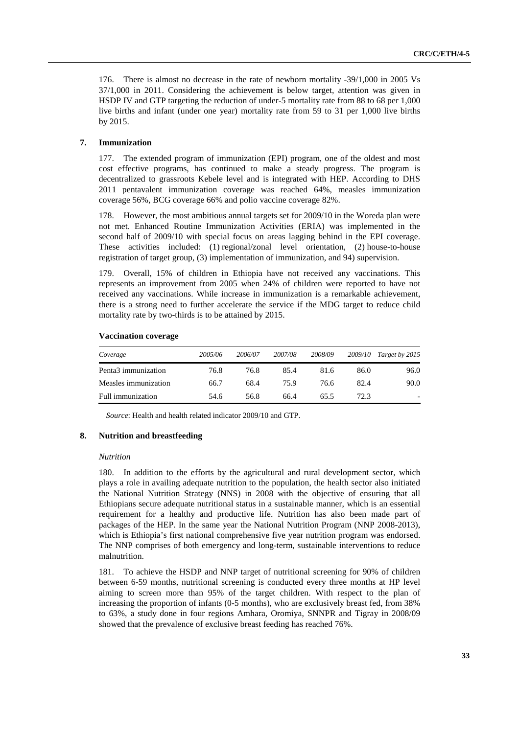176. There is almost no decrease in the rate of newborn mortality -39/1,000 in 2005 Vs 37/1,000 in 2011. Considering the achievement is below target, attention was given in HSDP IV and GTP targeting the reduction of under-5 mortality rate from 88 to 68 per 1,000 live births and infant (under one year) mortality rate from 59 to 31 per 1,000 live births by 2015.

#### **7. Immunization**

177. The extended program of immunization (EPI) program, one of the oldest and most cost effective programs, has continued to make a steady progress. The program is decentralized to grassroots Kebele level and is integrated with HEP. According to DHS 2011 pentavalent immunization coverage was reached 64%, measles immunization coverage 56%, BCG coverage 66% and polio vaccine coverage 82%.

178. However, the most ambitious annual targets set for 2009/10 in the Woreda plan were not met. Enhanced Routine Immunization Activities (ERIA) was implemented in the second half of 2009/10 with special focus on areas lagging behind in the EPI coverage. These activities included: (1) regional/zonal level orientation, (2) house-to-house registration of target group, (3) implementation of immunization, and 94) supervision.

179. Overall, 15% of children in Ethiopia have not received any vaccinations. This represents an improvement from 2005 when 24% of children were reported to have not received any vaccinations. While increase in immunization is a remarkable achievement, there is a strong need to further accelerate the service if the MDG target to reduce child mortality rate by two-thirds is to be attained by 2015.

#### **Vaccination coverage**

| Coverage                        | 2005/06 | 2006/07 | 2007/08 | 2008/09 |      | 2009/10 Target by 2015   |
|---------------------------------|---------|---------|---------|---------|------|--------------------------|
| Penta <sub>3</sub> immunization | 76.8    | 76.8    | 85.4    | 81.6    | 86.0 | 96.0                     |
| Measles immunization            | 66.7    | 68.4    | 75.9    | 76.6    | 82.4 | 90.0                     |
| Full immunization               | 54.6    | 56.8    | 66.4    | 65.5    | 72.3 | $\overline{\phantom{0}}$ |

*Source*: Health and health related indicator 2009/10 and GTP.

#### **8. Nutrition and breastfeeding**

#### *Nutrition*

180. In addition to the efforts by the agricultural and rural development sector, which plays a role in availing adequate nutrition to the population, the health sector also initiated the National Nutrition Strategy (NNS) in 2008 with the objective of ensuring that all Ethiopians secure adequate nutritional status in a sustainable manner, which is an essential requirement for a healthy and productive life. Nutrition has also been made part of packages of the HEP. In the same year the National Nutrition Program (NNP 2008-2013), which is Ethiopia's first national comprehensive five year nutrition program was endorsed. The NNP comprises of both emergency and long-term, sustainable interventions to reduce malnutrition.

181. To achieve the HSDP and NNP target of nutritional screening for 90% of children between 6-59 months, nutritional screening is conducted every three months at HP level aiming to screen more than 95% of the target children. With respect to the plan of increasing the proportion of infants (0-5 months), who are exclusively breast fed, from 38% to 63%, a study done in four regions Amhara, Oromiya, SNNPR and Tigray in 2008/09 showed that the prevalence of exclusive breast feeding has reached 76%.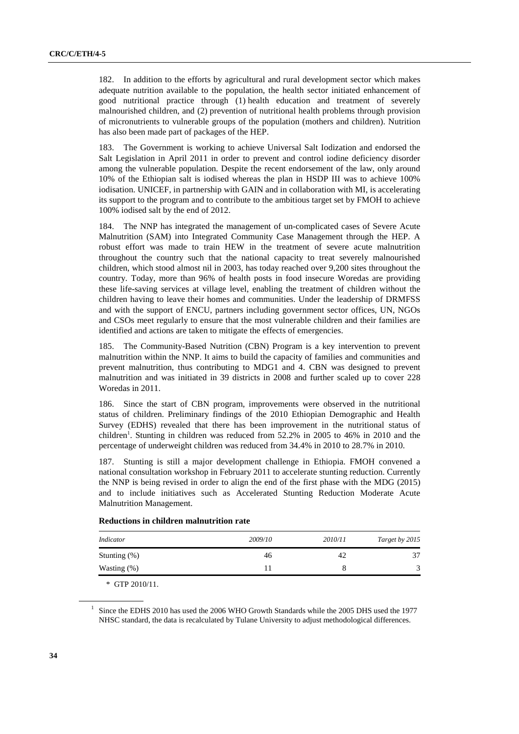182. In addition to the efforts by agricultural and rural development sector which makes adequate nutrition available to the population, the health sector initiated enhancement of good nutritional practice through (1) health education and treatment of severely malnourished children, and (2) prevention of nutritional health problems through provision of micronutrients to vulnerable groups of the population (mothers and children). Nutrition has also been made part of packages of the HEP.

183. The Government is working to achieve Universal Salt Iodization and endorsed the Salt Legislation in April 2011 in order to prevent and control iodine deficiency disorder among the vulnerable population. Despite the recent endorsement of the law, only around 10% of the Ethiopian salt is iodised whereas the plan in HSDP III was to achieve 100% iodisation. UNICEF, in partnership with GAIN and in collaboration with MI, is accelerating its support to the program and to contribute to the ambitious target set by FMOH to achieve 100% iodised salt by the end of 2012.

184. The NNP has integrated the management of un-complicated cases of Severe Acute Malnutrition (SAM) into Integrated Community Case Management through the HEP. A robust effort was made to train HEW in the treatment of severe acute malnutrition throughout the country such that the national capacity to treat severely malnourished children, which stood almost nil in 2003, has today reached over 9,200 sites throughout the country. Today, more than 96% of health posts in food insecure Woredas are providing these life-saving services at village level, enabling the treatment of children without the children having to leave their homes and communities. Under the leadership of DRMFSS and with the support of ENCU, partners including government sector offices, UN, NGOs and CSOs meet regularly to ensure that the most vulnerable children and their families are identified and actions are taken to mitigate the effects of emergencies.

185. The Community-Based Nutrition (CBN) Program is a key intervention to prevent malnutrition within the NNP. It aims to build the capacity of families and communities and prevent malnutrition, thus contributing to MDG1 and 4. CBN was designed to prevent malnutrition and was initiated in 39 districts in 2008 and further scaled up to cover 228 Woredas in 2011.

186. Since the start of CBN program, improvements were observed in the nutritional status of children. Preliminary findings of the 2010 Ethiopian Demographic and Health Survey (EDHS) revealed that there has been improvement in the nutritional status of children<sup>1</sup>. Stunting in children was reduced from  $52.2\%$  in 2005 to 46% in 2010 and the percentage of underweight children was reduced from 34.4% in 2010 to 28.7% in 2010.

187. Stunting is still a major development challenge in Ethiopia. FMOH convened a national consultation workshop in February 2011 to accelerate stunting reduction. Currently the NNP is being revised in order to align the end of the first phase with the MDG (2015) and to include initiatives such as Accelerated Stunting Reduction Moderate Acute Malnutrition Management.

| Indicator       | 2009/10 | 2010/11 | Target by 2015          |
|-----------------|---------|---------|-------------------------|
| Stunting $(\%)$ | 46      | 42      | 37                      |
| Wasting $(\%)$  |         |         | $\overline{\mathbf{c}}$ |

#### **Reductions in children malnutrition rate**

\* GTP 2010/11.

<sup>1</sup> Since the EDHS 2010 has used the 2006 WHO Growth Standards while the 2005 DHS used the 1977 NHSC standard, the data is recalculated by Tulane University to adjust methodological differences.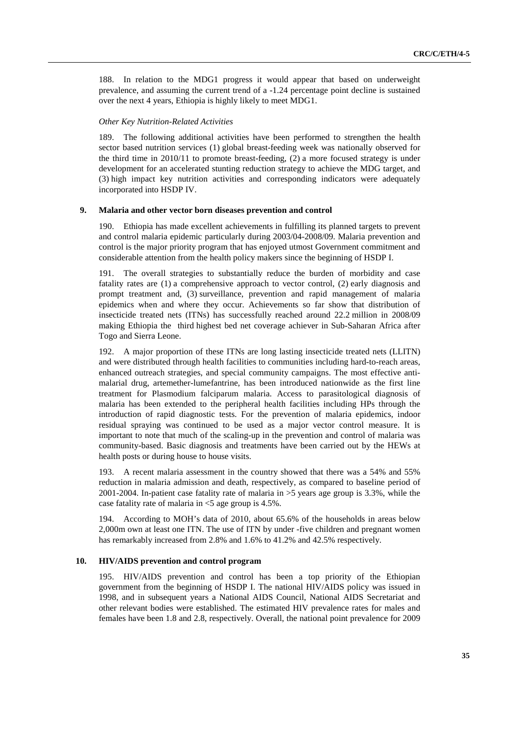188. In relation to the MDG1 progress it would appear that based on underweight prevalence, and assuming the current trend of a -1.24 percentage point decline is sustained over the next 4 years, Ethiopia is highly likely to meet MDG1.

#### *Other Key Nutrition-Related Activities*

189. The following additional activities have been performed to strengthen the health sector based nutrition services (1) global breast-feeding week was nationally observed for the third time in 2010/11 to promote breast-feeding, (2) a more focused strategy is under development for an accelerated stunting reduction strategy to achieve the MDG target, and (3) high impact key nutrition activities and corresponding indicators were adequately incorporated into HSDP IV.

#### **9. Malaria and other vector born diseases prevention and control**

190. Ethiopia has made excellent achievements in fulfilling its planned targets to prevent and control malaria epidemic particularly during 2003/04-2008/09. Malaria prevention and control is the major priority program that has enjoyed utmost Government commitment and considerable attention from the health policy makers since the beginning of HSDP I.

191. The overall strategies to substantially reduce the burden of morbidity and case fatality rates are (1) a comprehensive approach to vector control, (2) early diagnosis and prompt treatment and, (3) surveillance, prevention and rapid management of malaria epidemics when and where they occur. Achievements so far show that distribution of insecticide treated nets (ITNs) has successfully reached around 22.2 million in 2008/09 making Ethiopia the third highest bed net coverage achiever in Sub-Saharan Africa after Togo and Sierra Leone.

192. A major proportion of these ITNs are long lasting insecticide treated nets (LLITN) and were distributed through health facilities to communities including hard-to-reach areas, enhanced outreach strategies, and special community campaigns. The most effective antimalarial drug, artemether-lumefantrine, has been introduced nationwide as the first line treatment for Plasmodium falciparum malaria. Access to parasitological diagnosis of malaria has been extended to the peripheral health facilities including HPs through the introduction of rapid diagnostic tests. For the prevention of malaria epidemics, indoor residual spraying was continued to be used as a major vector control measure. It is important to note that much of the scaling-up in the prevention and control of malaria was community-based. Basic diagnosis and treatments have been carried out by the HEWs at health posts or during house to house visits.

193. A recent malaria assessment in the country showed that there was a 54% and 55% reduction in malaria admission and death, respectively, as compared to baseline period of 2001-2004. In-patient case fatality rate of malaria in >5 years age group is 3.3%, while the case fatality rate of malaria in <5 age group is 4.5%.

194. According to MOH's data of 2010, about 65.6% of the households in areas below 2,000m own at least one ITN. The use of ITN by under -five children and pregnant women has remarkably increased from 2.8% and 1.6% to 41.2% and 42.5% respectively.

#### **10. HIV/AIDS prevention and control program**

195. HIV/AIDS prevention and control has been a top priority of the Ethiopian government from the beginning of HSDP I. The national HIV/AIDS policy was issued in 1998, and in subsequent years a National AIDS Council, National AIDS Secretariat and other relevant bodies were established. The estimated HIV prevalence rates for males and females have been 1.8 and 2.8, respectively. Overall, the national point prevalence for 2009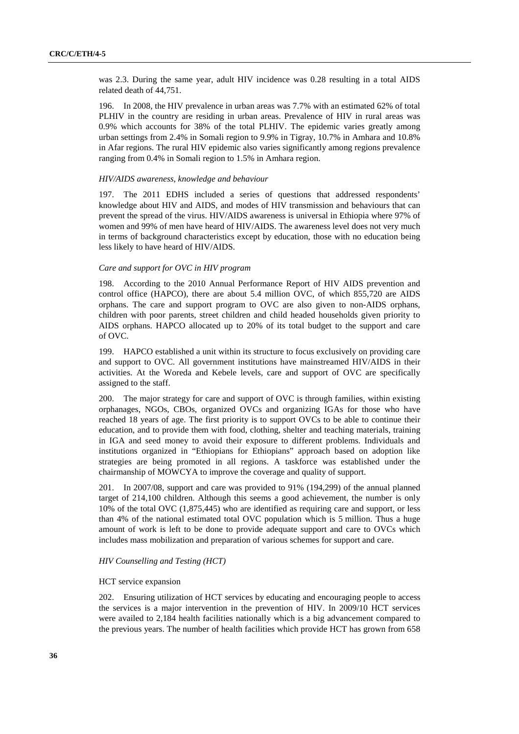was 2.3. During the same year, adult HIV incidence was 0.28 resulting in a total AIDS related death of 44,751.

196. In 2008, the HIV prevalence in urban areas was 7.7% with an estimated 62% of total PLHIV in the country are residing in urban areas. Prevalence of HIV in rural areas was 0.9% which accounts for 38% of the total PLHIV. The epidemic varies greatly among urban settings from 2.4% in Somali region to 9.9% in Tigray, 10.7% in Amhara and 10.8% in Afar regions. The rural HIV epidemic also varies significantly among regions prevalence ranging from 0.4% in Somali region to 1.5% in Amhara region.

#### *HIV/AIDS awareness, knowledge and behaviour*

197. The 2011 EDHS included a series of questions that addressed respondents' knowledge about HIV and AIDS, and modes of HIV transmission and behaviours that can prevent the spread of the virus. HIV/AIDS awareness is universal in Ethiopia where 97% of women and 99% of men have heard of HIV/AIDS. The awareness level does not very much in terms of background characteristics except by education, those with no education being less likely to have heard of HIV/AIDS.

#### *Care and support for OVC in HIV program*

198. According to the 2010 Annual Performance Report of HIV AIDS prevention and control office (HAPCO), there are about 5.4 million OVC, of which 855,720 are AIDS orphans. The care and support program to OVC are also given to non-AIDS orphans, children with poor parents, street children and child headed households given priority to AIDS orphans. HAPCO allocated up to 20% of its total budget to the support and care of OVC.

199. HAPCO established a unit within its structure to focus exclusively on providing care and support to OVC. All government institutions have mainstreamed HIV/AIDS in their activities. At the Woreda and Kebele levels, care and support of OVC are specifically assigned to the staff.

200. The major strategy for care and support of OVC is through families, within existing orphanages, NGOs, CBOs, organized OVCs and organizing IGAs for those who have reached 18 years of age. The first priority is to support OVCs to be able to continue their education, and to provide them with food, clothing, shelter and teaching materials, training in IGA and seed money to avoid their exposure to different problems. Individuals and institutions organized in "Ethiopians for Ethiopians" approach based on adoption like strategies are being promoted in all regions. A taskforce was established under the chairmanship of MOWCYA to improve the coverage and quality of support.

201. In 2007/08, support and care was provided to 91% (194,299) of the annual planned target of 214,100 children. Although this seems a good achievement, the number is only 10% of the total OVC (1,875,445) who are identified as requiring care and support, or less than 4% of the national estimated total OVC population which is 5 million. Thus a huge amount of work is left to be done to provide adequate support and care to OVCs which includes mass mobilization and preparation of various schemes for support and care.

#### *HIV Counselling and Testing (HCT)*

#### HCT service expansion

202. Ensuring utilization of HCT services by educating and encouraging people to access the services is a major intervention in the prevention of HIV. In 2009/10 HCT services were availed to 2,184 health facilities nationally which is a big advancement compared to the previous years. The number of health facilities which provide HCT has grown from 658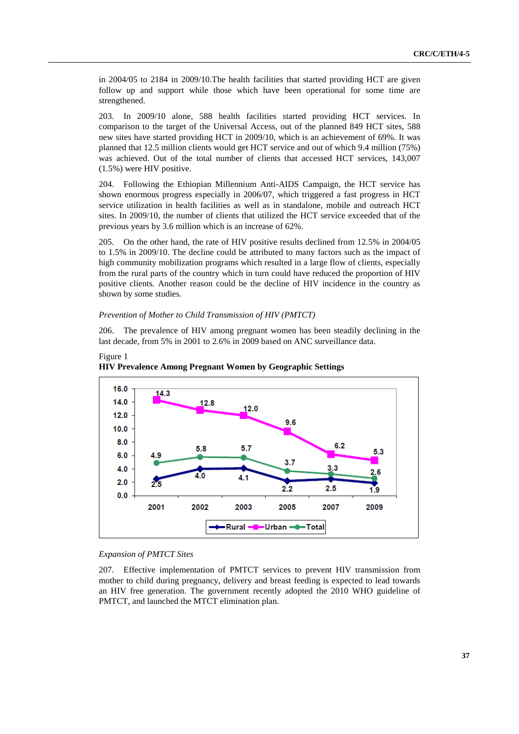in 2004/05 to 2184 in 2009/10.The health facilities that started providing HCT are given follow up and support while those which have been operational for some time are strengthened.

203. In 2009/10 alone, 588 health facilities started providing HCT services. In comparison to the target of the Universal Access, out of the planned 849 HCT sites, 588 new sites have started providing HCT in 2009/10, which is an achievement of 69%. It was planned that 12.5 million clients would get HCT service and out of which 9.4 million (75%) was achieved. Out of the total number of clients that accessed HCT services, 143,007 (1.5%) were HIV positive.

204. Following the Ethiopian Millennium Anti-AIDS Campaign, the HCT service has shown enormous progress especially in 2006/07, which triggered a fast progress in HCT service utilization in health facilities as well as in standalone, mobile and outreach HCT sites. In 2009/10, the number of clients that utilized the HCT service exceeded that of the previous years by 3.6 million which is an increase of 62%.

205. On the other hand, the rate of HIV positive results declined from 12.5% in 2004/05 to 1.5% in 2009/10. The decline could be attributed to many factors such as the impact of high community mobilization programs which resulted in a large flow of clients, especially from the rural parts of the country which in turn could have reduced the proportion of HIV positive clients. Another reason could be the decline of HIV incidence in the country as shown by some studies.

#### *Prevention of Mother to Child Transmission of HIV (PMTCT)*

206. The prevalence of HIV among pregnant women has been steadily declining in the last decade, from 5% in 2001 to 2.6% in 2009 based on ANC surveillance data.





### *Expansion of PMTCT Sites*

207. Effective implementation of PMTCT services to prevent HIV transmission from mother to child during pregnancy, delivery and breast feeding is expected to lead towards an HIV free generation. The government recently adopted the 2010 WHO guideline of PMTCT, and launched the MTCT elimination plan.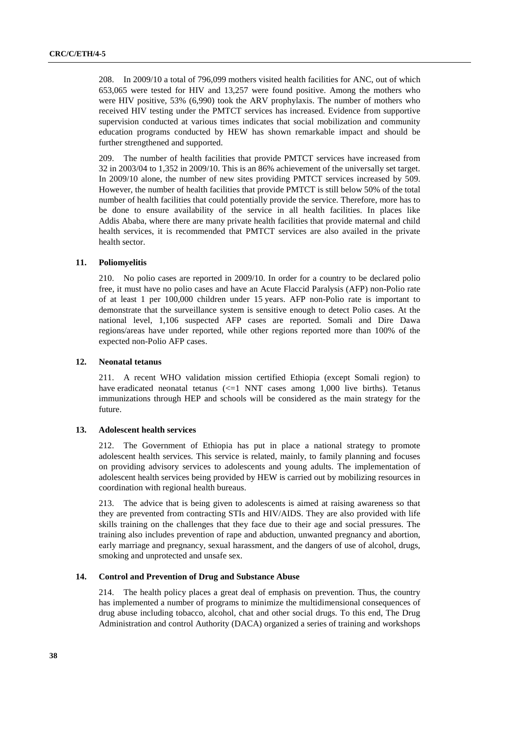208. In 2009/10 a total of 796,099 mothers visited health facilities for ANC, out of which 653,065 were tested for HIV and 13,257 were found positive. Among the mothers who were HIV positive, 53% (6,990) took the ARV prophylaxis. The number of mothers who received HIV testing under the PMTCT services has increased. Evidence from supportive supervision conducted at various times indicates that social mobilization and community education programs conducted by HEW has shown remarkable impact and should be further strengthened and supported.

209. The number of health facilities that provide PMTCT services have increased from 32 in 2003/04 to 1,352 in 2009/10. This is an 86% achievement of the universally set target. In 2009/10 alone, the number of new sites providing PMTCT services increased by 509. However, the number of health facilities that provide PMTCT is still below 50% of the total number of health facilities that could potentially provide the service. Therefore, more has to be done to ensure availability of the service in all health facilities. In places like Addis Ababa, where there are many private health facilities that provide maternal and child health services, it is recommended that PMTCT services are also availed in the private health sector.

#### **11. Poliomyelitis**

210. No polio cases are reported in 2009/10. In order for a country to be declared polio free, it must have no polio cases and have an Acute Flaccid Paralysis (AFP) non-Polio rate of at least 1 per 100,000 children under 15 years. AFP non-Polio rate is important to demonstrate that the surveillance system is sensitive enough to detect Polio cases. At the national level, 1,106 suspected AFP cases are reported. Somali and Dire Dawa regions/areas have under reported, while other regions reported more than 100% of the expected non-Polio AFP cases.

#### **12. Neonatal tetanus**

211. A recent WHO validation mission certified Ethiopia (except Somali region) to have eradicated neonatal tetanus  $\ll$ =1 NNT cases among 1,000 live births). Tetanus immunizations through HEP and schools will be considered as the main strategy for the future.

#### **13. Adolescent health services**

212. The Government of Ethiopia has put in place a national strategy to promote adolescent health services. This service is related, mainly, to family planning and focuses on providing advisory services to adolescents and young adults. The implementation of adolescent health services being provided by HEW is carried out by mobilizing resources in coordination with regional health bureaus.

213. The advice that is being given to adolescents is aimed at raising awareness so that they are prevented from contracting STIs and HIV/AIDS. They are also provided with life skills training on the challenges that they face due to their age and social pressures. The training also includes prevention of rape and abduction, unwanted pregnancy and abortion, early marriage and pregnancy, sexual harassment, and the dangers of use of alcohol, drugs, smoking and unprotected and unsafe sex.

### **14. Control and Prevention of Drug and Substance Abuse**

214. The health policy places a great deal of emphasis on prevention. Thus, the country has implemented a number of programs to minimize the multidimensional consequences of drug abuse including tobacco, alcohol, chat and other social drugs. To this end, The Drug Administration and control Authority (DACA) organized a series of training and workshops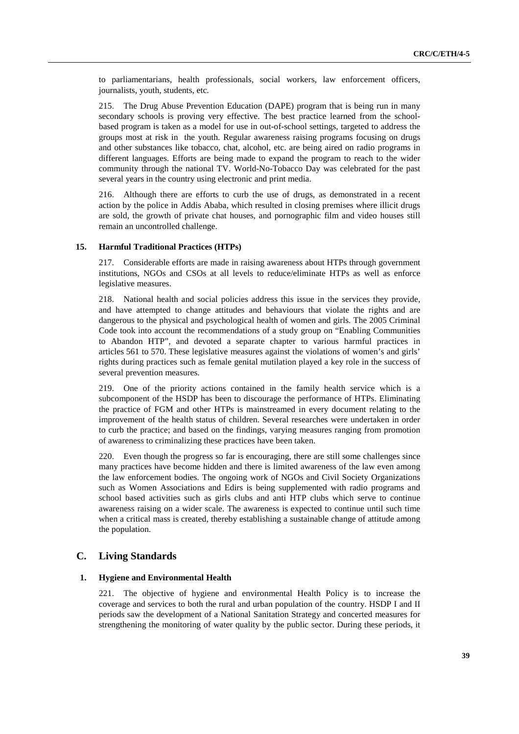to parliamentarians, health professionals, social workers, law enforcement officers, journalists, youth, students, etc.

215. The Drug Abuse Prevention Education (DAPE) program that is being run in many secondary schools is proving very effective. The best practice learned from the schoolbased program is taken as a model for use in out-of-school settings, targeted to address the groups most at risk in the youth. Regular awareness raising programs focusing on drugs and other substances like tobacco, chat, alcohol, etc. are being aired on radio programs in different languages. Efforts are being made to expand the program to reach to the wider community through the national TV. World-No-Tobacco Day was celebrated for the past several years in the country using electronic and print media.

216. Although there are efforts to curb the use of drugs, as demonstrated in a recent action by the police in Addis Ababa, which resulted in closing premises where illicit drugs are sold, the growth of private chat houses, and pornographic film and video houses still remain an uncontrolled challenge.

#### **15. Harmful Traditional Practices (HTPs)**

217. Considerable efforts are made in raising awareness about HTPs through government institutions, NGOs and CSOs at all levels to reduce/eliminate HTPs as well as enforce legislative measures.

218. National health and social policies address this issue in the services they provide, and have attempted to change attitudes and behaviours that violate the rights and are dangerous to the physical and psychological health of women and girls. The 2005 Criminal Code took into account the recommendations of a study group on "Enabling Communities to Abandon HTP", and devoted a separate chapter to various harmful practices in articles 561 to 570. These legislative measures against the violations of women's and girls' rights during practices such as female genital mutilation played a key role in the success of several prevention measures.

219. One of the priority actions contained in the family health service which is a subcomponent of the HSDP has been to discourage the performance of HTPs. Eliminating the practice of FGM and other HTPs is mainstreamed in every document relating to the improvement of the health status of children. Several researches were undertaken in order to curb the practice; and based on the findings, varying measures ranging from promotion of awareness to criminalizing these practices have been taken.

220. Even though the progress so far is encouraging, there are still some challenges since many practices have become hidden and there is limited awareness of the law even among the law enforcement bodies. The ongoing work of NGOs and Civil Society Organizations such as Women Associations and Edirs is being supplemented with radio programs and school based activities such as girls clubs and anti HTP clubs which serve to continue awareness raising on a wider scale. The awareness is expected to continue until such time when a critical mass is created, thereby establishing a sustainable change of attitude among the population.

### **C. Living Standards**

#### **1. Hygiene and Environmental Health**

221. The objective of hygiene and environmental Health Policy is to increase the coverage and services to both the rural and urban population of the country. HSDP I and II periods saw the development of a National Sanitation Strategy and concerted measures for strengthening the monitoring of water quality by the public sector. During these periods, it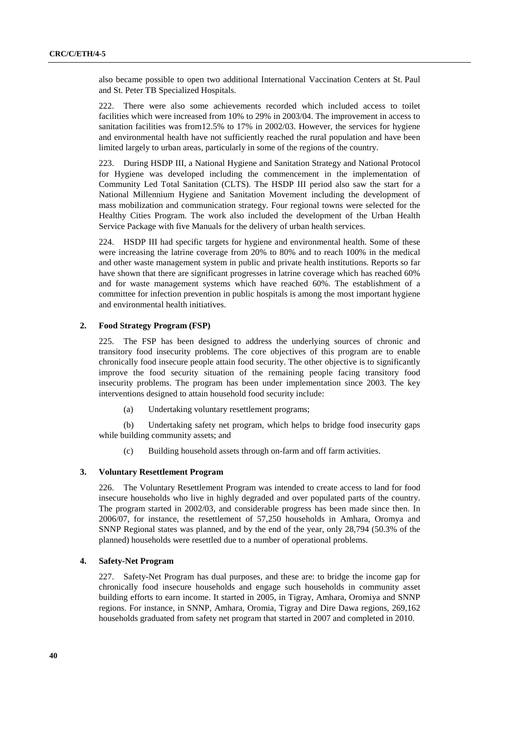also became possible to open two additional International Vaccination Centers at St. Paul and St. Peter TB Specialized Hospitals.

222. There were also some achievements recorded which included access to toilet facilities which were increased from 10% to 29% in 2003/04. The improvement in access to sanitation facilities was from12.5% to 17% in 2002/03. However, the services for hygiene and environmental health have not sufficiently reached the rural population and have been limited largely to urban areas, particularly in some of the regions of the country.

223. During HSDP III, a National Hygiene and Sanitation Strategy and National Protocol for Hygiene was developed including the commencement in the implementation of Community Led Total Sanitation (CLTS). The HSDP III period also saw the start for a National Millennium Hygiene and Sanitation Movement including the development of mass mobilization and communication strategy. Four regional towns were selected for the Healthy Cities Program. The work also included the development of the Urban Health Service Package with five Manuals for the delivery of urban health services.

224. HSDP III had specific targets for hygiene and environmental health. Some of these were increasing the latrine coverage from 20% to 80% and to reach 100% in the medical and other waste management system in public and private health institutions. Reports so far have shown that there are significant progresses in latrine coverage which has reached 60% and for waste management systems which have reached 60%. The establishment of a committee for infection prevention in public hospitals is among the most important hygiene and environmental health initiatives.

#### **2. Food Strategy Program (FSP)**

225. The FSP has been designed to address the underlying sources of chronic and transitory food insecurity problems. The core objectives of this program are to enable chronically food insecure people attain food security. The other objective is to significantly improve the food security situation of the remaining people facing transitory food insecurity problems. The program has been under implementation since 2003. The key interventions designed to attain household food security include:

(a) Undertaking voluntary resettlement programs;

(b) Undertaking safety net program, which helps to bridge food insecurity gaps while building community assets; and

(c) Building household assets through on-farm and off farm activities.

#### **3. Voluntary Resettlement Program**

226. The Voluntary Resettlement Program was intended to create access to land for food insecure households who live in highly degraded and over populated parts of the country. The program started in 2002/03, and considerable progress has been made since then. In 2006/07, for instance, the resettlement of 57,250 households in Amhara, Oromya and SNNP Regional states was planned, and by the end of the year, only 28,794 (50.3% of the planned) households were resettled due to a number of operational problems.

#### **4. Safety-Net Program**

227. Safety-Net Program has dual purposes, and these are: to bridge the income gap for chronically food insecure households and engage such households in community asset building efforts to earn income. It started in 2005, in Tigray, Amhara, Oromiya and SNNP regions. For instance, in SNNP, Amhara, Oromia, Tigray and Dire Dawa regions, 269,162 households graduated from safety net program that started in 2007 and completed in 2010.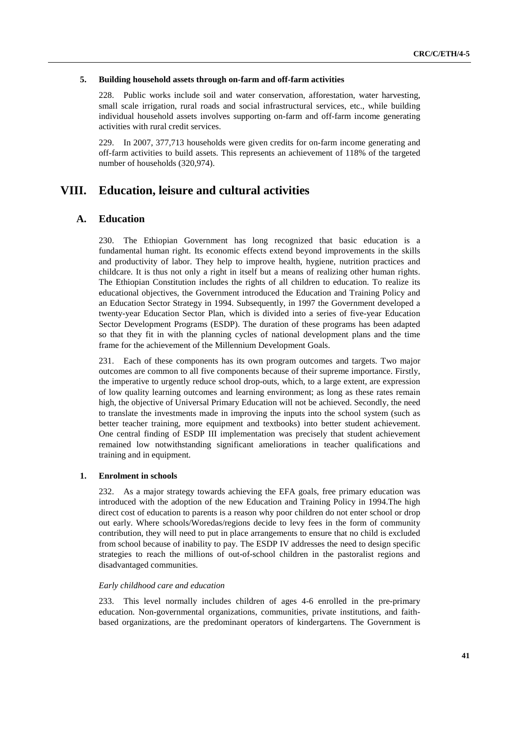#### **5. Building household assets through on-farm and off-farm activities**

228. Public works include soil and water conservation, afforestation, water harvesting, small scale irrigation, rural roads and social infrastructural services, etc., while building individual household assets involves supporting on-farm and off-farm income generating activities with rural credit services.

229. In 2007, 377,713 households were given credits for on-farm income generating and off-farm activities to build assets. This represents an achievement of 118% of the targeted number of households (320,974).

## **VIII. Education, leisure and cultural activities**

### **A. Education**

230. The Ethiopian Government has long recognized that basic education is a fundamental human right. Its economic effects extend beyond improvements in the skills and productivity of labor. They help to improve health, hygiene, nutrition practices and childcare. It is thus not only a right in itself but a means of realizing other human rights. The Ethiopian Constitution includes the rights of all children to education. To realize its educational objectives, the Government introduced the Education and Training Policy and an Education Sector Strategy in 1994. Subsequently, in 1997 the Government developed a twenty-year Education Sector Plan, which is divided into a series of five-year Education Sector Development Programs (ESDP). The duration of these programs has been adapted so that they fit in with the planning cycles of national development plans and the time frame for the achievement of the Millennium Development Goals.

231. Each of these components has its own program outcomes and targets. Two major outcomes are common to all five components because of their supreme importance. Firstly, the imperative to urgently reduce school drop-outs, which, to a large extent, are expression of low quality learning outcomes and learning environment; as long as these rates remain high, the objective of Universal Primary Education will not be achieved. Secondly, the need to translate the investments made in improving the inputs into the school system (such as better teacher training, more equipment and textbooks) into better student achievement. One central finding of ESDP III implementation was precisely that student achievement remained low notwithstanding significant ameliorations in teacher qualifications and training and in equipment.

### **1. Enrolment in schools**

232. As a major strategy towards achieving the EFA goals, free primary education was introduced with the adoption of the new Education and Training Policy in 1994.The high direct cost of education to parents is a reason why poor children do not enter school or drop out early. Where schools/Woredas/regions decide to levy fees in the form of community contribution, they will need to put in place arrangements to ensure that no child is excluded from school because of inability to pay. The ESDP IV addresses the need to design specific strategies to reach the millions of out-of-school children in the pastoralist regions and disadvantaged communities.

#### *Early childhood care and education*

233. This level normally includes children of ages 4-6 enrolled in the pre-primary education. Non-governmental organizations, communities, private institutions, and faithbased organizations, are the predominant operators of kindergartens. The Government is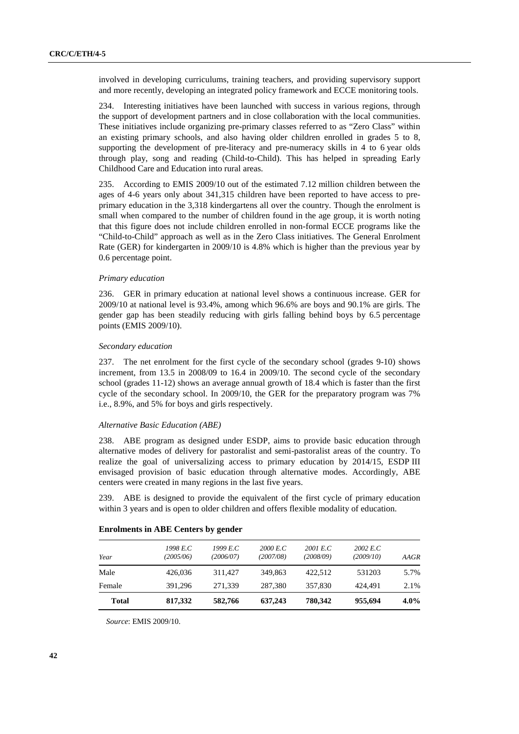involved in developing curriculums, training teachers, and providing supervisory support and more recently, developing an integrated policy framework and ECCE monitoring tools.

234. Interesting initiatives have been launched with success in various regions, through the support of development partners and in close collaboration with the local communities. These initiatives include organizing pre-primary classes referred to as "Zero Class" within an existing primary schools, and also having older children enrolled in grades 5 to 8, supporting the development of pre-literacy and pre-numeracy skills in 4 to 6 year olds through play, song and reading (Child-to-Child). This has helped in spreading Early Childhood Care and Education into rural areas.

235. According to EMIS 2009/10 out of the estimated 7.12 million children between the ages of 4-6 years only about 341,315 children have been reported to have access to preprimary education in the 3,318 kindergartens all over the country. Though the enrolment is small when compared to the number of children found in the age group, it is worth noting that this figure does not include children enrolled in non-formal ECCE programs like the "Child-to-Child" approach as well as in the Zero Class initiatives. The General Enrolment Rate (GER) for kindergarten in 2009/10 is 4.8% which is higher than the previous year by 0.6 percentage point.

#### *Primary education*

236. GER in primary education at national level shows a continuous increase. GER for 2009/10 at national level is 93.4%, among which 96.6% are boys and 90.1% are girls. The gender gap has been steadily reducing with girls falling behind boys by 6.5 percentage points (EMIS 2009/10).

#### *Secondary education*

237. The net enrolment for the first cycle of the secondary school (grades 9-10) shows increment, from 13.5 in 2008/09 to 16.4 in 2009/10. The second cycle of the secondary school (grades 11-12) shows an average annual growth of 18.4 which is faster than the first cycle of the secondary school. In 2009/10, the GER for the preparatory program was 7% i.e., 8.9%, and 5% for boys and girls respectively.

#### *Alternative Basic Education (ABE)*

238. ABE program as designed under ESDP, aims to provide basic education through alternative modes of delivery for pastoralist and semi-pastoralist areas of the country. To realize the goal of universalizing access to primary education by 2014/15, ESDP III envisaged provision of basic education through alternative modes. Accordingly, ABE centers were created in many regions in the last five years.

239. ABE is designed to provide the equivalent of the first cycle of primary education within 3 years and is open to older children and offers flexible modality of education.

| <b>Total</b> | 817,332               | 582,766               | 637,243               | 780,342               | 955,694               | $4.0\%$ |
|--------------|-----------------------|-----------------------|-----------------------|-----------------------|-----------------------|---------|
| Female       | 391.296               | 271.339               | 287,380               | 357,830               | 424.491               | 2.1%    |
| Male         | 426,036               | 311.427               | 349,863               | 422.512               | 531203                | 5.7%    |
| Year         | 1998 E.C<br>(2005/06) | 1999 E.C<br>(2006/07) | 2000 E.C<br>(2007/08) | 2001 E.C<br>(2008/09) | 2002 E.C<br>(2009/10) | AAGR    |

#### **Enrolments in ABE Centers by gender**

*Source*: EMIS 2009/10.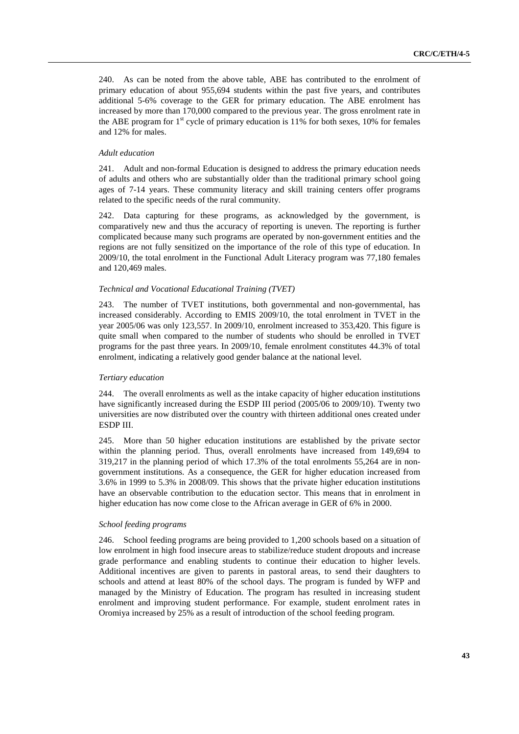240. As can be noted from the above table, ABE has contributed to the enrolment of primary education of about 955,694 students within the past five years, and contributes additional 5-6% coverage to the GER for primary education. The ABE enrolment has increased by more than 170,000 compared to the previous year. The gross enrolment rate in the ABE program for  $1<sup>st</sup>$  cycle of primary education is 11% for both sexes, 10% for females and 12% for males.

#### *Adult education*

241. Adult and non-formal Education is designed to address the primary education needs of adults and others who are substantially older than the traditional primary school going ages of 7-14 years. These community literacy and skill training centers offer programs related to the specific needs of the rural community.

242. Data capturing for these programs, as acknowledged by the government, is comparatively new and thus the accuracy of reporting is uneven. The reporting is further complicated because many such programs are operated by non-government entities and the regions are not fully sensitized on the importance of the role of this type of education. In 2009/10, the total enrolment in the Functional Adult Literacy program was 77,180 females and 120,469 males.

#### *Technical and Vocational Educational Training (TVET)*

243. The number of TVET institutions, both governmental and non-governmental, has increased considerably. According to EMIS 2009/10, the total enrolment in TVET in the year 2005/06 was only 123,557. In 2009/10, enrolment increased to 353,420. This figure is quite small when compared to the number of students who should be enrolled in TVET programs for the past three years. In 2009/10, female enrolment constitutes 44.3% of total enrolment, indicating a relatively good gender balance at the national level.

#### *Tertiary education*

244. The overall enrolments as well as the intake capacity of higher education institutions have significantly increased during the ESDP III period (2005/06 to 2009/10). Twenty two universities are now distributed over the country with thirteen additional ones created under ESDP III.

245. More than 50 higher education institutions are established by the private sector within the planning period. Thus, overall enrolments have increased from 149,694 to 319,217 in the planning period of which 17.3% of the total enrolments 55,264 are in nongovernment institutions. As a consequence, the GER for higher education increased from 3.6% in 1999 to 5.3% in 2008/09. This shows that the private higher education institutions have an observable contribution to the education sector. This means that in enrolment in higher education has now come close to the African average in GER of 6% in 2000.

#### *School feeding programs*

246. School feeding programs are being provided to 1,200 schools based on a situation of low enrolment in high food insecure areas to stabilize/reduce student dropouts and increase grade performance and enabling students to continue their education to higher levels. Additional incentives are given to parents in pastoral areas, to send their daughters to schools and attend at least 80% of the school days. The program is funded by WFP and managed by the Ministry of Education. The program has resulted in increasing student enrolment and improving student performance. For example, student enrolment rates in Oromiya increased by 25% as a result of introduction of the school feeding program.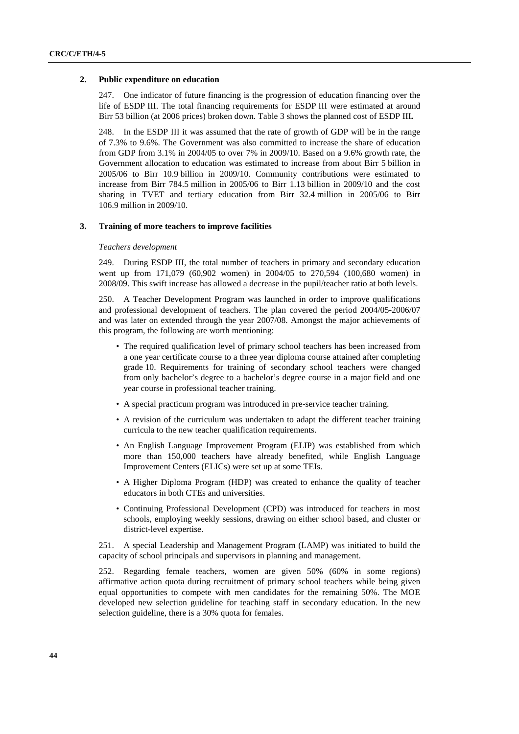#### **2. Public expenditure on education**

247. One indicator of future financing is the progression of education financing over the life of ESDP III. The total financing requirements for ESDP III were estimated at around Birr 53 billion (at 2006 prices) broken down. Table 3 shows the planned cost of ESDP III**.** 

248. In the ESDP III it was assumed that the rate of growth of GDP will be in the range of 7.3% to 9.6%. The Government was also committed to increase the share of education from GDP from 3.1% in 2004/05 to over 7% in 2009/10. Based on a 9.6% growth rate, the Government allocation to education was estimated to increase from about Birr 5 billion in 2005/06 to Birr 10.9 billion in 2009/10. Community contributions were estimated to increase from Birr 784.5 million in 2005/06 to Birr 1.13 billion in 2009/10 and the cost sharing in TVET and tertiary education from Birr 32.4 million in 2005/06 to Birr 106.9 million in 2009/10.

#### **3. Training of more teachers to improve facilities**

#### *Teachers development*

249. During ESDP III, the total number of teachers in primary and secondary education went up from 171,079 (60,902 women) in 2004/05 to 270,594 (100,680 women) in 2008/09. This swift increase has allowed a decrease in the pupil/teacher ratio at both levels.

250. A Teacher Development Program was launched in order to improve qualifications and professional development of teachers. The plan covered the period 2004/05-2006/07 and was later on extended through the year 2007/08. Amongst the major achievements of this program, the following are worth mentioning:

- The required qualification level of primary school teachers has been increased from a one year certificate course to a three year diploma course attained after completing grade 10. Requirements for training of secondary school teachers were changed from only bachelor's degree to a bachelor's degree course in a major field and one year course in professional teacher training.
- A special practicum program was introduced in pre-service teacher training.
- A revision of the curriculum was undertaken to adapt the different teacher training curricula to the new teacher qualification requirements.
- An English Language Improvement Program (ELIP) was established from which more than 150,000 teachers have already benefited, while English Language Improvement Centers (ELICs) were set up at some TEIs.
- A Higher Diploma Program (HDP) was created to enhance the quality of teacher educators in both CTEs and universities.
- Continuing Professional Development (CPD) was introduced for teachers in most schools, employing weekly sessions, drawing on either school based, and cluster or district-level expertise.

251. A special Leadership and Management Program (LAMP) was initiated to build the capacity of school principals and supervisors in planning and management.

252. Regarding female teachers, women are given 50% (60% in some regions) affirmative action quota during recruitment of primary school teachers while being given equal opportunities to compete with men candidates for the remaining 50%. The MOE developed new selection guideline for teaching staff in secondary education. In the new selection guideline, there is a 30% quota for females.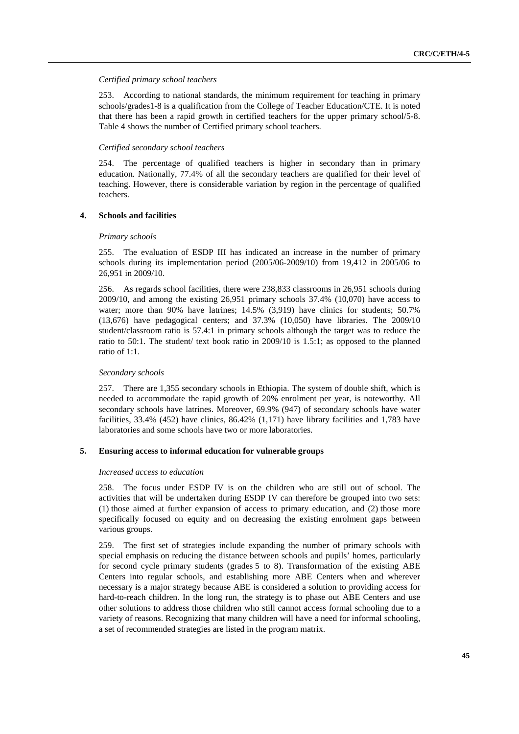#### *Certified primary school teachers*

253. According to national standards, the minimum requirement for teaching in primary schools/grades1-8 is a qualification from the College of Teacher Education/CTE. It is noted that there has been a rapid growth in certified teachers for the upper primary school/5-8. Table 4 shows the number of Certified primary school teachers.

#### *Certified secondary school teachers*

254. The percentage of qualified teachers is higher in secondary than in primary education. Nationally, 77.4% of all the secondary teachers are qualified for their level of teaching. However, there is considerable variation by region in the percentage of qualified teachers.

#### **4. Schools and facilities**

#### *Primary schools*

255. The evaluation of ESDP III has indicated an increase in the number of primary schools during its implementation period (2005/06-2009/10) from 19,412 in 2005/06 to 26,951 in 2009/10.

256. As regards school facilities, there were 238,833 classrooms in 26,951 schools during 2009/10, and among the existing 26,951 primary schools 37.4% (10,070) have access to water; more than 90% have latrines; 14.5% (3,919) have clinics for students; 50.7% (13,676) have pedagogical centers; and 37.3% (10,050) have libraries. The 2009/10 student/classroom ratio is 57.4:1 in primary schools although the target was to reduce the ratio to 50:1. The student/ text book ratio in 2009/10 is 1.5:1; as opposed to the planned ratio of 1:1.

### *Secondary schools*

257. There are 1,355 secondary schools in Ethiopia. The system of double shift, which is needed to accommodate the rapid growth of 20% enrolment per year, is noteworthy. All secondary schools have latrines. Moreover, 69.9% (947) of secondary schools have water facilities, 33.4% (452) have clinics, 86.42% (1,171) have library facilities and 1,783 have laboratories and some schools have two or more laboratories.

### **5. Ensuring access to informal education for vulnerable groups**

#### *Increased access to education*

258. The focus under ESDP IV is on the children who are still out of school. The activities that will be undertaken during ESDP IV can therefore be grouped into two sets: (1) those aimed at further expansion of access to primary education, and (2) those more specifically focused on equity and on decreasing the existing enrolment gaps between various groups.

259. The first set of strategies include expanding the number of primary schools with special emphasis on reducing the distance between schools and pupils' homes, particularly for second cycle primary students (grades 5 to 8). Transformation of the existing ABE Centers into regular schools, and establishing more ABE Centers when and wherever necessary is a major strategy because ABE is considered a solution to providing access for hard-to-reach children. In the long run, the strategy is to phase out ABE Centers and use other solutions to address those children who still cannot access formal schooling due to a variety of reasons. Recognizing that many children will have a need for informal schooling, a set of recommended strategies are listed in the program matrix.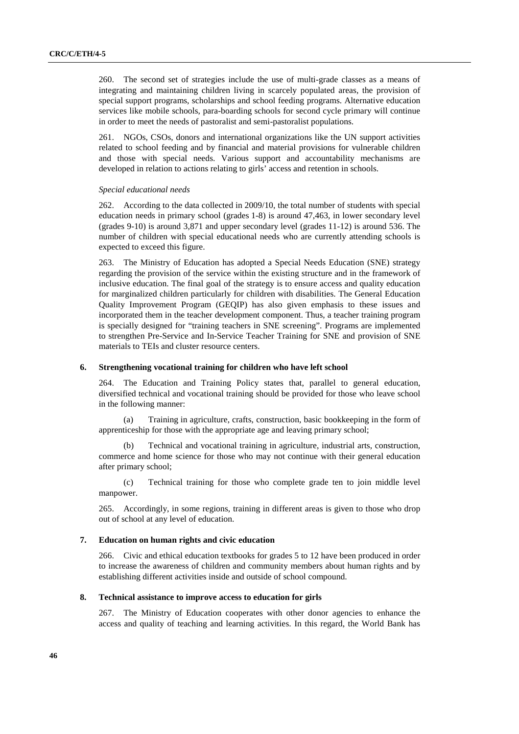260. The second set of strategies include the use of multi-grade classes as a means of integrating and maintaining children living in scarcely populated areas, the provision of special support programs, scholarships and school feeding programs. Alternative education services like mobile schools, para-boarding schools for second cycle primary will continue in order to meet the needs of pastoralist and semi-pastoralist populations.

261. NGOs, CSOs, donors and international organizations like the UN support activities related to school feeding and by financial and material provisions for vulnerable children and those with special needs. Various support and accountability mechanisms are developed in relation to actions relating to girls' access and retention in schools.

#### *Special educational needs*

262. According to the data collected in 2009/10, the total number of students with special education needs in primary school (grades 1-8) is around 47,463, in lower secondary level (grades 9-10) is around 3,871 and upper secondary level (grades 11-12) is around 536. The number of children with special educational needs who are currently attending schools is expected to exceed this figure.

263. The Ministry of Education has adopted a Special Needs Education (SNE) strategy regarding the provision of the service within the existing structure and in the framework of inclusive education. The final goal of the strategy is to ensure access and quality education for marginalized children particularly for children with disabilities. The General Education Quality Improvement Program (GEQIP) has also given emphasis to these issues and incorporated them in the teacher development component. Thus, a teacher training program is specially designed for "training teachers in SNE screening". Programs are implemented to strengthen Pre-Service and In-Service Teacher Training for SNE and provision of SNE materials to TEIs and cluster resource centers.

#### **6. Strengthening vocational training for children who have left school**

264. The Education and Training Policy states that, parallel to general education, diversified technical and vocational training should be provided for those who leave school in the following manner:

(a) Training in agriculture, crafts, construction, basic bookkeeping in the form of apprenticeship for those with the appropriate age and leaving primary school;

(b) Technical and vocational training in agriculture, industrial arts, construction, commerce and home science for those who may not continue with their general education after primary school;

(c) Technical training for those who complete grade ten to join middle level manpower.

265. Accordingly, in some regions, training in different areas is given to those who drop out of school at any level of education.

#### **7. Education on human rights and civic education**

266. Civic and ethical education textbooks for grades 5 to 12 have been produced in order to increase the awareness of children and community members about human rights and by establishing different activities inside and outside of school compound.

#### **8. Technical assistance to improve access to education for girls**

267. The Ministry of Education cooperates with other donor agencies to enhance the access and quality of teaching and learning activities. In this regard, the World Bank has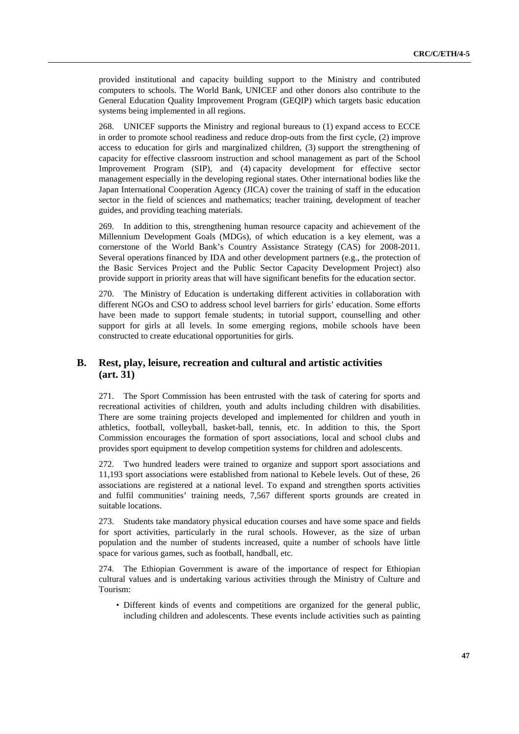provided institutional and capacity building support to the Ministry and contributed computers to schools. The World Bank, UNICEF and other donors also contribute to the General Education Quality Improvement Program (GEQIP) which targets basic education systems being implemented in all regions.

268. UNICEF supports the Ministry and regional bureaus to (1) expand access to ECCE in order to promote school readiness and reduce drop-outs from the first cycle, (2) improve access to education for girls and marginalized children, (3) support the strengthening of capacity for effective classroom instruction and school management as part of the School Improvement Program (SIP), and (4) capacity development for effective sector management especially in the developing regional states. Other international bodies like the Japan International Cooperation Agency (JICA) cover the training of staff in the education sector in the field of sciences and mathematics; teacher training, development of teacher guides, and providing teaching materials.

269. In addition to this, strengthening human resource capacity and achievement of the Millennium Development Goals (MDGs), of which education is a key element, was a cornerstone of the World Bank's Country Assistance Strategy (CAS) for 2008-2011. Several operations financed by IDA and other development partners (e.g., the protection of the Basic Services Project and the Public Sector Capacity Development Project) also provide support in priority areas that will have significant benefits for the education sector.

270. The Ministry of Education is undertaking different activities in collaboration with different NGOs and CSO to address school level barriers for girls' education. Some efforts have been made to support female students; in tutorial support, counselling and other support for girls at all levels. In some emerging regions, mobile schools have been constructed to create educational opportunities for girls.

### **B. Rest, play, leisure, recreation and cultural and artistic activities (art. 31)**

271. The Sport Commission has been entrusted with the task of catering for sports and recreational activities of children, youth and adults including children with disabilities. There are some training projects developed and implemented for children and youth in athletics, football, volleyball, basket-ball, tennis, etc. In addition to this, the Sport Commission encourages the formation of sport associations, local and school clubs and provides sport equipment to develop competition systems for children and adolescents.

272. Two hundred leaders were trained to organize and support sport associations and 11,193 sport associations were established from national to Kebele levels. Out of these, 26 associations are registered at a national level. To expand and strengthen sports activities and fulfil communities' training needs, 7,567 different sports grounds are created in suitable locations.

273. Students take mandatory physical education courses and have some space and fields for sport activities, particularly in the rural schools. However, as the size of urban population and the number of students increased, quite a number of schools have little space for various games, such as football, handball, etc.

274. The Ethiopian Government is aware of the importance of respect for Ethiopian cultural values and is undertaking various activities through the Ministry of Culture and Tourism:

• Different kinds of events and competitions are organized for the general public, including children and adolescents. These events include activities such as painting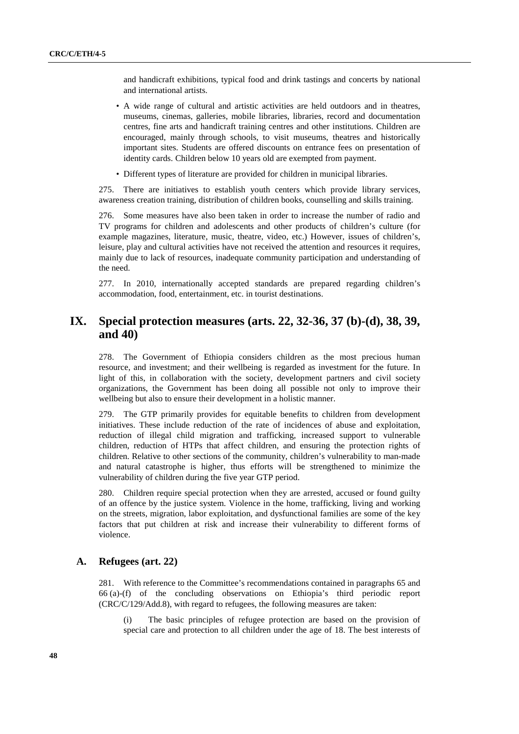and handicraft exhibitions, typical food and drink tastings and concerts by national and international artists.

- A wide range of cultural and artistic activities are held outdoors and in theatres, museums, cinemas, galleries, mobile libraries, libraries, record and documentation centres, fine arts and handicraft training centres and other institutions. Children are encouraged, mainly through schools, to visit museums, theatres and historically important sites. Students are offered discounts on entrance fees on presentation of identity cards. Children below 10 years old are exempted from payment.
- Different types of literature are provided for children in municipal libraries.

275. There are initiatives to establish youth centers which provide library services, awareness creation training, distribution of children books, counselling and skills training.

276. Some measures have also been taken in order to increase the number of radio and TV programs for children and adolescents and other products of children's culture (for example magazines, literature, music, theatre, video, etc.) However, issues of children's, leisure, play and cultural activities have not received the attention and resources it requires, mainly due to lack of resources, inadequate community participation and understanding of the need.

277. In 2010, internationally accepted standards are prepared regarding children's accommodation, food, entertainment, etc. in tourist destinations.

## **IX. Special protection measures (arts. 22, 32-36, 37 (b)-(d), 38, 39, and 40)**

278. The Government of Ethiopia considers children as the most precious human resource, and investment; and their wellbeing is regarded as investment for the future. In light of this, in collaboration with the society, development partners and civil society organizations, the Government has been doing all possible not only to improve their wellbeing but also to ensure their development in a holistic manner.

279. The GTP primarily provides for equitable benefits to children from development initiatives. These include reduction of the rate of incidences of abuse and exploitation, reduction of illegal child migration and trafficking, increased support to vulnerable children, reduction of HTPs that affect children, and ensuring the protection rights of children. Relative to other sections of the community, children's vulnerability to man-made and natural catastrophe is higher, thus efforts will be strengthened to minimize the vulnerability of children during the five year GTP period.

280. Children require special protection when they are arrested, accused or found guilty of an offence by the justice system. Violence in the home, trafficking, living and working on the streets, migration, labor exploitation, and dysfunctional families are some of the key factors that put children at risk and increase their vulnerability to different forms of violence.

### **A. Refugees (art. 22)**

281. With reference to the Committee's recommendations contained in paragraphs 65 and 66 (a)-(f) of the concluding observations on Ethiopia's third periodic report (CRC/C/129/Add.8), with regard to refugees, the following measures are taken:

The basic principles of refugee protection are based on the provision of special care and protection to all children under the age of 18. The best interests of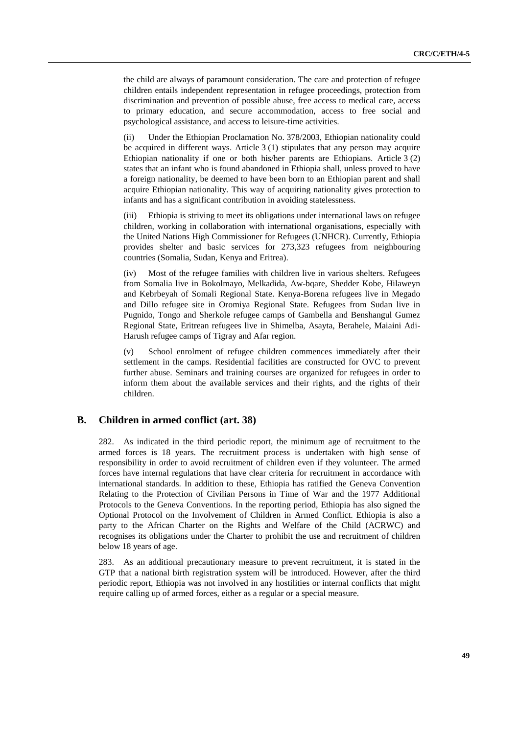the child are always of paramount consideration. The care and protection of refugee children entails independent representation in refugee proceedings, protection from discrimination and prevention of possible abuse, free access to medical care, access to primary education, and secure accommodation, access to free social and psychological assistance, and access to leisure-time activities.

(ii) Under the Ethiopian Proclamation No. 378/2003, Ethiopian nationality could be acquired in different ways. Article 3 (1) stipulates that any person may acquire Ethiopian nationality if one or both his/her parents are Ethiopians. Article 3 (2) states that an infant who is found abandoned in Ethiopia shall, unless proved to have a foreign nationality, be deemed to have been born to an Ethiopian parent and shall acquire Ethiopian nationality. This way of acquiring nationality gives protection to infants and has a significant contribution in avoiding statelessness.

(iii) Ethiopia is striving to meet its obligations under international laws on refugee children, working in collaboration with international organisations, especially with the United Nations High Commissioner for Refugees (UNHCR). Currently, Ethiopia provides shelter and basic services for 273,323 refugees from neighbouring countries (Somalia, Sudan, Kenya and Eritrea).

(iv) Most of the refugee families with children live in various shelters. Refugees from Somalia live in Bokolmayo, Melkadida, Aw-baare, Shedder Kobe, Hilaweyn and Kebrbeyah of Somali Regional State. Kenya-Borena refugees live in Megado and Dillo refugee site in Oromiya Regional State. Refugees from Sudan live in Pugnido, Tongo and Sherkole refugee camps of Gambella and Benshangul Gumez Regional State, Eritrean refugees live in Shimelba, Asayta, Berahele, Maiaini Adi-Harush refugee camps of Tigray and Afar region.

School enrolment of refugee children commences immediately after their settlement in the camps. Residential facilities are constructed for OVC to prevent further abuse. Seminars and training courses are organized for refugees in order to inform them about the available services and their rights, and the rights of their children.

### **B. Children in armed conflict (art. 38)**

282. As indicated in the third periodic report, the minimum age of recruitment to the armed forces is 18 years. The recruitment process is undertaken with high sense of responsibility in order to avoid recruitment of children even if they volunteer. The armed forces have internal regulations that have clear criteria for recruitment in accordance with international standards. In addition to these, Ethiopia has ratified the Geneva Convention Relating to the Protection of Civilian Persons in Time of War and the 1977 Additional Protocols to the Geneva Conventions. In the reporting period, Ethiopia has also signed the Optional Protocol on the Involvement of Children in Armed Conflict. Ethiopia is also a party to the African Charter on the Rights and Welfare of the Child (ACRWC) and recognises its obligations under the Charter to prohibit the use and recruitment of children below 18 years of age.

283. As an additional precautionary measure to prevent recruitment, it is stated in the GTP that a national birth registration system will be introduced. However, after the third periodic report, Ethiopia was not involved in any hostilities or internal conflicts that might require calling up of armed forces, either as a regular or a special measure.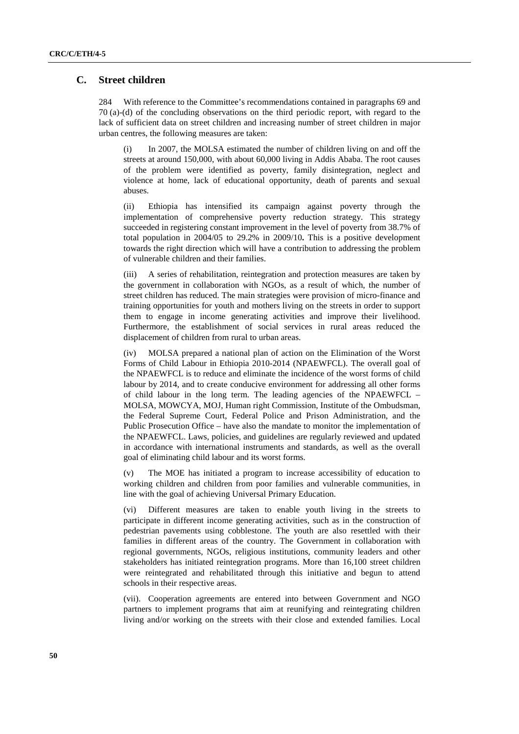### **C. Street children**

284 With reference to the Committee's recommendations contained in paragraphs 69 and 70 (a)-(d) of the concluding observations on the third periodic report, with regard to the lack of sufficient data on street children and increasing number of street children in major urban centres, the following measures are taken:

(i) In 2007, the MOLSA estimated the number of children living on and off the streets at around 150,000, with about 60,000 living in Addis Ababa. The root causes of the problem were identified as poverty, family disintegration, neglect and violence at home, lack of educational opportunity, death of parents and sexual abuses.

(ii) Ethiopia has intensified its campaign against poverty through the implementation of comprehensive poverty reduction strategy. This strategy succeeded in registering constant improvement in the level of poverty from 38.7% of total population in 2004/05 to 29.2% in 2009/10**.** This is a positive development towards the right direction which will have a contribution to addressing the problem of vulnerable children and their families.

(iii) A series of rehabilitation, reintegration and protection measures are taken by the government in collaboration with NGOs, as a result of which, the number of street children has reduced. The main strategies were provision of micro-finance and training opportunities for youth and mothers living on the streets in order to support them to engage in income generating activities and improve their livelihood. Furthermore, the establishment of social services in rural areas reduced the displacement of children from rural to urban areas.

(iv) MOLSA prepared a national plan of action on the Elimination of the Worst Forms of Child Labour in Ethiopia 2010-2014 (NPAEWFCL). The overall goal of the NPAEWFCL is to reduce and eliminate the incidence of the worst forms of child labour by 2014, and to create conducive environment for addressing all other forms of child labour in the long term. The leading agencies of the NPAEWFCL – MOLSA, MOWCYA, MOJ, Human right Commission, Institute of the Ombudsman, the Federal Supreme Court, Federal Police and Prison Administration, and the Public Prosecution Office – have also the mandate to monitor the implementation of the NPAEWFCL. Laws, policies, and guidelines are regularly reviewed and updated in accordance with international instruments and standards, as well as the overall goal of eliminating child labour and its worst forms.

(v) The MOE has initiated a program to increase accessibility of education to working children and children from poor families and vulnerable communities, in line with the goal of achieving Universal Primary Education.

(vi) Different measures are taken to enable youth living in the streets to participate in different income generating activities, such as in the construction of pedestrian pavements using cobblestone. The youth are also resettled with their families in different areas of the country. The Government in collaboration with regional governments, NGOs, religious institutions, community leaders and other stakeholders has initiated reintegration programs. More than 16,100 street children were reintegrated and rehabilitated through this initiative and begun to attend schools in their respective areas.

(vii). Cooperation agreements are entered into between Government and NGO partners to implement programs that aim at reunifying and reintegrating children living and/or working on the streets with their close and extended families. Local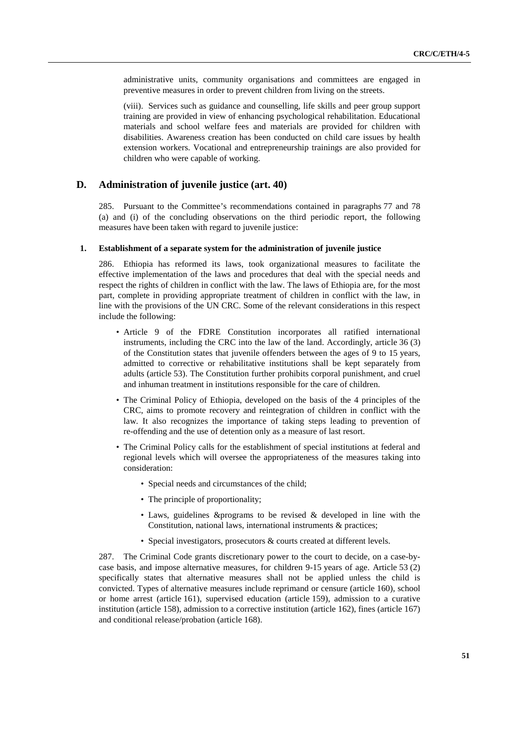administrative units, community organisations and committees are engaged in preventive measures in order to prevent children from living on the streets.

(viii). Services such as guidance and counselling, life skills and peer group support training are provided in view of enhancing psychological rehabilitation. Educational materials and school welfare fees and materials are provided for children with disabilities. Awareness creation has been conducted on child care issues by health extension workers. Vocational and entrepreneurship trainings are also provided for children who were capable of working.

#### **D. Administration of juvenile justice (art. 40)**

285. Pursuant to the Committee's recommendations contained in paragraphs 77 and 78 (a) and (i) of the concluding observations on the third periodic report, the following measures have been taken with regard to juvenile justice:

#### **1. Establishment of a separate system for the administration of juvenile justice**

286. Ethiopia has reformed its laws, took organizational measures to facilitate the effective implementation of the laws and procedures that deal with the special needs and respect the rights of children in conflict with the law. The laws of Ethiopia are, for the most part, complete in providing appropriate treatment of children in conflict with the law, in line with the provisions of the UN CRC. Some of the relevant considerations in this respect include the following:

- Article 9 of the FDRE Constitution incorporates all ratified international instruments, including the CRC into the law of the land. Accordingly, article 36 (3) of the Constitution states that juvenile offenders between the ages of 9 to 15 years, admitted to corrective or rehabilitative institutions shall be kept separately from adults (article 53). The Constitution further prohibits corporal punishment, and cruel and inhuman treatment in institutions responsible for the care of children.
- The Criminal Policy of Ethiopia, developed on the basis of the 4 principles of the CRC, aims to promote recovery and reintegration of children in conflict with the law. It also recognizes the importance of taking steps leading to prevention of re-offending and the use of detention only as a measure of last resort.
- The Criminal Policy calls for the establishment of special institutions at federal and regional levels which will oversee the appropriateness of the measures taking into consideration:
	- Special needs and circumstances of the child;
	- The principle of proportionality;
	- Laws, guidelines &programs to be revised & developed in line with the Constitution, national laws, international instruments & practices;
	- Special investigators, prosecutors & courts created at different levels.

287. The Criminal Code grants discretionary power to the court to decide, on a case-bycase basis, and impose alternative measures, for children 9-15 years of age. Article 53 (2) specifically states that alternative measures shall not be applied unless the child is convicted. Types of alternative measures include reprimand or censure (article 160), school or home arrest (article 161), supervised education (article 159), admission to a curative institution (article 158), admission to a corrective institution (article 162), fines (article 167) and conditional release/probation (article 168).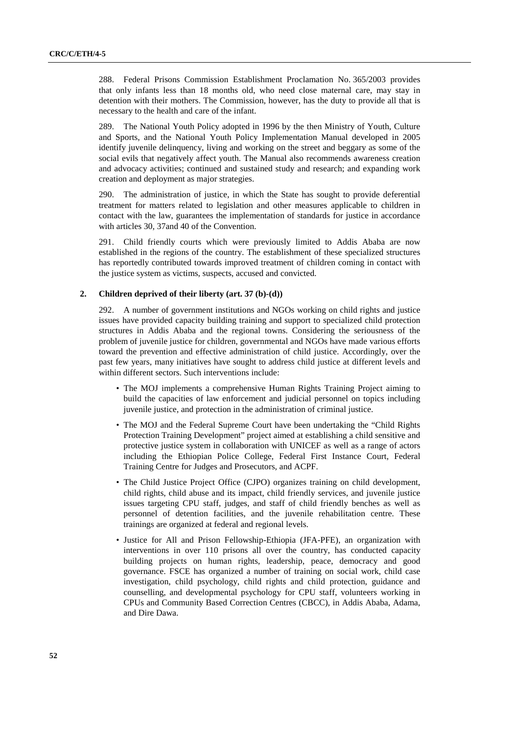288. Federal Prisons Commission Establishment Proclamation No. 365/2003 provides that only infants less than 18 months old, who need close maternal care, may stay in detention with their mothers. The Commission, however, has the duty to provide all that is necessary to the health and care of the infant.

289. The National Youth Policy adopted in 1996 by the then Ministry of Youth, Culture and Sports, and the National Youth Policy Implementation Manual developed in 2005 identify juvenile delinquency, living and working on the street and beggary as some of the social evils that negatively affect youth. The Manual also recommends awareness creation and advocacy activities; continued and sustained study and research; and expanding work creation and deployment as major strategies.

290. The administration of justice, in which the State has sought to provide deferential treatment for matters related to legislation and other measures applicable to children in contact with the law, guarantees the implementation of standards for justice in accordance with articles 30, 37and 40 of the Convention.

291. Child friendly courts which were previously limited to Addis Ababa are now established in the regions of the country. The establishment of these specialized structures has reportedly contributed towards improved treatment of children coming in contact with the justice system as victims, suspects, accused and convicted.

### **2. Children deprived of their liberty (art. 37 (b)-(d))**

292. A number of government institutions and NGOs working on child rights and justice issues have provided capacity building training and support to specialized child protection structures in Addis Ababa and the regional towns. Considering the seriousness of the problem of juvenile justice for children, governmental and NGOs have made various efforts toward the prevention and effective administration of child justice. Accordingly, over the past few years, many initiatives have sought to address child justice at different levels and within different sectors. Such interventions include:

- The MOJ implements a comprehensive Human Rights Training Project aiming to build the capacities of law enforcement and judicial personnel on topics including juvenile justice, and protection in the administration of criminal justice.
- The MOJ and the Federal Supreme Court have been undertaking the "Child Rights Protection Training Development" project aimed at establishing a child sensitive and protective justice system in collaboration with UNICEF as well as a range of actors including the Ethiopian Police College, Federal First Instance Court, Federal Training Centre for Judges and Prosecutors, and ACPF.
- The Child Justice Project Office (CJPO) organizes training on child development, child rights, child abuse and its impact, child friendly services, and juvenile justice issues targeting CPU staff, judges, and staff of child friendly benches as well as personnel of detention facilities, and the juvenile rehabilitation centre. These trainings are organized at federal and regional levels.
- Justice for All and Prison Fellowship-Ethiopia (JFA-PFE), an organization with interventions in over 110 prisons all over the country, has conducted capacity building projects on human rights, leadership, peace, democracy and good governance. FSCE has organized a number of training on social work, child case investigation, child psychology, child rights and child protection, guidance and counselling, and developmental psychology for CPU staff, volunteers working in CPUs and Community Based Correction Centres (CBCC), in Addis Ababa, Adama, and Dire Dawa.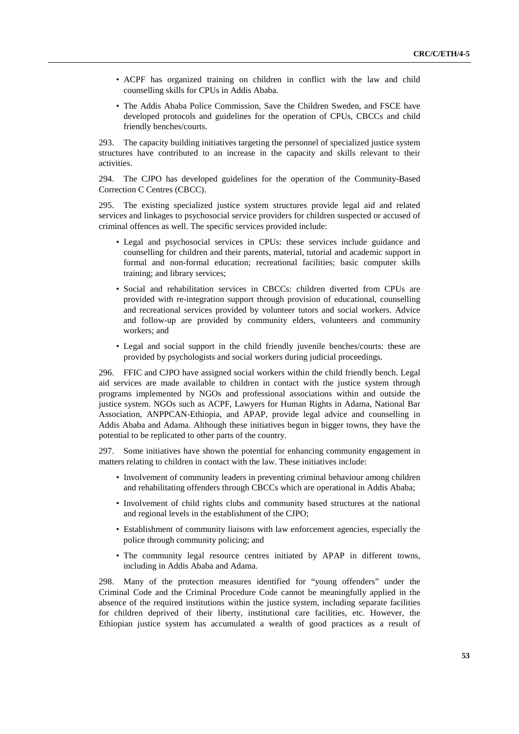- ACPF has organized training on children in conflict with the law and child counselling skills for CPUs in Addis Ababa.
- The Addis Ababa Police Commission, Save the Children Sweden, and FSCE have developed protocols and guidelines for the operation of CPUs, CBCCs and child friendly benches/courts.

293. The capacity building initiatives targeting the personnel of specialized justice system structures have contributed to an increase in the capacity and skills relevant to their activities.

294. The CJPO has developed guidelines for the operation of the Community-Based Correction C Centres (CBCC).

295. The existing specialized justice system structures provide legal aid and related services and linkages to psychosocial service providers for children suspected or accused of criminal offences as well. The specific services provided include:

- Legal and psychosocial services in CPUs: these services include guidance and counselling for children and their parents, material, tutorial and academic support in formal and non-formal education; recreational facilities; basic computer skills training; and library services;
- Social and rehabilitation services in CBCCs: children diverted from CPUs are provided with re-integration support through provision of educational, counselling and recreational services provided by volunteer tutors and social workers. Advice and follow-up are provided by community elders, volunteers and community workers; and
- Legal and social support in the child friendly juvenile benches/courts: these are provided by psychologists and social workers during judicial proceedings.

296. FFIC and CJPO have assigned social workers within the child friendly bench. Legal aid services are made available to children in contact with the justice system through programs implemented by NGOs and professional associations within and outside the justice system. NGOs such as ACPF, Lawyers for Human Rights in Adama, National Bar Association, ANPPCAN-Ethiopia, and APAP, provide legal advice and counselling in Addis Ababa and Adama. Although these initiatives begun in bigger towns, they have the potential to be replicated to other parts of the country.

297. Some initiatives have shown the potential for enhancing community engagement in matters relating to children in contact with the law. These initiatives include:

- Involvement of community leaders in preventing criminal behaviour among children and rehabilitating offenders through CBCCs which are operational in Addis Ababa;
- Involvement of child rights clubs and community based structures at the national and regional levels in the establishment of the CJPO;
- Establishment of community liaisons with law enforcement agencies, especially the police through community policing; and
- The community legal resource centres initiated by APAP in different towns, including in Addis Ababa and Adama.

298. Many of the protection measures identified for "young offenders" under the Criminal Code and the Criminal Procedure Code cannot be meaningfully applied in the absence of the required institutions within the justice system, including separate facilities for children deprived of their liberty, institutional care facilities, etc. However, the Ethiopian justice system has accumulated a wealth of good practices as a result of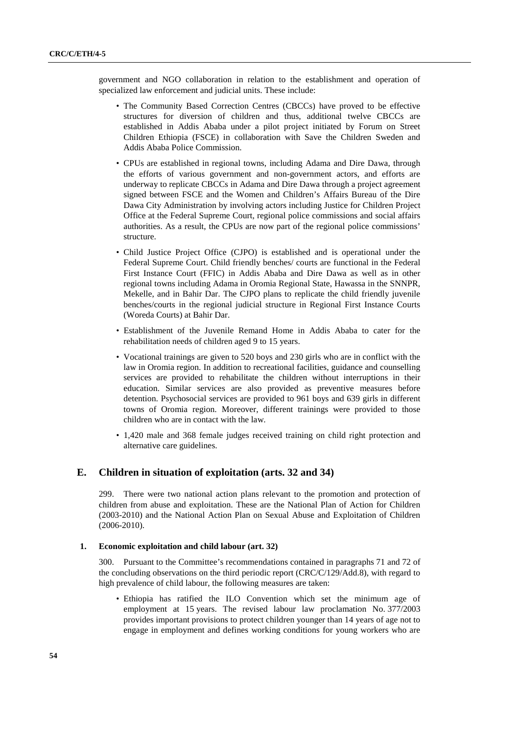government and NGO collaboration in relation to the establishment and operation of specialized law enforcement and judicial units. These include:

- The Community Based Correction Centres (CBCCs) have proved to be effective structures for diversion of children and thus, additional twelve CBCCs are established in Addis Ababa under a pilot project initiated by Forum on Street Children Ethiopia (FSCE) in collaboration with Save the Children Sweden and Addis Ababa Police Commission.
- CPUs are established in regional towns, including Adama and Dire Dawa, through the efforts of various government and non-government actors, and efforts are underway to replicate CBCCs in Adama and Dire Dawa through a project agreement signed between FSCE and the Women and Children's Affairs Bureau of the Dire Dawa City Administration by involving actors including Justice for Children Project Office at the Federal Supreme Court, regional police commissions and social affairs authorities. As a result, the CPUs are now part of the regional police commissions' structure.
- Child Justice Project Office (CJPO) is established and is operational under the Federal Supreme Court. Child friendly benches/ courts are functional in the Federal First Instance Court (FFIC) in Addis Ababa and Dire Dawa as well as in other regional towns including Adama in Oromia Regional State, Hawassa in the SNNPR, Mekelle, and in Bahir Dar. The CJPO plans to replicate the child friendly juvenile benches/courts in the regional judicial structure in Regional First Instance Courts (Woreda Courts) at Bahir Dar.
- Establishment of the Juvenile Remand Home in Addis Ababa to cater for the rehabilitation needs of children aged 9 to 15 years.
- Vocational trainings are given to 520 boys and 230 girls who are in conflict with the law in Oromia region. In addition to recreational facilities, guidance and counselling services are provided to rehabilitate the children without interruptions in their education. Similar services are also provided as preventive measures before detention. Psychosocial services are provided to 961 boys and 639 girls in different towns of Oromia region. Moreover, different trainings were provided to those children who are in contact with the law.
- 1,420 male and 368 female judges received training on child right protection and alternative care guidelines.

### **E. Children in situation of exploitation (arts. 32 and 34)**

299. There were two national action plans relevant to the promotion and protection of children from abuse and exploitation. These are the National Plan of Action for Children (2003-2010) and the National Action Plan on Sexual Abuse and Exploitation of Children (2006-2010).

#### **1. Economic exploitation and child labour (art. 32)**

300. Pursuant to the Committee's recommendations contained in paragraphs 71 and 72 of the concluding observations on the third periodic report (CRC/C/129/Add.8), with regard to high prevalence of child labour, the following measures are taken:

• Ethiopia has ratified the ILO Convention which set the minimum age of employment at 15 years. The revised labour law proclamation No. 377/2003 provides important provisions to protect children younger than 14 years of age not to engage in employment and defines working conditions for young workers who are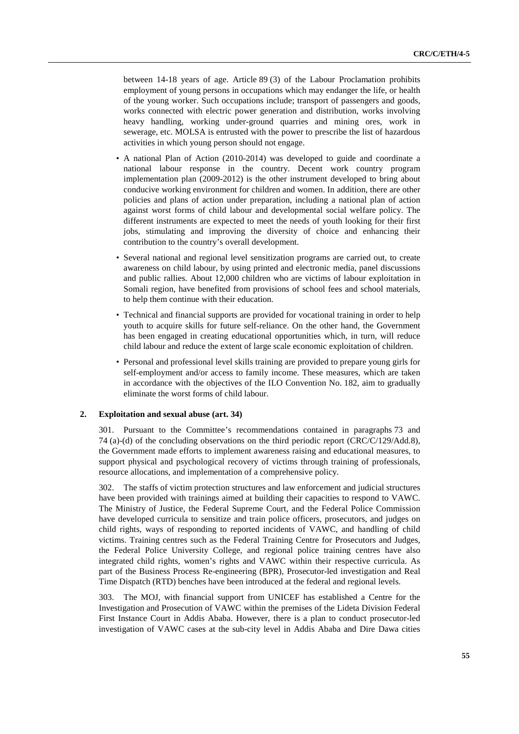between 14-18 years of age. Article 89 (3) of the Labour Proclamation prohibits employment of young persons in occupations which may endanger the life, or health of the young worker. Such occupations include; transport of passengers and goods, works connected with electric power generation and distribution, works involving heavy handling, working under-ground quarries and mining ores, work in sewerage, etc. MOLSA is entrusted with the power to prescribe the list of hazardous activities in which young person should not engage.

- A national Plan of Action (2010-2014) was developed to guide and coordinate a national labour response in the country. Decent work country program implementation plan (2009-2012) is the other instrument developed to bring about conducive working environment for children and women. In addition, there are other policies and plans of action under preparation, including a national plan of action against worst forms of child labour and developmental social welfare policy. The different instruments are expected to meet the needs of youth looking for their first jobs, stimulating and improving the diversity of choice and enhancing their contribution to the country's overall development.
- Several national and regional level sensitization programs are carried out, to create awareness on child labour, by using printed and electronic media, panel discussions and public rallies. About 12,000 children who are victims of labour exploitation in Somali region, have benefited from provisions of school fees and school materials, to help them continue with their education.
- Technical and financial supports are provided for vocational training in order to help youth to acquire skills for future self-reliance. On the other hand, the Government has been engaged in creating educational opportunities which, in turn, will reduce child labour and reduce the extent of large scale economic exploitation of children.
- Personal and professional level skills training are provided to prepare young girls for self-employment and/or access to family income. These measures, which are taken in accordance with the objectives of the ILO Convention No. 182, aim to gradually eliminate the worst forms of child labour.

#### **2. Exploitation and sexual abuse (art. 34)**

301. Pursuant to the Committee's recommendations contained in paragraphs 73 and 74 (a)-(d) of the concluding observations on the third periodic report (CRC/C/129/Add.8), the Government made efforts to implement awareness raising and educational measures, to support physical and psychological recovery of victims through training of professionals, resource allocations, and implementation of a comprehensive policy.

302. The staffs of victim protection structures and law enforcement and judicial structures have been provided with trainings aimed at building their capacities to respond to VAWC. The Ministry of Justice, the Federal Supreme Court, and the Federal Police Commission have developed curricula to sensitize and train police officers, prosecutors, and judges on child rights, ways of responding to reported incidents of VAWC, and handling of child victims. Training centres such as the Federal Training Centre for Prosecutors and Judges, the Federal Police University College, and regional police training centres have also integrated child rights, women's rights and VAWC within their respective curricula. As part of the Business Process Re-engineering (BPR), Prosecutor-led investigation and Real Time Dispatch (RTD) benches have been introduced at the federal and regional levels.

303. The MOJ, with financial support from UNICEF has established a Centre for the Investigation and Prosecution of VAWC within the premises of the Lideta Division Federal First Instance Court in Addis Ababa. However, there is a plan to conduct prosecutor-led investigation of VAWC cases at the sub-city level in Addis Ababa and Dire Dawa cities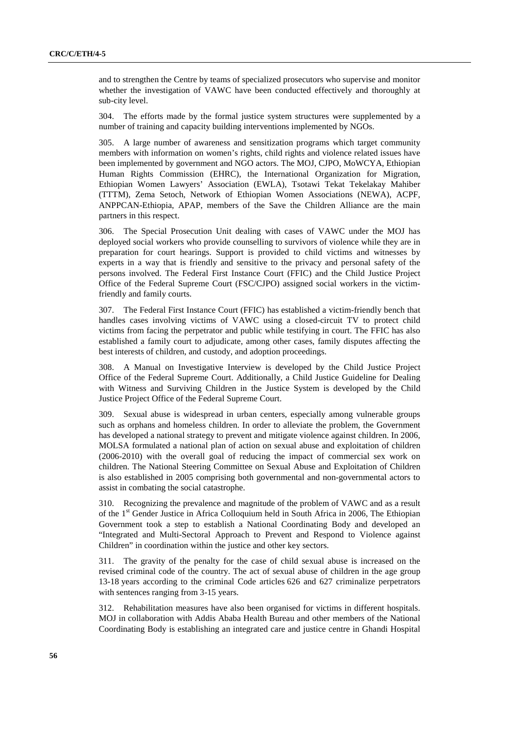and to strengthen the Centre by teams of specialized prosecutors who supervise and monitor whether the investigation of VAWC have been conducted effectively and thoroughly at sub-city level.

304. The efforts made by the formal justice system structures were supplemented by a number of training and capacity building interventions implemented by NGOs.

305. A large number of awareness and sensitization programs which target community members with information on women's rights, child rights and violence related issues have been implemented by government and NGO actors. The MOJ, CJPO, MoWCYA, Ethiopian Human Rights Commission (EHRC), the International Organization for Migration, Ethiopian Women Lawyers' Association (EWLA), Tsotawi Tekat Tekelakay Mahiber (TTTM), Zema Setoch, Network of Ethiopian Women Associations (NEWA), ACPF, ANPPCAN-Ethiopia, APAP, members of the Save the Children Alliance are the main partners in this respect.

306. The Special Prosecution Unit dealing with cases of VAWC under the MOJ has deployed social workers who provide counselling to survivors of violence while they are in preparation for court hearings. Support is provided to child victims and witnesses by experts in a way that is friendly and sensitive to the privacy and personal safety of the persons involved. The Federal First Instance Court (FFIC) and the Child Justice Project Office of the Federal Supreme Court (FSC/CJPO) assigned social workers in the victimfriendly and family courts.

307. The Federal First Instance Court (FFIC) has established a victim-friendly bench that handles cases involving victims of VAWC using a closed-circuit TV to protect child victims from facing the perpetrator and public while testifying in court. The FFIC has also established a family court to adjudicate, among other cases, family disputes affecting the best interests of children, and custody, and adoption proceedings.

308. A Manual on Investigative Interview is developed by the Child Justice Project Office of the Federal Supreme Court. Additionally, a Child Justice Guideline for Dealing with Witness and Surviving Children in the Justice System is developed by the Child Justice Project Office of the Federal Supreme Court.

309. Sexual abuse is widespread in urban centers, especially among vulnerable groups such as orphans and homeless children. In order to alleviate the problem, the Government has developed a national strategy to prevent and mitigate violence against children. In 2006, MOLSA formulated a national plan of action on sexual abuse and exploitation of children (2006-2010) with the overall goal of reducing the impact of commercial sex work on children. The National Steering Committee on Sexual Abuse and Exploitation of Children is also established in 2005 comprising both governmental and non-governmental actors to assist in combating the social catastrophe.

310. Recognizing the prevalence and magnitude of the problem of VAWC and as a result of the 1st Gender Justice in Africa Colloquium held in South Africa in 2006, The Ethiopian Government took a step to establish a National Coordinating Body and developed an "Integrated and Multi-Sectoral Approach to Prevent and Respond to Violence against Children" in coordination within the justice and other key sectors.

311. The gravity of the penalty for the case of child sexual abuse is increased on the revised criminal code of the country. The act of sexual abuse of children in the age group 13-18 years according to the criminal Code articles 626 and 627 criminalize perpetrators with sentences ranging from 3-15 years.

312. Rehabilitation measures have also been organised for victims in different hospitals. MOJ in collaboration with Addis Ababa Health Bureau and other members of the National Coordinating Body is establishing an integrated care and justice centre in Ghandi Hospital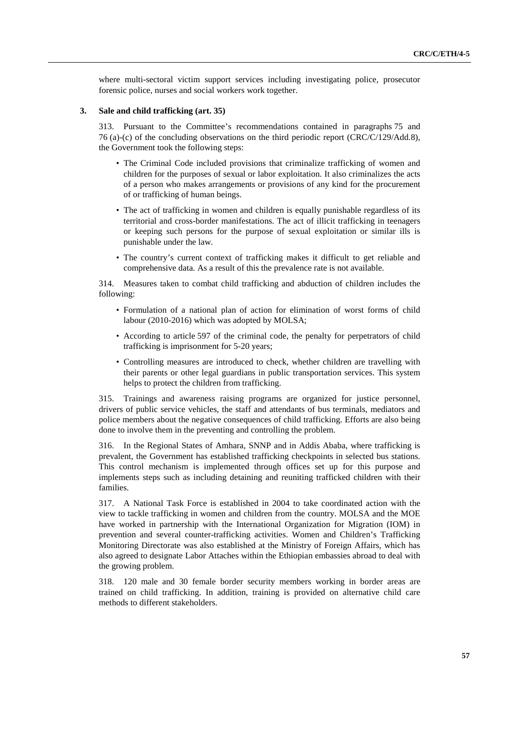where multi-sectoral victim support services including investigating police, prosecutor forensic police, nurses and social workers work together.

#### **3. Sale and child trafficking (art. 35)**

313. Pursuant to the Committee's recommendations contained in paragraphs 75 and 76 (a)-(c) of the concluding observations on the third periodic report (CRC/C/129/Add.8), the Government took the following steps:

- The Criminal Code included provisions that criminalize trafficking of women and children for the purposes of sexual or labor exploitation. It also criminalizes the acts of a person who makes arrangements or provisions of any kind for the procurement of or trafficking of human beings.
- The act of trafficking in women and children is equally punishable regardless of its territorial and cross-border manifestations. The act of illicit trafficking in teenagers or keeping such persons for the purpose of sexual exploitation or similar ills is punishable under the law.
- The country's current context of trafficking makes it difficult to get reliable and comprehensive data. As a result of this the prevalence rate is not available.

314. Measures taken to combat child trafficking and abduction of children includes the following:

- Formulation of a national plan of action for elimination of worst forms of child labour (2010-2016) which was adopted by MOLSA;
- According to article 597 of the criminal code, the penalty for perpetrators of child trafficking is imprisonment for 5-20 years;
- Controlling measures are introduced to check, whether children are travelling with their parents or other legal guardians in public transportation services. This system helps to protect the children from trafficking.

315. Trainings and awareness raising programs are organized for justice personnel, drivers of public service vehicles, the staff and attendants of bus terminals, mediators and police members about the negative consequences of child trafficking. Efforts are also being done to involve them in the preventing and controlling the problem.

316. In the Regional States of Amhara, SNNP and in Addis Ababa, where trafficking is prevalent, the Government has established trafficking checkpoints in selected bus stations. This control mechanism is implemented through offices set up for this purpose and implements steps such as including detaining and reuniting trafficked children with their families.

317. A National Task Force is established in 2004 to take coordinated action with the view to tackle trafficking in women and children from the country. MOLSA and the MOE have worked in partnership with the International Organization for Migration (IOM) in prevention and several counter-trafficking activities. Women and Children's Trafficking Monitoring Directorate was also established at the Ministry of Foreign Affairs, which has also agreed to designate Labor Attaches within the Ethiopian embassies abroad to deal with the growing problem.

318. 120 male and 30 female border security members working in border areas are trained on child trafficking. In addition, training is provided on alternative child care methods to different stakeholders.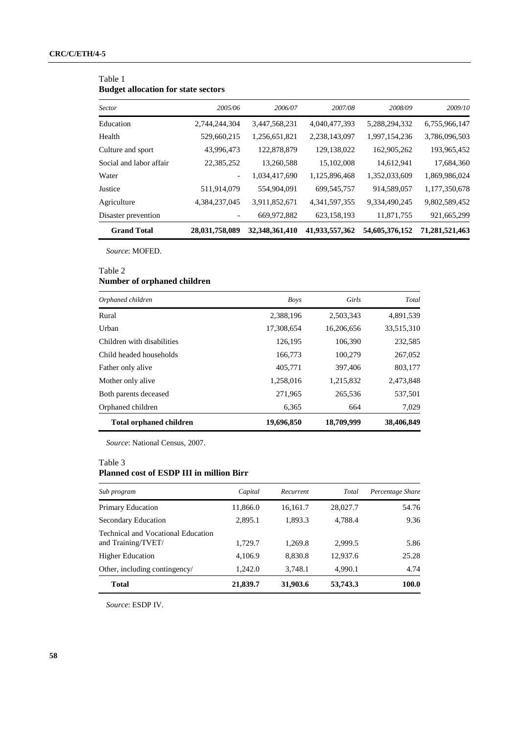### Table 1 **Budget allocation for state sectors**

| <b>Sector</b>           | 2005/06        | 2006/07        | 2007/08          | 2008/09        | 2009/10        |
|-------------------------|----------------|----------------|------------------|----------------|----------------|
| Education               | 2,744,244,304  | 3,447,568,231  | 4,040,477,393    | 5,288,294,332  | 6,755,966,147  |
| Health                  | 529,660,215    | 1,256,651,821  | 2,238,143,097    | 1,997,154,236  | 3,786,096,503  |
| Culture and sport       | 43,996,473     | 122,878,879    | 129,138,022      | 162,905,262    | 193,965,452    |
| Social and labor affair | 22,385,252     | 13,260,588     | 15,102,008       | 14,612,941     | 17,684,360     |
| Water                   |                | 1,034,417,690  | 1,125,896,468    | 1,352,033,609  | 1,869,986,024  |
| Justice                 | 511,914,079    | 554,904,091    | 699, 545, 757    | 914,589,057    | 1,177,350,678  |
| Agriculture             | 4,384,237,045  | 3,911,852,671  | 4, 341, 597, 355 | 9,334,490,245  | 9,802,589,452  |
| Disaster prevention     |                | 669,972,882    | 623,158,193      | 11,871,755     | 921,665,299    |
| <b>Grand Total</b>      | 28,031,758,089 | 32,348,361,410 | 41,933,557,362   | 54,605,376,152 | 71,281,521,463 |

*Source*: MOFED.

#### Table 2

### **Number of orphaned children**

| Orphaned children              | <b>Boys</b> | Girls      | Total      |
|--------------------------------|-------------|------------|------------|
| Rural                          | 2,388,196   | 2,503,343  | 4,891,539  |
| Urban                          | 17,308,654  | 16,206,656 | 33,515,310 |
| Children with disabilities     | 126,195     | 106,390    | 232,585    |
| Child headed households        | 166,773     | 100,279    | 267,052    |
| Father only alive              | 405,771     | 397,406    | 803,177    |
| Mother only alive              | 1,258,016   | 1,215,832  | 2,473,848  |
| Both parents deceased          | 271,965     | 265,536    | 537,501    |
| Orphaned children              | 6,365       | 664        | 7,029      |
| <b>Total orphaned children</b> | 19,696,850  | 18,709,999 | 38,406,849 |

*Source*: National Census, 2007.

### Table 3

## **Planned cost of ESDP III in million Birr**

| Sub program                                                     | Capital  | Recurrent | Total    | Percentage Share |
|-----------------------------------------------------------------|----------|-----------|----------|------------------|
| <b>Primary Education</b>                                        | 11,866.0 | 16,161.7  | 28,027.7 | 54.76            |
| Secondary Education                                             | 2,895.1  | 1,893.3   | 4.788.4  | 9.36             |
| <b>Technical and Vocational Education</b><br>and Training/TVET/ | 1,729.7  | 1,269.8   | 2,999.5  | 5.86             |
| <b>Higher Education</b>                                         | 4,106.9  | 8,830.8   | 12,937.6 | 25.28            |
| Other, including contingency/                                   | 1,242.0  | 3,748.1   | 4,990.1  | 4.74             |
| <b>Total</b>                                                    | 21,839.7 | 31,903.6  | 53,743.3 | 100.0            |

*Source*: ESDP IV.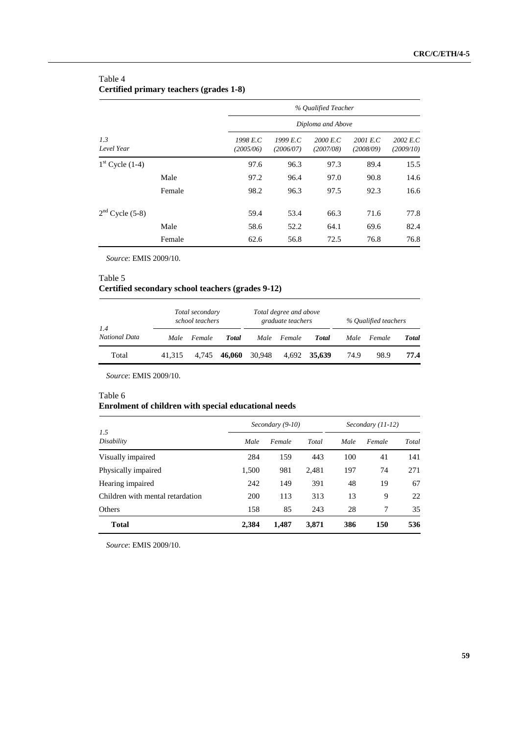### Table 4 **Certified primary teachers (grades 1-8)**

|                   |        |                       | % Qualified Teacher   |                       |                       |                       |  |  |  |
|-------------------|--------|-----------------------|-----------------------|-----------------------|-----------------------|-----------------------|--|--|--|
|                   |        |                       | Diploma and Above     |                       |                       |                       |  |  |  |
| 1.3<br>Level Year |        | 1998 E.C<br>(2005/06) | 1999 E.C<br>(2006/07) | 2000 E.C<br>(2007/08) | 2001 E.C<br>(2008/09) | 2002 E.C<br>(2009/10) |  |  |  |
| $1st$ Cycle (1-4) |        | 97.6                  | 96.3                  | 97.3                  | 89.4                  | 15.5                  |  |  |  |
|                   | Male   | 97.2                  | 96.4                  | 97.0                  | 90.8                  | 14.6                  |  |  |  |
|                   | Female | 98.2                  | 96.3                  | 97.5                  | 92.3                  | 16.6                  |  |  |  |
| $2nd$ Cycle (5-8) |        | 59.4                  | 53.4                  | 66.3                  | 71.6                  | 77.8                  |  |  |  |
|                   | Male   | 58.6                  | 52.2                  | 64.1                  | 69.6                  | 82.4                  |  |  |  |
|                   | Female | 62.6                  | 56.8                  | 72.5                  | 76.8                  | 76.8                  |  |  |  |

*Source*: EMIS 2009/10.

### Table 5

### **Certified secondary school teachers (grades 9-12)**

| 1.4<br>National Data | Total secondary<br>school teachers |        |              | Total degree and above<br>graduate teachers |        |              | % Qualified teachers |        |       |
|----------------------|------------------------------------|--------|--------------|---------------------------------------------|--------|--------------|----------------------|--------|-------|
|                      | Male                               | Female | <b>Total</b> | Male                                        | Female | <b>Total</b> | Male                 | Female | Total |
| Total                | 41.315                             | 4.745  | 46.060       | 30,948                                      |        | 4.692 35.639 | 74.9                 | 98.9   | 77.4  |

*Source*: EMIS 2009/10.

### Table 6

## **Enrolment of children with special educational needs**

| 1.5                              | Secondary (9-10) |        |       | $Secondary (11-12)$ |        |       |
|----------------------------------|------------------|--------|-------|---------------------|--------|-------|
| Disability                       | Male             | Female | Total | Male                | Female | Total |
| Visually impaired                | 284              | 159    | 443   | 100                 | 41     | 141   |
| Physically impaired              | 1,500            | 981    | 2,481 | 197                 | 74     | 271   |
| Hearing impaired                 | 242              | 149    | 391   | 48                  | 19     | 67    |
| Children with mental retardation | 200              | 113    | 313   | 13                  | 9      | 22    |
| Others                           | 158              | 85     | 243   | 28                  | 7      | 35    |
| <b>Total</b>                     | 2,384            | 1,487  | 3,871 | 386                 | 150    | 536   |

*Source*: EMIS 2009/10.